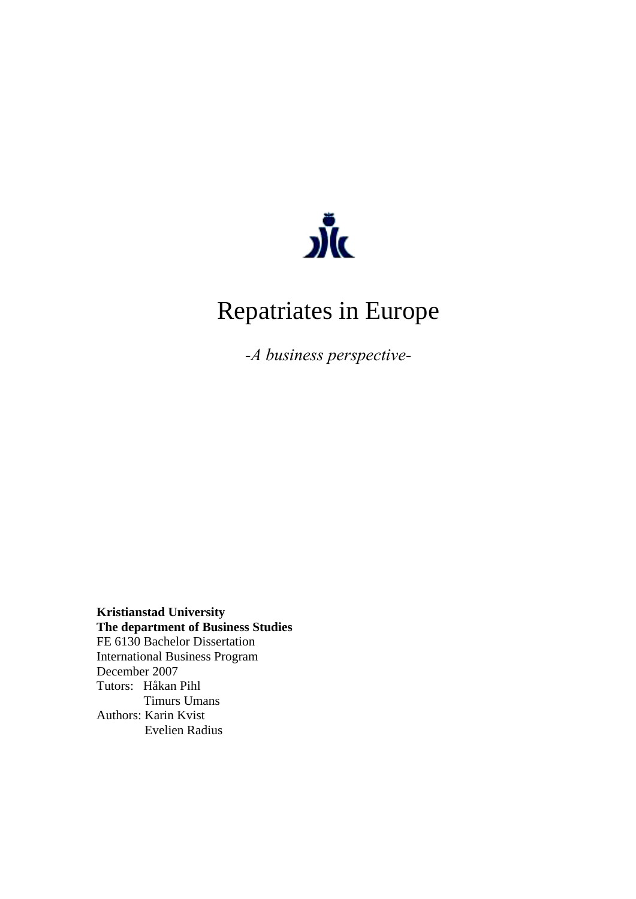

# Repatriates in Europe

*-A business perspective-*

**Kristianstad University The department of Business Studies**  FE 6130 Bachelor Dissertation International Business Program December 2007 Tutors: Håkan Pihl Timurs Umans Authors: Karin Kvist Evelien Radius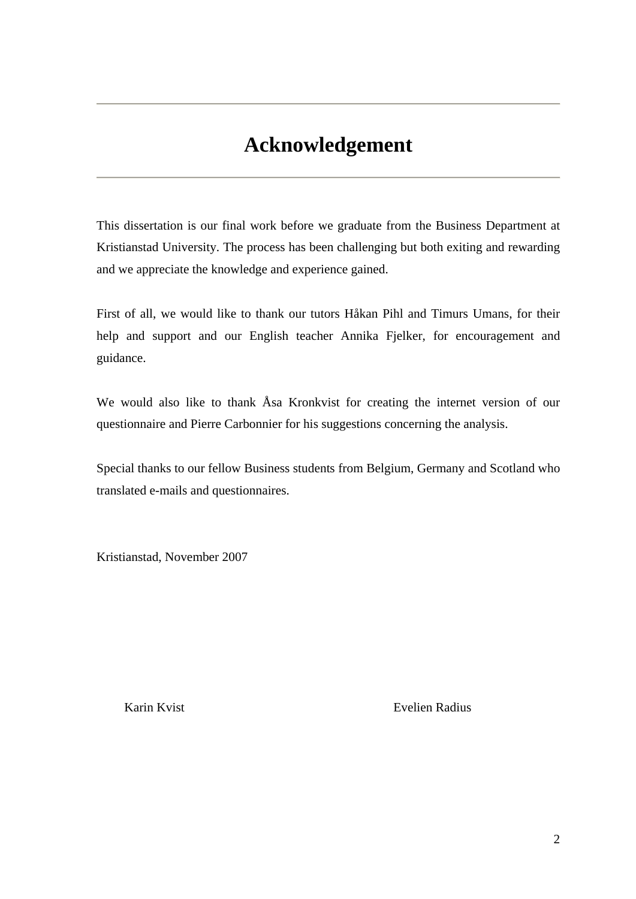## **Acknowledgement**

This dissertation is our final work before we graduate from the Business Department at Kristianstad University. The process has been challenging but both exiting and rewarding and we appreciate the knowledge and experience gained.

First of all, we would like to thank our tutors Håkan Pihl and Timurs Umans, for their help and support and our English teacher Annika Fjelker, for encouragement and guidance.

We would also like to thank Åsa Kronkvist for creating the internet version of our questionnaire and Pierre Carbonnier for his suggestions concerning the analysis.

Special thanks to our fellow Business students from Belgium, Germany and Scotland who translated e-mails and questionnaires.

Kristianstad, November 2007

Karin Kvist **Evelien Radius**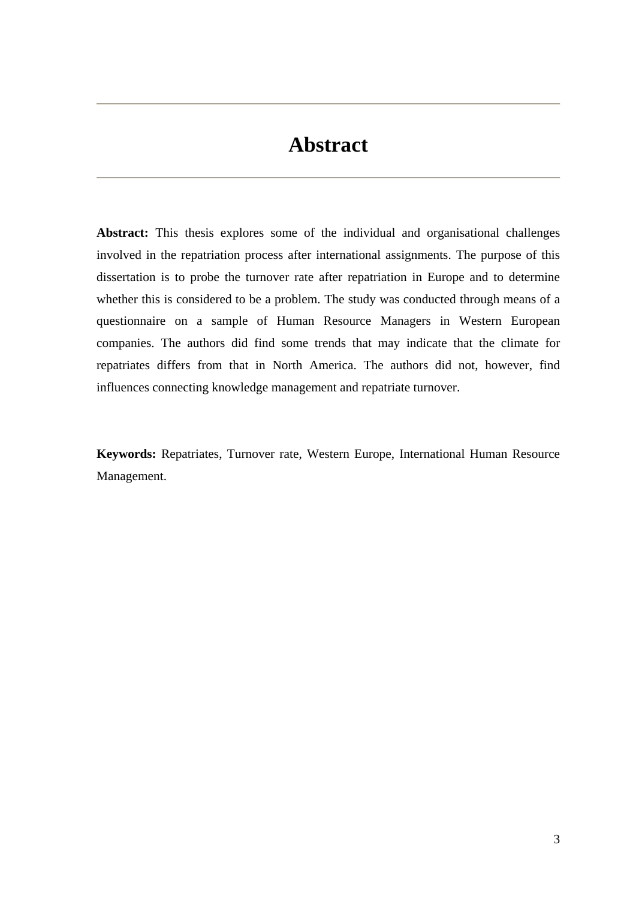## **Abstract**

**Abstract:** This thesis explores some of the individual and organisational challenges involved in the repatriation process after international assignments. The purpose of this dissertation is to probe the turnover rate after repatriation in Europe and to determine whether this is considered to be a problem. The study was conducted through means of a questionnaire on a sample of Human Resource Managers in Western European companies. The authors did find some trends that may indicate that the climate for repatriates differs from that in North America. The authors did not, however, find influences connecting knowledge management and repatriate turnover.

**Keywords:** Repatriates, Turnover rate, Western Europe, International Human Resource Management.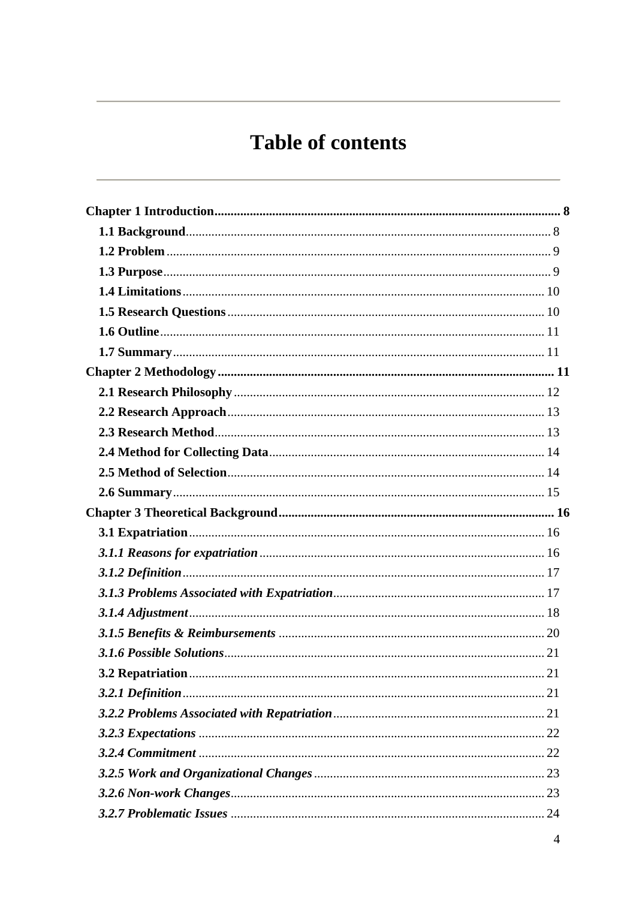# **Table of contents**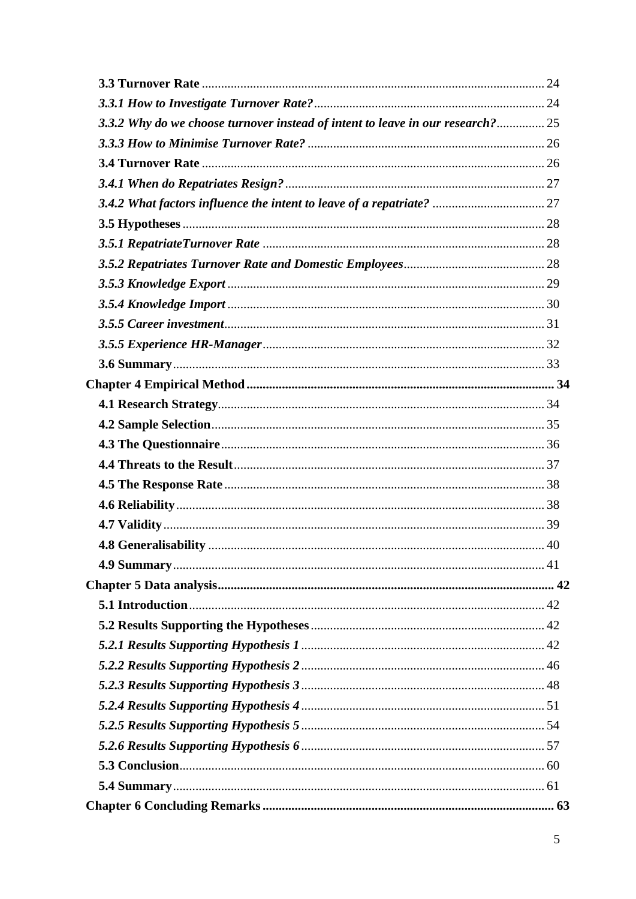| 3.3.2 Why do we choose turnover instead of intent to leave in our research? 25 |  |
|--------------------------------------------------------------------------------|--|
|                                                                                |  |
|                                                                                |  |
|                                                                                |  |
|                                                                                |  |
|                                                                                |  |
|                                                                                |  |
|                                                                                |  |
|                                                                                |  |
|                                                                                |  |
|                                                                                |  |
|                                                                                |  |
|                                                                                |  |
|                                                                                |  |
|                                                                                |  |
|                                                                                |  |
|                                                                                |  |
|                                                                                |  |
|                                                                                |  |
|                                                                                |  |
|                                                                                |  |
|                                                                                |  |
|                                                                                |  |
|                                                                                |  |
|                                                                                |  |
|                                                                                |  |
|                                                                                |  |
|                                                                                |  |
|                                                                                |  |
|                                                                                |  |
|                                                                                |  |
|                                                                                |  |
|                                                                                |  |
|                                                                                |  |
|                                                                                |  |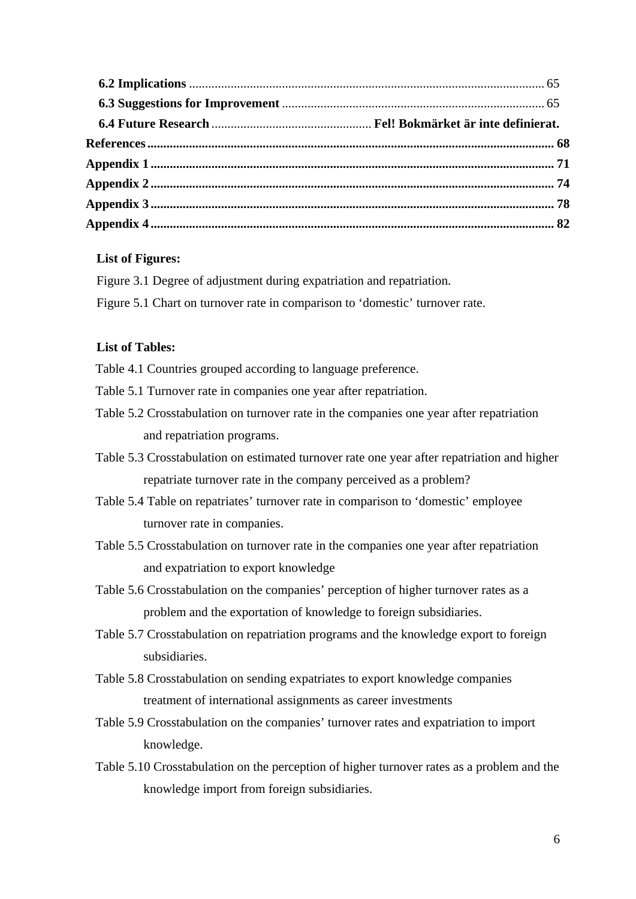## **List of Figures:**

- Figure 3.1 Degree of adjustment during expatriation and repatriation.
- Figure 5.1 Chart on turnover rate in comparison to 'domestic' turnover rate.

## **List of Tables:**

Table 4.1 Countries grouped according to language preference.

- Table 5.1 Turnover rate in companies one year after repatriation.
- Table 5.2 Crosstabulation on turnover rate in the companies one year after repatriation and repatriation programs.
- Table 5.3 Crosstabulation on estimated turnover rate one year after repatriation and higher repatriate turnover rate in the company perceived as a problem?
- Table 5.4 Table on repatriates' turnover rate in comparison to 'domestic' employee turnover rate in companies.
- Table 5.5 Crosstabulation on turnover rate in the companies one year after repatriation and expatriation to export knowledge
- Table 5.6 Crosstabulation on the companies' perception of higher turnover rates as a problem and the exportation of knowledge to foreign subsidiaries.
- Table 5.7 Crosstabulation on repatriation programs and the knowledge export to foreign subsidiaries.
- Table 5.8 Crosstabulation on sending expatriates to export knowledge companies treatment of international assignments as career investments
- Table 5.9 Crosstabulation on the companies' turnover rates and expatriation to import knowledge.
- Table 5.10 Crosstabulation on the perception of higher turnover rates as a problem and the knowledge import from foreign subsidiaries.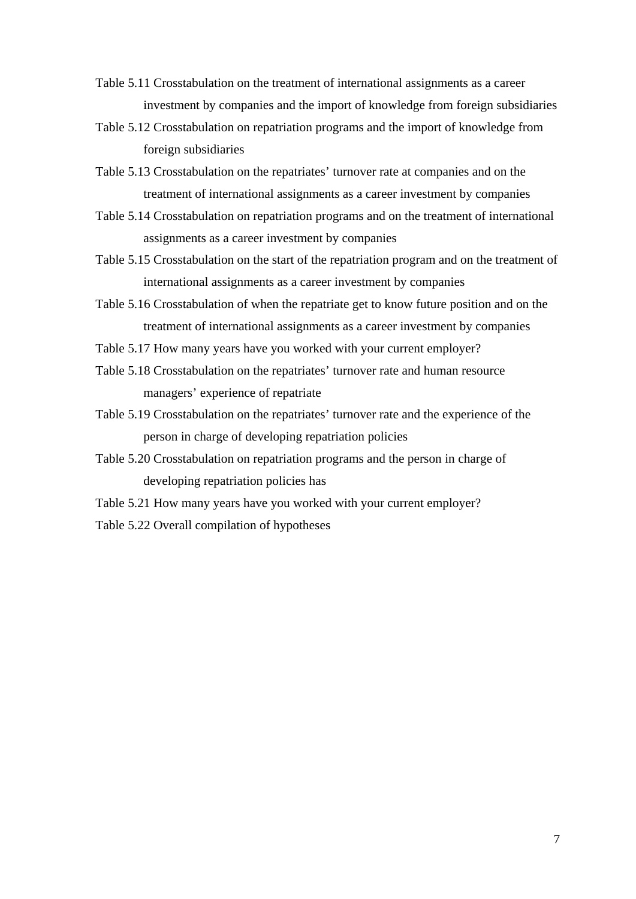- Table 5.11 Crosstabulation on the treatment of international assignments as a career investment by companies and the import of knowledge from foreign subsidiaries
- Table 5.12 Crosstabulation on repatriation programs and the import of knowledge from foreign subsidiaries
- Table 5.13 Crosstabulation on the repatriates' turnover rate at companies and on the treatment of international assignments as a career investment by companies
- Table 5.14 Crosstabulation on repatriation programs and on the treatment of international assignments as a career investment by companies
- Table 5.15 Crosstabulation on the start of the repatriation program and on the treatment of international assignments as a career investment by companies
- Table 5.16 Crosstabulation of when the repatriate get to know future position and on the treatment of international assignments as a career investment by companies
- Table 5.17 How many years have you worked with your current employer?
- Table 5.18 Crosstabulation on the repatriates' turnover rate and human resource managers' experience of repatriate
- Table 5.19 Crosstabulation on the repatriates' turnover rate and the experience of the person in charge of developing repatriation policies
- Table 5.20 Crosstabulation on repatriation programs and the person in charge of developing repatriation policies has
- Table 5.21 How many years have you worked with your current employer?
- Table 5.22 Overall compilation of hypotheses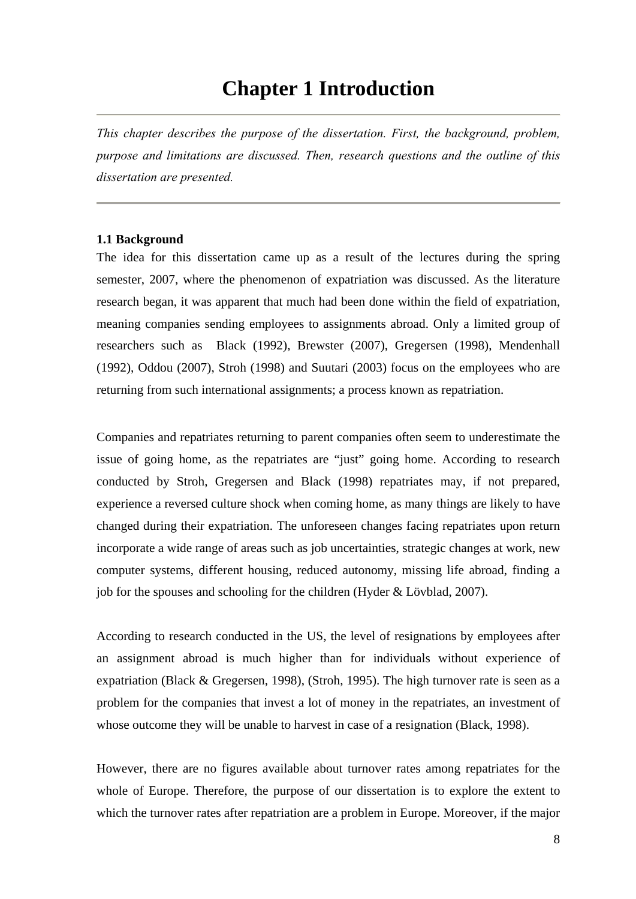## **Chapter 1 Introduction**

*This chapter describes the purpose of the dissertation. First, the background, problem, purpose and limitations are discussed. Then, research questions and the outline of this dissertation are presented.* 

#### **1.1 Background**

The idea for this dissertation came up as a result of the lectures during the spring semester, 2007, where the phenomenon of expatriation was discussed. As the literature research began, it was apparent that much had been done within the field of expatriation, meaning companies sending employees to assignments abroad. Only a limited group of researchers such as Black (1992), Brewster (2007), Gregersen (1998), Mendenhall (1992), Oddou (2007), Stroh (1998) and Suutari (2003) focus on the employees who are returning from such international assignments; a process known as repatriation.

Companies and repatriates returning to parent companies often seem to underestimate the issue of going home, as the repatriates are "just" going home. According to research conducted by Stroh, Gregersen and Black (1998) repatriates may, if not prepared, experience a reversed culture shock when coming home, as many things are likely to have changed during their expatriation. The unforeseen changes facing repatriates upon return incorporate a wide range of areas such as job uncertainties, strategic changes at work, new computer systems, different housing, reduced autonomy, missing life abroad, finding a job for the spouses and schooling for the children (Hyder & Lövblad, 2007).

According to research conducted in the US, the level of resignations by employees after an assignment abroad is much higher than for individuals without experience of expatriation (Black & Gregersen, 1998), (Stroh, 1995). The high turnover rate is seen as a problem for the companies that invest a lot of money in the repatriates, an investment of whose outcome they will be unable to harvest in case of a resignation (Black, 1998).

However, there are no figures available about turnover rates among repatriates for the whole of Europe. Therefore, the purpose of our dissertation is to explore the extent to which the turnover rates after repatriation are a problem in Europe. Moreover, if the major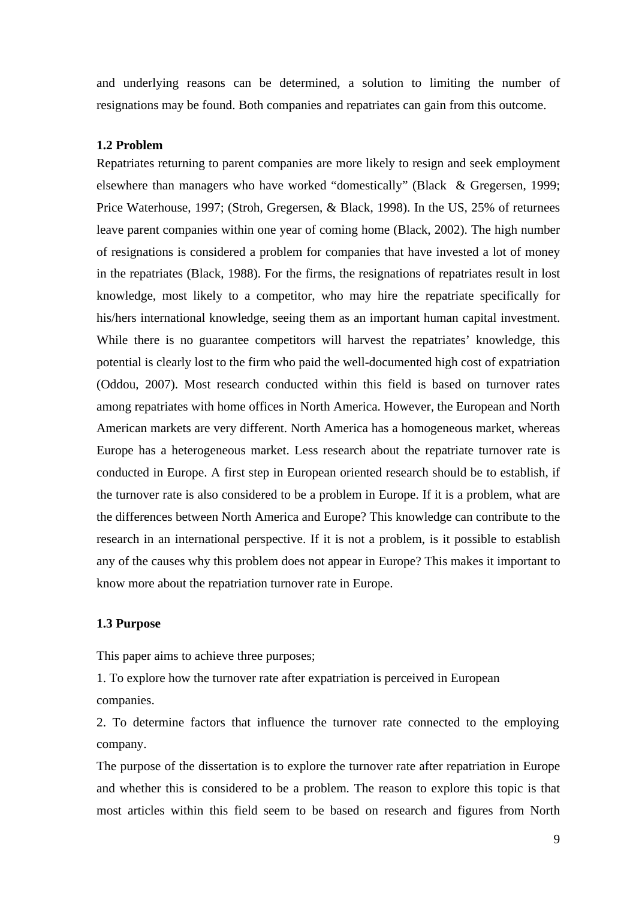and underlying reasons can be determined, a solution to limiting the number of resignations may be found. Both companies and repatriates can gain from this outcome.

#### **1.2 Problem**

Repatriates returning to parent companies are more likely to resign and seek employment elsewhere than managers who have worked "domestically" (Black & Gregersen, 1999; Price Waterhouse, 1997; (Stroh, Gregersen, & Black, 1998). In the US, 25% of returnees leave parent companies within one year of coming home (Black, 2002). The high number of resignations is considered a problem for companies that have invested a lot of money in the repatriates (Black, 1988). For the firms, the resignations of repatriates result in lost knowledge, most likely to a competitor, who may hire the repatriate specifically for his/hers international knowledge, seeing them as an important human capital investment. While there is no guarantee competitors will harvest the repatriates' knowledge, this potential is clearly lost to the firm who paid the well-documented high cost of expatriation (Oddou, 2007). Most research conducted within this field is based on turnover rates among repatriates with home offices in North America. However, the European and North American markets are very different. North America has a homogeneous market, whereas Europe has a heterogeneous market. Less research about the repatriate turnover rate is conducted in Europe. A first step in European oriented research should be to establish, if the turnover rate is also considered to be a problem in Europe. If it is a problem, what are the differences between North America and Europe? This knowledge can contribute to the research in an international perspective. If it is not a problem, is it possible to establish any of the causes why this problem does not appear in Europe? This makes it important to know more about the repatriation turnover rate in Europe.

#### **1.3 Purpose**

This paper aims to achieve three purposes;

1. To explore how the turnover rate after expatriation is perceived in European companies.

2. To determine factors that influence the turnover rate connected to the employing company.

The purpose of the dissertation is to explore the turnover rate after repatriation in Europe and whether this is considered to be a problem. The reason to explore this topic is that most articles within this field seem to be based on research and figures from North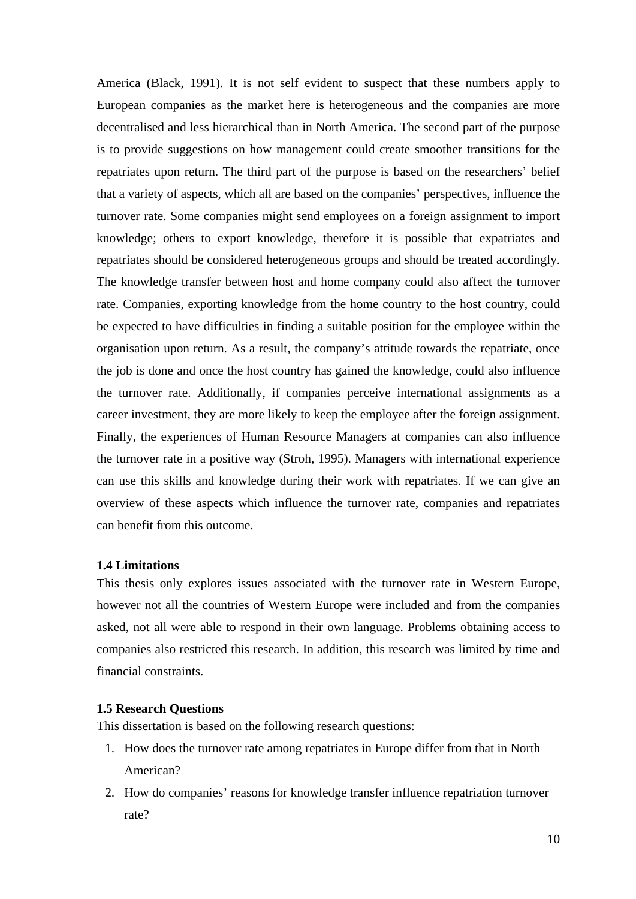America (Black, 1991). It is not self evident to suspect that these numbers apply to European companies as the market here is heterogeneous and the companies are more decentralised and less hierarchical than in North America. The second part of the purpose is to provide suggestions on how management could create smoother transitions for the repatriates upon return. The third part of the purpose is based on the researchers' belief that a variety of aspects, which all are based on the companies' perspectives, influence the turnover rate. Some companies might send employees on a foreign assignment to import knowledge; others to export knowledge, therefore it is possible that expatriates and repatriates should be considered heterogeneous groups and should be treated accordingly. The knowledge transfer between host and home company could also affect the turnover rate. Companies, exporting knowledge from the home country to the host country, could be expected to have difficulties in finding a suitable position for the employee within the organisation upon return. As a result, the company's attitude towards the repatriate, once the job is done and once the host country has gained the knowledge, could also influence the turnover rate. Additionally, if companies perceive international assignments as a career investment, they are more likely to keep the employee after the foreign assignment. Finally, the experiences of Human Resource Managers at companies can also influence the turnover rate in a positive way (Stroh, 1995). Managers with international experience can use this skills and knowledge during their work with repatriates. If we can give an overview of these aspects which influence the turnover rate, companies and repatriates can benefit from this outcome.

#### **1.4 Limitations**

This thesis only explores issues associated with the turnover rate in Western Europe, however not all the countries of Western Europe were included and from the companies asked, not all were able to respond in their own language. Problems obtaining access to companies also restricted this research. In addition, this research was limited by time and financial constraints.

## **1.5 Research Questions**

This dissertation is based on the following research questions:

- 1. How does the turnover rate among repatriates in Europe differ from that in North American?
- 2. How do companies' reasons for knowledge transfer influence repatriation turnover rate?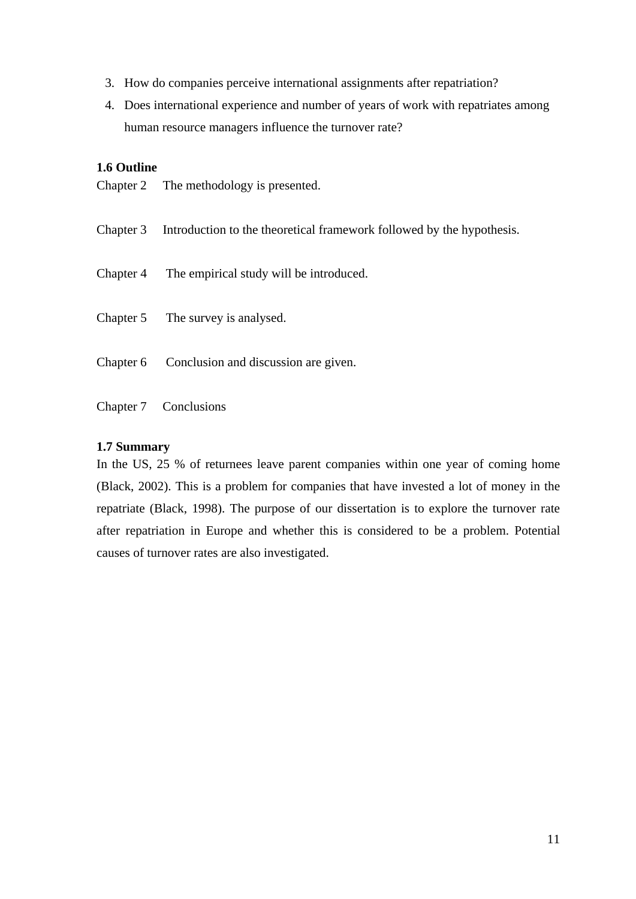- 3. How do companies perceive international assignments after repatriation?
- 4. Does international experience and number of years of work with repatriates among human resource managers influence the turnover rate?

## **1.6 Outline**

- Chapter 2 The methodology is presented.
- Chapter 3 Introduction to the theoretical framework followed by the hypothesis.
- Chapter 4 The empirical study will be introduced.
- Chapter 5 The survey is analysed.
- Chapter 6 Conclusion and discussion are given.
- Chapter 7 Conclusions

### **1.7 Summary**

In the US, 25 % of returnees leave parent companies within one year of coming home (Black, 2002). This is a problem for companies that have invested a lot of money in the repatriate (Black, 1998). The purpose of our dissertation is to explore the turnover rate after repatriation in Europe and whether this is considered to be a problem. Potential causes of turnover rates are also investigated.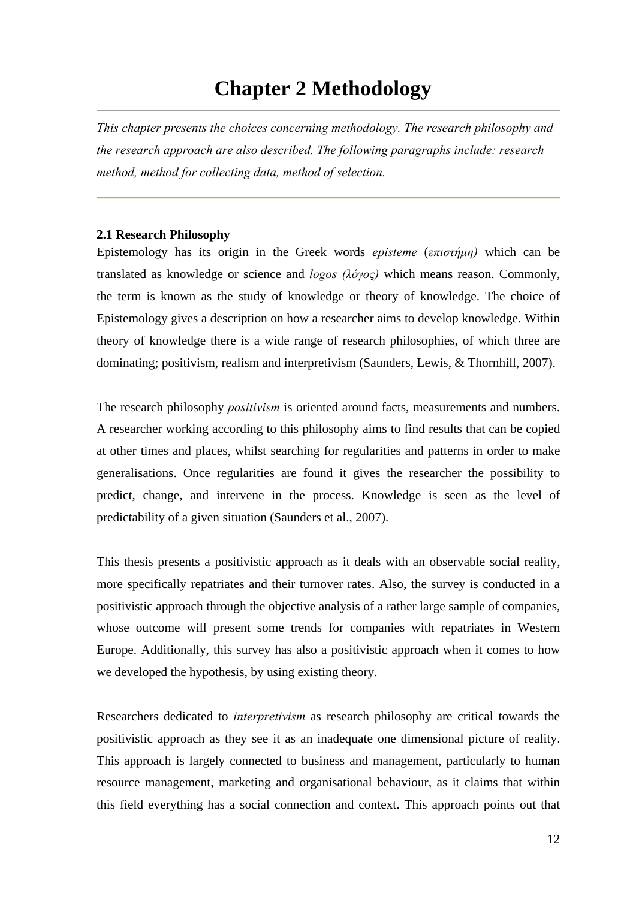## **Chapter 2 Methodology**

*This chapter presents the choices concerning methodology. The research philosophy and the research approach are also described. The following paragraphs include: research method, method for collecting data, method of selection.* 

## **2.1 Research Philosophy**

Epistemology has its origin in the Greek words *episteme* (*επιστήμη)* which can be translated as knowledge or science and *logos (λόγος)* which means reason. Commonly, the term is known as the study of knowledge or theory of knowledge. The choice of Epistemology gives a description on how a researcher aims to develop knowledge. Within theory of knowledge there is a wide range of research philosophies, of which three are dominating; positivism, realism and interpretivism (Saunders, Lewis, & Thornhill, 2007).

The research philosophy *positivism* is oriented around facts, measurements and numbers. A researcher working according to this philosophy aims to find results that can be copied at other times and places, whilst searching for regularities and patterns in order to make generalisations. Once regularities are found it gives the researcher the possibility to predict, change, and intervene in the process. Knowledge is seen as the level of predictability of a given situation (Saunders et al., 2007).

This thesis presents a positivistic approach as it deals with an observable social reality, more specifically repatriates and their turnover rates. Also, the survey is conducted in a positivistic approach through the objective analysis of a rather large sample of companies, whose outcome will present some trends for companies with repatriates in Western Europe. Additionally, this survey has also a positivistic approach when it comes to how we developed the hypothesis, by using existing theory.

Researchers dedicated to *interpretivism* as research philosophy are critical towards the positivistic approach as they see it as an inadequate one dimensional picture of reality. This approach is largely connected to business and management, particularly to human resource management, marketing and organisational behaviour, as it claims that within this field everything has a social connection and context. This approach points out that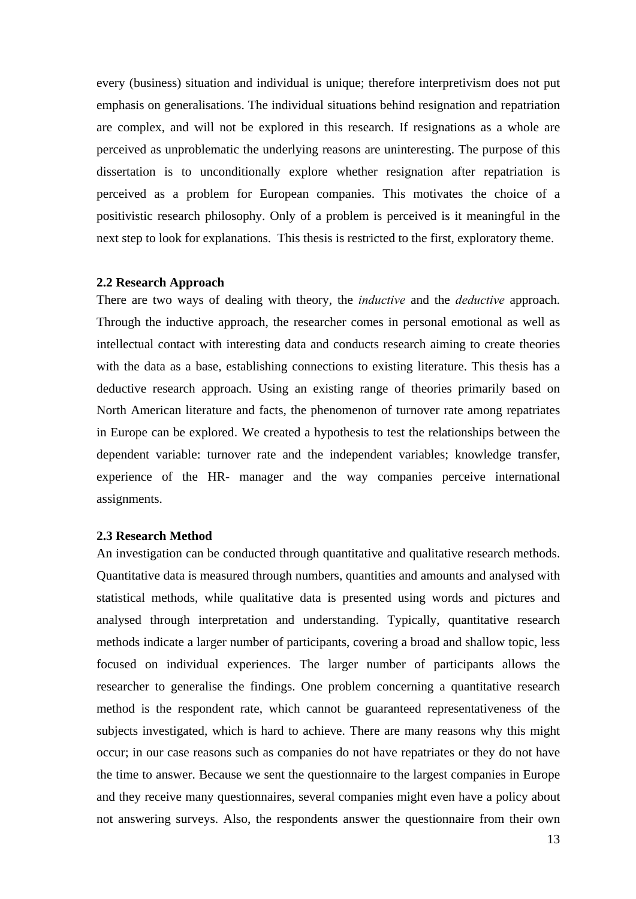every (business) situation and individual is unique; therefore interpretivism does not put emphasis on generalisations. The individual situations behind resignation and repatriation are complex, and will not be explored in this research. If resignations as a whole are perceived as unproblematic the underlying reasons are uninteresting. The purpose of this dissertation is to unconditionally explore whether resignation after repatriation is perceived as a problem for European companies. This motivates the choice of a positivistic research philosophy. Only of a problem is perceived is it meaningful in the next step to look for explanations. This thesis is restricted to the first, exploratory theme.

#### **2.2 Research Approach**

There are two ways of dealing with theory, the *inductive* and the *deductive* approach. Through the inductive approach, the researcher comes in personal emotional as well as intellectual contact with interesting data and conducts research aiming to create theories with the data as a base, establishing connections to existing literature. This thesis has a deductive research approach. Using an existing range of theories primarily based on North American literature and facts, the phenomenon of turnover rate among repatriates in Europe can be explored. We created a hypothesis to test the relationships between the dependent variable: turnover rate and the independent variables; knowledge transfer, experience of the HR- manager and the way companies perceive international assignments.

## **2.3 Research Method**

An investigation can be conducted through quantitative and qualitative research methods. Quantitative data is measured through numbers, quantities and amounts and analysed with statistical methods, while qualitative data is presented using words and pictures and analysed through interpretation and understanding. Typically, quantitative research methods indicate a larger number of participants, covering a broad and shallow topic, less focused on individual experiences. The larger number of participants allows the researcher to generalise the findings. One problem concerning a quantitative research method is the respondent rate, which cannot be guaranteed representativeness of the subjects investigated, which is hard to achieve. There are many reasons why this might occur; in our case reasons such as companies do not have repatriates or they do not have the time to answer. Because we sent the questionnaire to the largest companies in Europe and they receive many questionnaires, several companies might even have a policy about not answering surveys. Also, the respondents answer the questionnaire from their own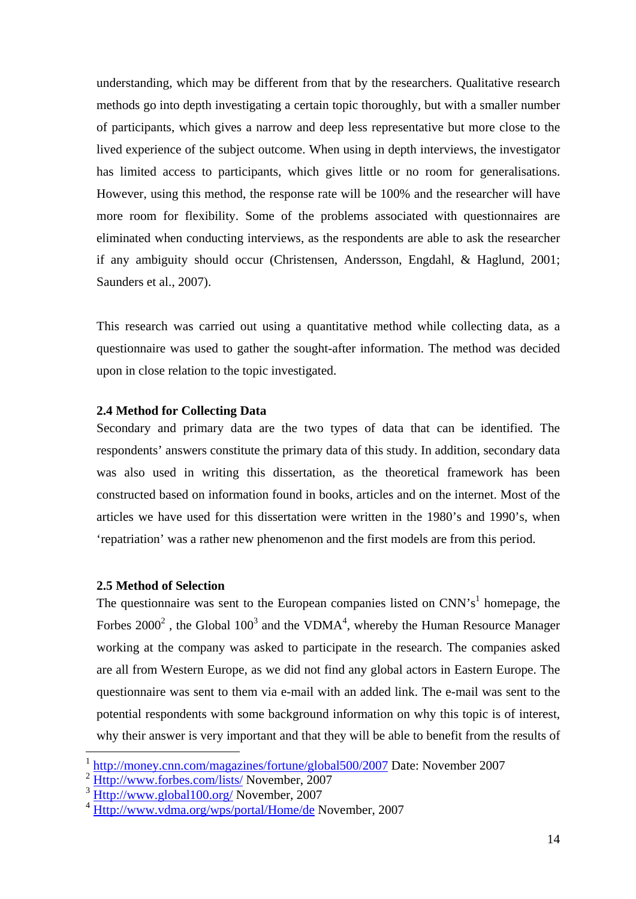understanding, which may be different from that by the researchers. Qualitative research methods go into depth investigating a certain topic thoroughly, but with a smaller number of participants, which gives a narrow and deep less representative but more close to the lived experience of the subject outcome. When using in depth interviews, the investigator has limited access to participants, which gives little or no room for generalisations. However, using this method, the response rate will be 100% and the researcher will have more room for flexibility. Some of the problems associated with questionnaires are eliminated when conducting interviews, as the respondents are able to ask the researcher if any ambiguity should occur (Christensen, Andersson, Engdahl, & Haglund, 2001; Saunders et al., 2007).

This research was carried out using a quantitative method while collecting data, as a questionnaire was used to gather the sought-after information. The method was decided upon in close relation to the topic investigated.

## **2.4 Method for Collecting Data**

Secondary and primary data are the two types of data that can be identified. The respondents' answers constitute the primary data of this study. In addition, secondary data was also used in writing this dissertation, as the theoretical framework has been constructed based on information found in books, articles and on the internet. Most of the articles we have used for this dissertation were written in the 1980's and 1990's, when 'repatriation' was a rather new phenomenon and the first models are from this period.

## **2.5 Method of Selection**

 $\overline{a}$ 

The questionnaire was sent to the European companies listed on  $CNN's<sup>1</sup>$  homepage, the Forbes  $2000^2$ , the Global  $100^3$  and the VDMA<sup>4</sup>, whereby the Human Resource Manager working at the company was asked to participate in the research. The companies asked are all from Western Europe, as we did not find any global actors in Eastern Europe. The questionnaire was sent to them via e-mail with an added link. The e-mail was sent to the potential respondents with some background information on why this topic is of interest, why their answer is very important and that they will be able to benefit from the results of

<sup>1</sup> http://money.cnn.com/magazines/fortune/global500/2007 Date: November 2007

<sup>&</sup>lt;sup>2</sup> Http://www.forbes.com/lists/ November, 2007

 $3 \frac{\text{Http://www.global100.org/ November}}{\text{Http://www.global100.org/ November}}$ 

Http://www.vdma.org/wps/portal/Home/de November, 2007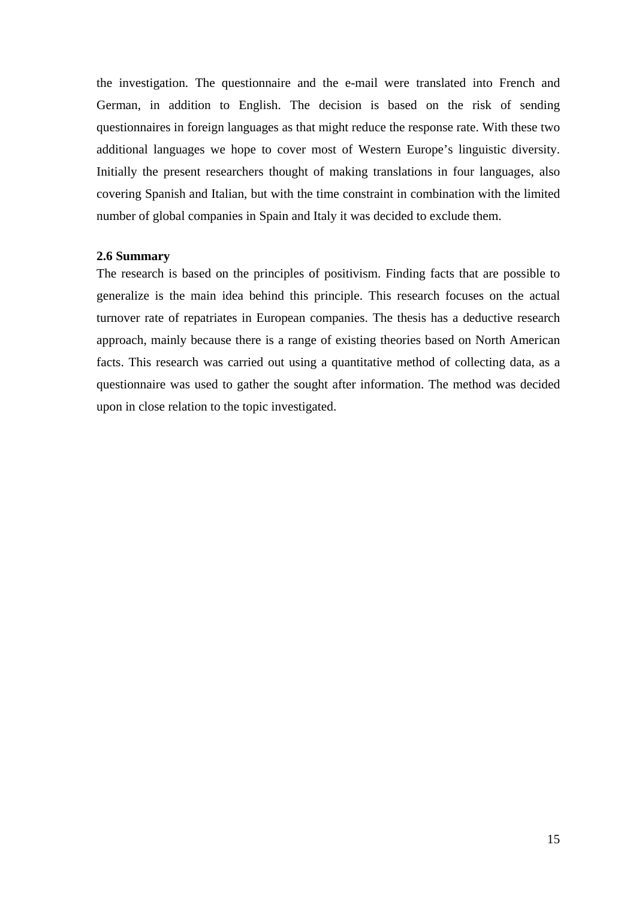the investigation. The questionnaire and the e-mail were translated into French and German, in addition to English. The decision is based on the risk of sending questionnaires in foreign languages as that might reduce the response rate. With these two additional languages we hope to cover most of Western Europe's linguistic diversity. Initially the present researchers thought of making translations in four languages, also covering Spanish and Italian, but with the time constraint in combination with the limited number of global companies in Spain and Italy it was decided to exclude them.

## **2.6 Summary**

The research is based on the principles of positivism. Finding facts that are possible to generalize is the main idea behind this principle. This research focuses on the actual turnover rate of repatriates in European companies. The thesis has a deductive research approach, mainly because there is a range of existing theories based on North American facts. This research was carried out using a quantitative method of collecting data, as a questionnaire was used to gather the sought after information. The method was decided upon in close relation to the topic investigated.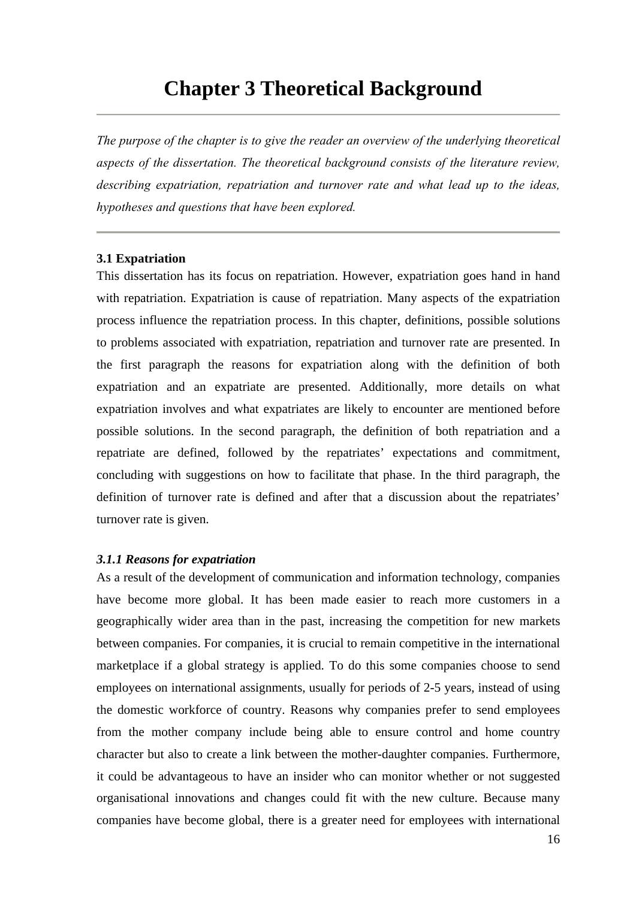## **Chapter 3 Theoretical Background**

*The purpose of the chapter is to give the reader an overview of the underlying theoretical aspects of the dissertation. The theoretical background consists of the literature review, describing expatriation, repatriation and turnover rate and what lead up to the ideas, hypotheses and questions that have been explored.* 

#### **3.1 Expatriation**

This dissertation has its focus on repatriation. However, expatriation goes hand in hand with repatriation. Expatriation is cause of repatriation. Many aspects of the expatriation process influence the repatriation process. In this chapter, definitions, possible solutions to problems associated with expatriation, repatriation and turnover rate are presented. In the first paragraph the reasons for expatriation along with the definition of both expatriation and an expatriate are presented. Additionally, more details on what expatriation involves and what expatriates are likely to encounter are mentioned before possible solutions. In the second paragraph, the definition of both repatriation and a repatriate are defined, followed by the repatriates' expectations and commitment, concluding with suggestions on how to facilitate that phase. In the third paragraph, the definition of turnover rate is defined and after that a discussion about the repatriates' turnover rate is given.

## *3.1.1 Reasons for expatriation*

As a result of the development of communication and information technology, companies have become more global. It has been made easier to reach more customers in a geographically wider area than in the past, increasing the competition for new markets between companies. For companies, it is crucial to remain competitive in the international marketplace if a global strategy is applied. To do this some companies choose to send employees on international assignments, usually for periods of 2-5 years, instead of using the domestic workforce of country. Reasons why companies prefer to send employees from the mother company include being able to ensure control and home country character but also to create a link between the mother-daughter companies. Furthermore, it could be advantageous to have an insider who can monitor whether or not suggested organisational innovations and changes could fit with the new culture. Because many companies have become global, there is a greater need for employees with international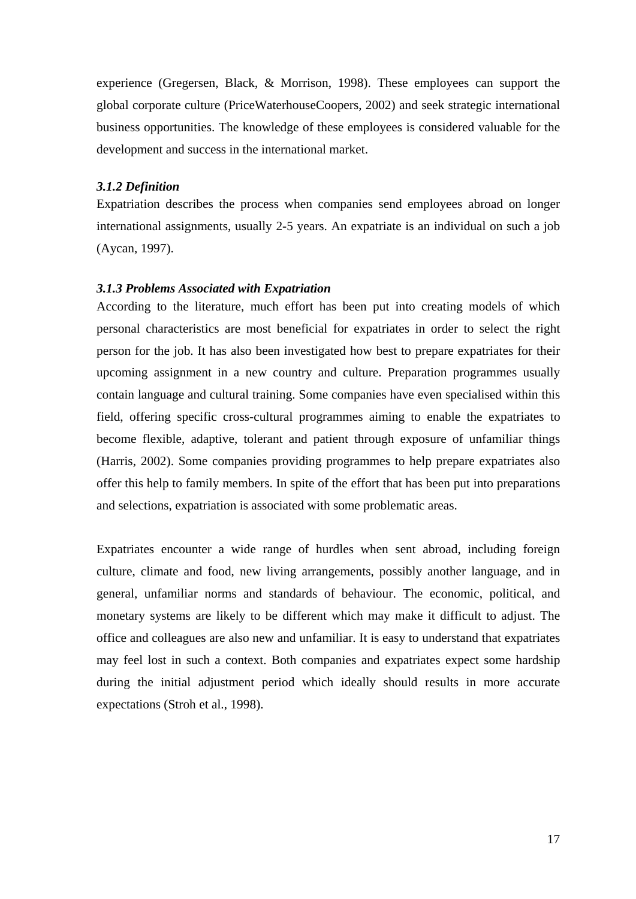experience (Gregersen, Black, & Morrison, 1998). These employees can support the global corporate culture (PriceWaterhouseCoopers, 2002) and seek strategic international business opportunities. The knowledge of these employees is considered valuable for the development and success in the international market.

## *3.1.2 Definition*

Expatriation describes the process when companies send employees abroad on longer international assignments, usually 2-5 years. An expatriate is an individual on such a job (Aycan, 1997).

## *3.1.3 Problems Associated with Expatriation*

According to the literature, much effort has been put into creating models of which personal characteristics are most beneficial for expatriates in order to select the right person for the job. It has also been investigated how best to prepare expatriates for their upcoming assignment in a new country and culture. Preparation programmes usually contain language and cultural training. Some companies have even specialised within this field, offering specific cross-cultural programmes aiming to enable the expatriates to become flexible, adaptive, tolerant and patient through exposure of unfamiliar things (Harris, 2002). Some companies providing programmes to help prepare expatriates also offer this help to family members. In spite of the effort that has been put into preparations and selections, expatriation is associated with some problematic areas.

Expatriates encounter a wide range of hurdles when sent abroad, including foreign culture, climate and food, new living arrangements, possibly another language, and in general, unfamiliar norms and standards of behaviour. The economic, political, and monetary systems are likely to be different which may make it difficult to adjust. The office and colleagues are also new and unfamiliar. It is easy to understand that expatriates may feel lost in such a context. Both companies and expatriates expect some hardship during the initial adjustment period which ideally should results in more accurate expectations (Stroh et al., 1998).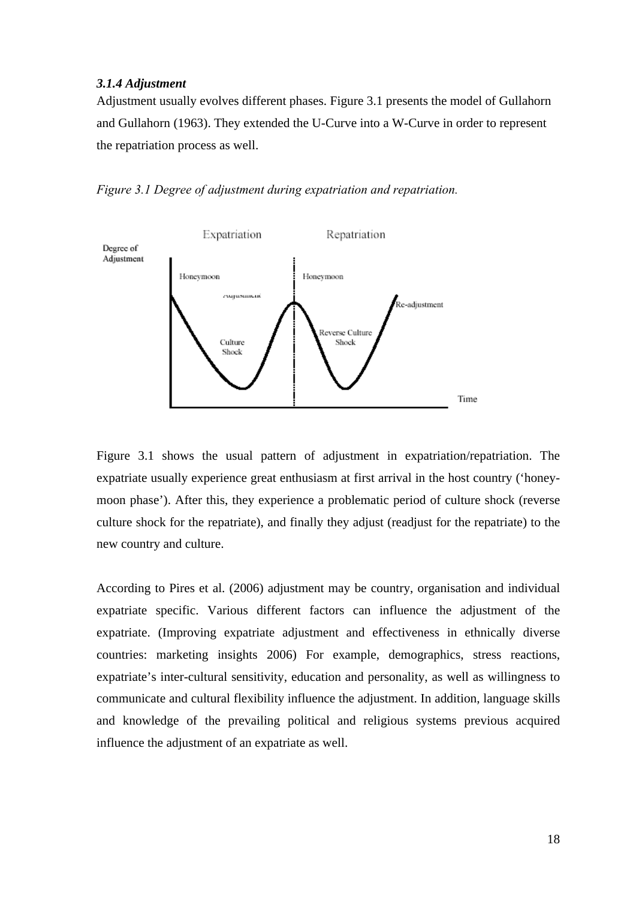### *3.1.4 Adjustment*

Adjustment usually evolves different phases. Figure 3.1 presents the model of Gullahorn and Gullahorn (1963). They extended the U-Curve into a W-Curve in order to represent the repatriation process as well.

*Figure 3.1 Degree of adjustment during expatriation and repatriation.* 



Figure 3.1 shows the usual pattern of adjustment in expatriation/repatriation. The expatriate usually experience great enthusiasm at first arrival in the host country ('honeymoon phase'). After this, they experience a problematic period of culture shock (reverse culture shock for the repatriate), and finally they adjust (readjust for the repatriate) to the new country and culture.

According to Pires et al. (2006) adjustment may be country, organisation and individual expatriate specific. Various different factors can influence the adjustment of the expatriate. (Improving expatriate adjustment and effectiveness in ethnically diverse countries: marketing insights 2006) For example, demographics, stress reactions, expatriate's inter-cultural sensitivity, education and personality, as well as willingness to communicate and cultural flexibility influence the adjustment. In addition, language skills and knowledge of the prevailing political and religious systems previous acquired influence the adjustment of an expatriate as well.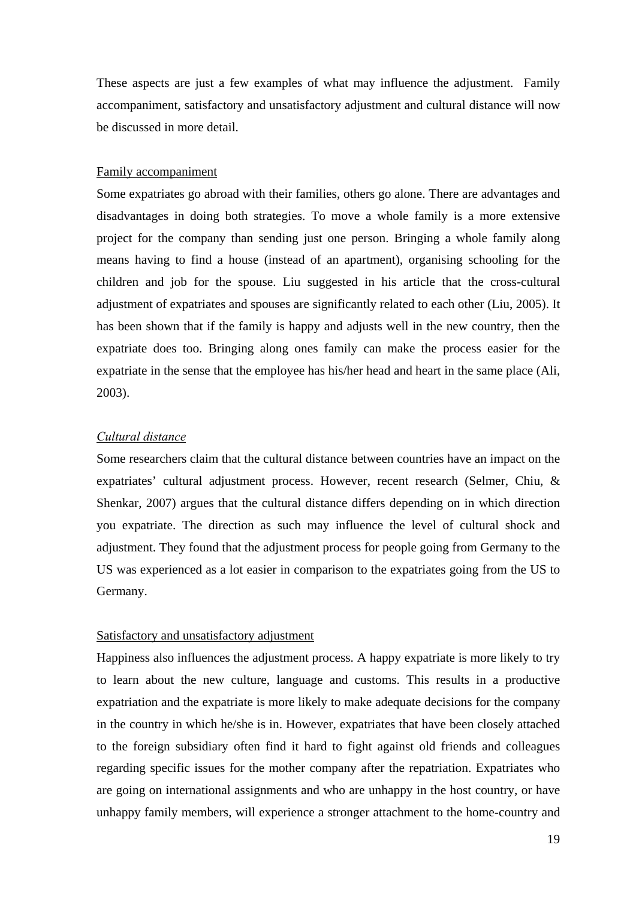These aspects are just a few examples of what may influence the adjustment. Family accompaniment, satisfactory and unsatisfactory adjustment and cultural distance will now be discussed in more detail.

### Family accompaniment

Some expatriates go abroad with their families, others go alone. There are advantages and disadvantages in doing both strategies. To move a whole family is a more extensive project for the company than sending just one person. Bringing a whole family along means having to find a house (instead of an apartment), organising schooling for the children and job for the spouse. Liu suggested in his article that the cross-cultural adjustment of expatriates and spouses are significantly related to each other (Liu, 2005). It has been shown that if the family is happy and adjusts well in the new country, then the expatriate does too. Bringing along ones family can make the process easier for the expatriate in the sense that the employee has his/her head and heart in the same place (Ali, 2003).

## *Cultural distance*

Some researchers claim that the cultural distance between countries have an impact on the expatriates' cultural adjustment process. However, recent research (Selmer, Chiu, & Shenkar, 2007) argues that the cultural distance differs depending on in which direction you expatriate. The direction as such may influence the level of cultural shock and adjustment. They found that the adjustment process for people going from Germany to the US was experienced as a lot easier in comparison to the expatriates going from the US to Germany.

#### Satisfactory and unsatisfactory adjustment

Happiness also influences the adjustment process. A happy expatriate is more likely to try to learn about the new culture, language and customs. This results in a productive expatriation and the expatriate is more likely to make adequate decisions for the company in the country in which he/she is in. However, expatriates that have been closely attached to the foreign subsidiary often find it hard to fight against old friends and colleagues regarding specific issues for the mother company after the repatriation. Expatriates who are going on international assignments and who are unhappy in the host country, or have unhappy family members, will experience a stronger attachment to the home-country and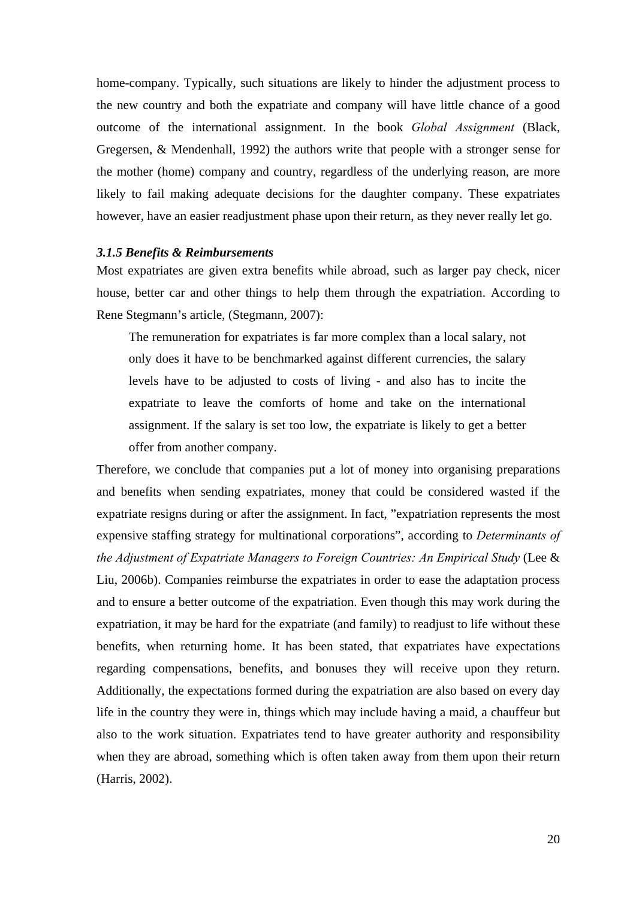home-company. Typically, such situations are likely to hinder the adjustment process to the new country and both the expatriate and company will have little chance of a good outcome of the international assignment. In the book *Global Assignment* (Black, Gregersen, & Mendenhall, 1992) the authors write that people with a stronger sense for the mother (home) company and country, regardless of the underlying reason, are more likely to fail making adequate decisions for the daughter company. These expatriates however, have an easier readjustment phase upon their return, as they never really let go.

## *3.1.5 Benefits & Reimbursements*

Most expatriates are given extra benefits while abroad, such as larger pay check, nicer house, better car and other things to help them through the expatriation. According to Rene Stegmann's article, (Stegmann, 2007):

The remuneration for expatriates is far more complex than a local salary, not only does it have to be benchmarked against different currencies, the salary levels have to be adjusted to costs of living - and also has to incite the expatriate to leave the comforts of home and take on the international assignment. If the salary is set too low, the expatriate is likely to get a better offer from another company.

Therefore, we conclude that companies put a lot of money into organising preparations and benefits when sending expatriates, money that could be considered wasted if the expatriate resigns during or after the assignment. In fact, "expatriation represents the most expensive staffing strategy for multinational corporations", according to *Determinants of the Adjustment of Expatriate Managers to Foreign Countries: An Empirical Study* (Lee & Liu, 2006b). Companies reimburse the expatriates in order to ease the adaptation process and to ensure a better outcome of the expatriation. Even though this may work during the expatriation, it may be hard for the expatriate (and family) to readjust to life without these benefits, when returning home. It has been stated, that expatriates have expectations regarding compensations, benefits, and bonuses they will receive upon they return. Additionally, the expectations formed during the expatriation are also based on every day life in the country they were in, things which may include having a maid, a chauffeur but also to the work situation. Expatriates tend to have greater authority and responsibility when they are abroad, something which is often taken away from them upon their return (Harris, 2002).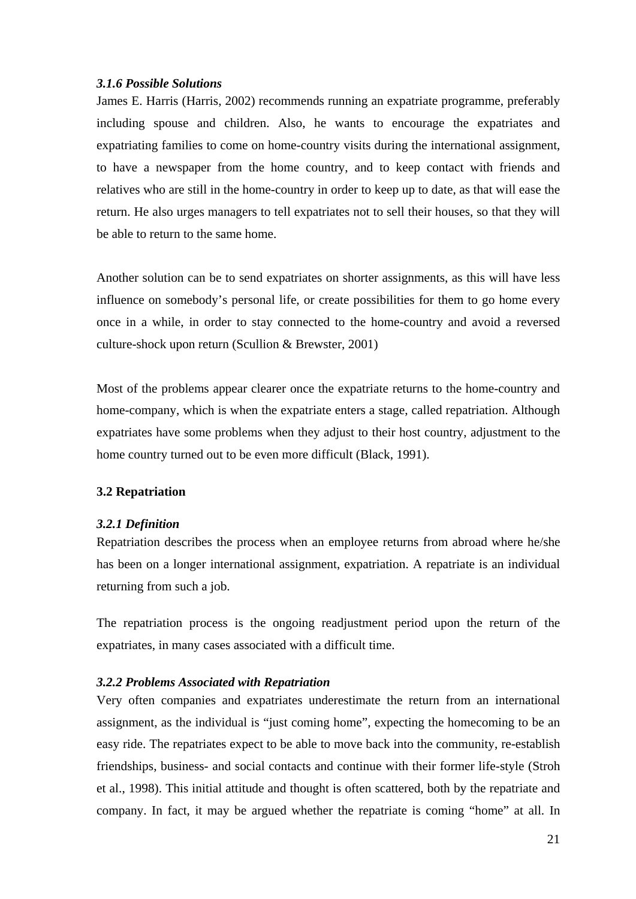## *3.1.6 Possible Solutions*

James E. Harris (Harris, 2002) recommends running an expatriate programme, preferably including spouse and children. Also, he wants to encourage the expatriates and expatriating families to come on home-country visits during the international assignment, to have a newspaper from the home country, and to keep contact with friends and relatives who are still in the home-country in order to keep up to date, as that will ease the return. He also urges managers to tell expatriates not to sell their houses, so that they will be able to return to the same home.

Another solution can be to send expatriates on shorter assignments, as this will have less influence on somebody's personal life, or create possibilities for them to go home every once in a while, in order to stay connected to the home-country and avoid a reversed culture-shock upon return (Scullion & Brewster, 2001)

Most of the problems appear clearer once the expatriate returns to the home-country and home-company, which is when the expatriate enters a stage, called repatriation. Although expatriates have some problems when they adjust to their host country, adjustment to the home country turned out to be even more difficult (Black, 1991).

## **3.2 Repatriation**

## *3.2.1 Definition*

Repatriation describes the process when an employee returns from abroad where he/she has been on a longer international assignment, expatriation. A repatriate is an individual returning from such a job.

The repatriation process is the ongoing readjustment period upon the return of the expatriates, in many cases associated with a difficult time.

## *3.2.2 Problems Associated with Repatriation*

Very often companies and expatriates underestimate the return from an international assignment, as the individual is "just coming home", expecting the homecoming to be an easy ride. The repatriates expect to be able to move back into the community, re-establish friendships, business- and social contacts and continue with their former life-style (Stroh et al., 1998). This initial attitude and thought is often scattered, both by the repatriate and company. In fact, it may be argued whether the repatriate is coming "home" at all. In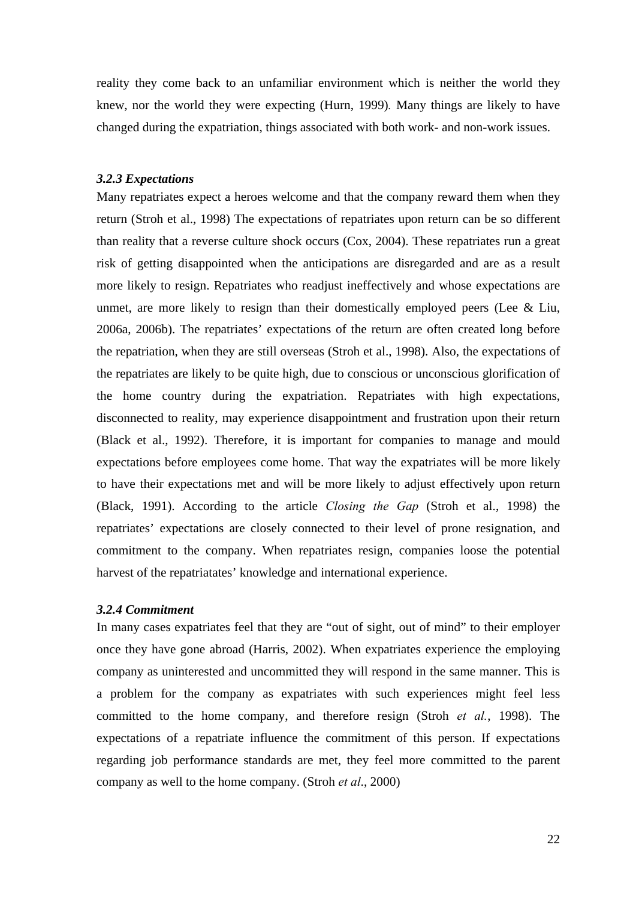reality they come back to an unfamiliar environment which is neither the world they knew, nor the world they were expecting (Hurn, 1999)*.* Many things are likely to have changed during the expatriation, things associated with both work- and non-work issues.

#### *3.2.3 Expectations*

Many repatriates expect a heroes welcome and that the company reward them when they return (Stroh et al., 1998) The expectations of repatriates upon return can be so different than reality that a reverse culture shock occurs (Cox, 2004). These repatriates run a great risk of getting disappointed when the anticipations are disregarded and are as a result more likely to resign. Repatriates who readjust ineffectively and whose expectations are unmet, are more likely to resign than their domestically employed peers (Lee & Liu, 2006a, 2006b). The repatriates' expectations of the return are often created long before the repatriation, when they are still overseas (Stroh et al., 1998). Also, the expectations of the repatriates are likely to be quite high, due to conscious or unconscious glorification of the home country during the expatriation. Repatriates with high expectations, disconnected to reality, may experience disappointment and frustration upon their return (Black et al., 1992). Therefore, it is important for companies to manage and mould expectations before employees come home. That way the expatriates will be more likely to have their expectations met and will be more likely to adjust effectively upon return (Black, 1991). According to the article *Closing the Gap* (Stroh et al., 1998) the repatriates' expectations are closely connected to their level of prone resignation, and commitment to the company. When repatriates resign, companies loose the potential harvest of the repatriatates' knowledge and international experience.

## *3.2.4 Commitment*

In many cases expatriates feel that they are "out of sight, out of mind" to their employer once they have gone abroad (Harris, 2002). When expatriates experience the employing company as uninterested and uncommitted they will respond in the same manner. This is a problem for the company as expatriates with such experiences might feel less committed to the home company, and therefore resign (Stroh *et al.*, 1998). The expectations of a repatriate influence the commitment of this person. If expectations regarding job performance standards are met, they feel more committed to the parent company as well to the home company. (Stroh *et al*., 2000)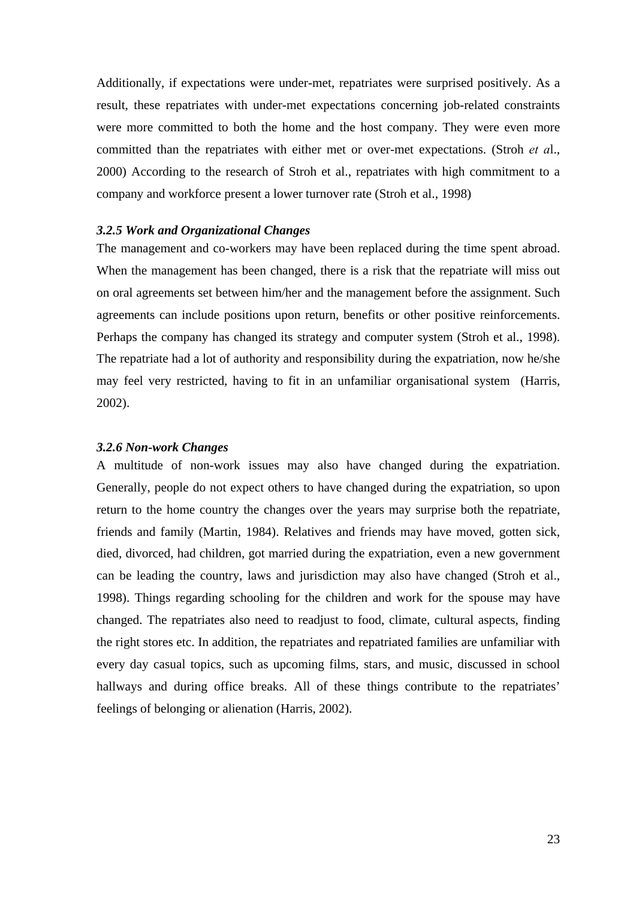Additionally, if expectations were under-met, repatriates were surprised positively. As a result, these repatriates with under-met expectations concerning job-related constraints were more committed to both the home and the host company. They were even more committed than the repatriates with either met or over-met expectations. (Stroh *et a*l., 2000) According to the research of Stroh et al., repatriates with high commitment to a company and workforce present a lower turnover rate (Stroh et al., 1998)

## *3.2.5 Work and Organizational Changes*

The management and co-workers may have been replaced during the time spent abroad. When the management has been changed, there is a risk that the repatriate will miss out on oral agreements set between him/her and the management before the assignment. Such agreements can include positions upon return, benefits or other positive reinforcements. Perhaps the company has changed its strategy and computer system (Stroh et al., 1998). The repatriate had a lot of authority and responsibility during the expatriation, now he/she may feel very restricted, having to fit in an unfamiliar organisational system (Harris, 2002).

#### *3.2.6 Non-work Changes*

A multitude of non-work issues may also have changed during the expatriation. Generally, people do not expect others to have changed during the expatriation, so upon return to the home country the changes over the years may surprise both the repatriate, friends and family (Martin, 1984). Relatives and friends may have moved, gotten sick, died, divorced, had children, got married during the expatriation, even a new government can be leading the country, laws and jurisdiction may also have changed (Stroh et al., 1998). Things regarding schooling for the children and work for the spouse may have changed. The repatriates also need to readjust to food, climate, cultural aspects, finding the right stores etc. In addition, the repatriates and repatriated families are unfamiliar with every day casual topics, such as upcoming films, stars, and music, discussed in school hallways and during office breaks. All of these things contribute to the repatriates' feelings of belonging or alienation (Harris, 2002).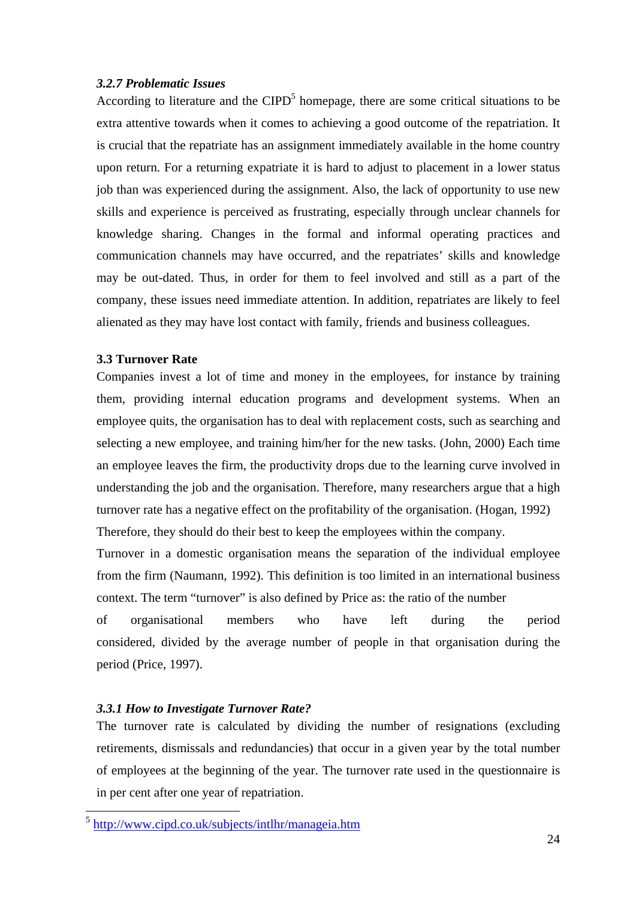## *3.2.7 Problematic Issues*

According to literature and the  $CIPD<sup>5</sup>$  homepage, there are some critical situations to be extra attentive towards when it comes to achieving a good outcome of the repatriation. It is crucial that the repatriate has an assignment immediately available in the home country upon return. For a returning expatriate it is hard to adjust to placement in a lower status job than was experienced during the assignment. Also, the lack of opportunity to use new skills and experience is perceived as frustrating, especially through unclear channels for knowledge sharing. Changes in the formal and informal operating practices and communication channels may have occurred, and the repatriates' skills and knowledge may be out-dated. Thus, in order for them to feel involved and still as a part of the company, these issues need immediate attention. In addition, repatriates are likely to feel alienated as they may have lost contact with family, friends and business colleagues.

## **3.3 Turnover Rate**

Companies invest a lot of time and money in the employees, for instance by training them, providing internal education programs and development systems. When an employee quits, the organisation has to deal with replacement costs, such as searching and selecting a new employee, and training him/her for the new tasks. (John, 2000) Each time an employee leaves the firm, the productivity drops due to the learning curve involved in understanding the job and the organisation. Therefore, many researchers argue that a high turnover rate has a negative effect on the profitability of the organisation. (Hogan, 1992) Therefore, they should do their best to keep the employees within the company.

Turnover in a domestic organisation means the separation of the individual employee from the firm (Naumann, 1992). This definition is too limited in an international business context. The term "turnover" is also defined by Price as: the ratio of the number

of organisational members who have left during the period considered, divided by the average number of people in that organisation during the period (Price, 1997).

## *3.3.1 How to Investigate Turnover Rate?*

 $\overline{a}$ 

The turnover rate is calculated by dividing the number of resignations (excluding retirements, dismissals and redundancies) that occur in a given year by the total number of employees at the beginning of the year. The turnover rate used in the questionnaire is in per cent after one year of repatriation.

<sup>5</sup> http://www.cipd.co.uk/subjects/intlhr/manageia.htm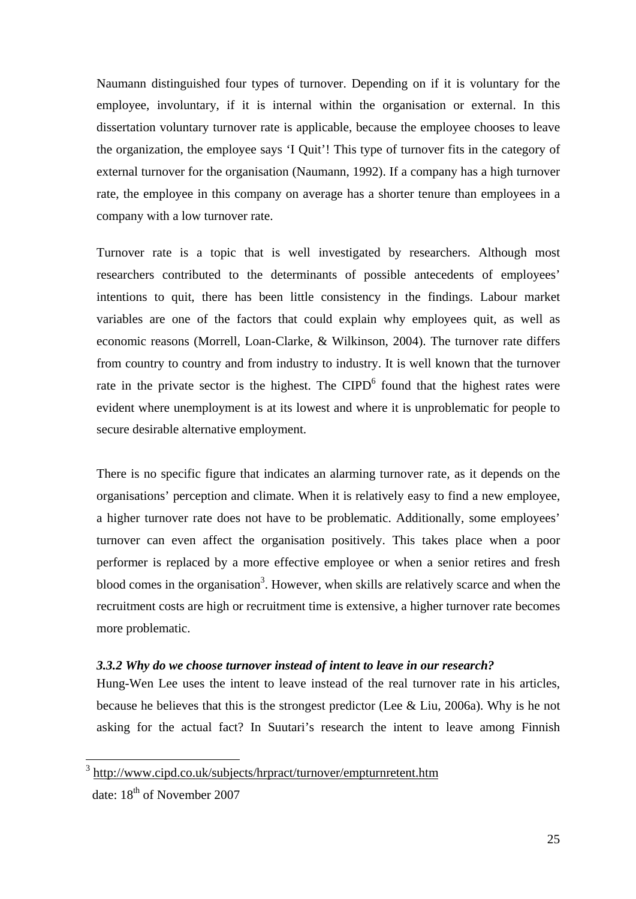Naumann distinguished four types of turnover. Depending on if it is voluntary for the employee, involuntary, if it is internal within the organisation or external. In this dissertation voluntary turnover rate is applicable, because the employee chooses to leave the organization, the employee says 'I Quit'! This type of turnover fits in the category of external turnover for the organisation (Naumann, 1992). If a company has a high turnover rate, the employee in this company on average has a shorter tenure than employees in a company with a low turnover rate.

Turnover rate is a topic that is well investigated by researchers. Although most researchers contributed to the determinants of possible antecedents of employees' intentions to quit, there has been little consistency in the findings. Labour market variables are one of the factors that could explain why employees quit, as well as economic reasons (Morrell, Loan-Clarke, & Wilkinson, 2004). The turnover rate differs from country to country and from industry to industry. It is well known that the turnover rate in the private sector is the highest. The CIPD<sup>6</sup> found that the highest rates were evident where unemployment is at its lowest and where it is unproblematic for people to secure desirable alternative employment.

There is no specific figure that indicates an alarming turnover rate, as it depends on the organisations' perception and climate. When it is relatively easy to find a new employee, a higher turnover rate does not have to be problematic. Additionally, some employees' turnover can even affect the organisation positively. This takes place when a poor performer is replaced by a more effective employee or when a senior retires and fresh blood comes in the organisation<sup>3</sup>. However, when skills are relatively scarce and when the recruitment costs are high or recruitment time is extensive, a higher turnover rate becomes more problematic.

## *3.3.2 Why do we choose turnover instead of intent to leave in our research?*

Hung-Wen Lee uses the intent to leave instead of the real turnover rate in his articles, because he believes that this is the strongest predictor (Lee & Liu, 2006a). Why is he not asking for the actual fact? In Suutari's research the intent to leave among Finnish

 $\overline{a}$ 

<sup>3</sup> http://www.cipd.co.uk/subjects/hrpract/turnover/empturnretent.htm date: 18<sup>th</sup> of November 2007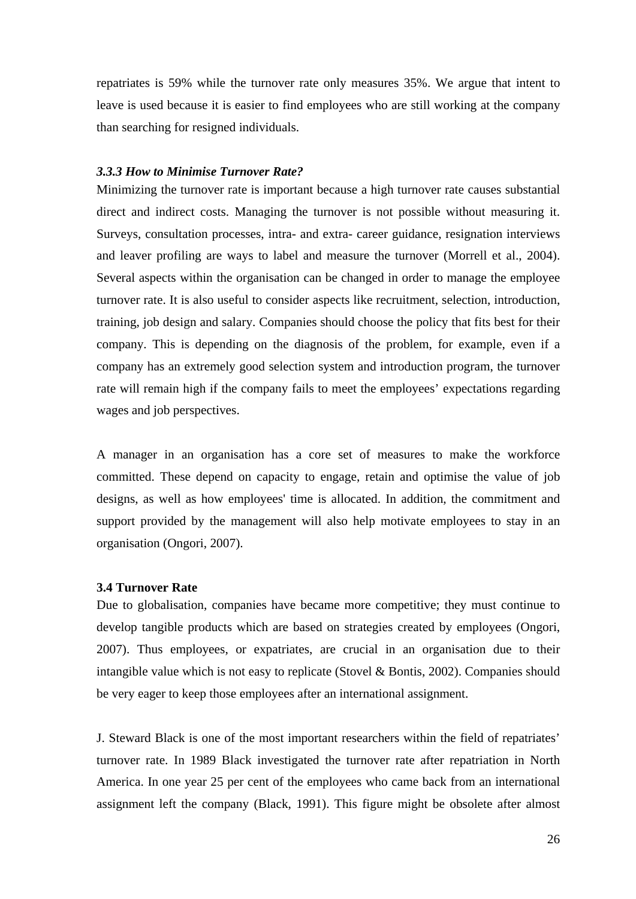repatriates is 59% while the turnover rate only measures 35%. We argue that intent to leave is used because it is easier to find employees who are still working at the company than searching for resigned individuals.

## *3.3.3 How to Minimise Turnover Rate?*

Minimizing the turnover rate is important because a high turnover rate causes substantial direct and indirect costs. Managing the turnover is not possible without measuring it. Surveys, consultation processes, intra- and extra- career guidance, resignation interviews and leaver profiling are ways to label and measure the turnover (Morrell et al., 2004). Several aspects within the organisation can be changed in order to manage the employee turnover rate. It is also useful to consider aspects like recruitment, selection, introduction, training, job design and salary. Companies should choose the policy that fits best for their company. This is depending on the diagnosis of the problem, for example, even if a company has an extremely good selection system and introduction program, the turnover rate will remain high if the company fails to meet the employees' expectations regarding wages and job perspectives.

A manager in an organisation has a core set of measures to make the workforce committed. These depend on capacity to engage, retain and optimise the value of job designs, as well as how employees' time is allocated. In addition, the commitment and support provided by the management will also help motivate employees to stay in an organisation (Ongori, 2007).

#### **3.4 Turnover Rate**

Due to globalisation, companies have became more competitive; they must continue to develop tangible products which are based on strategies created by employees (Ongori, 2007). Thus employees, or expatriates, are crucial in an organisation due to their intangible value which is not easy to replicate (Stovel & Bontis, 2002). Companies should be very eager to keep those employees after an international assignment.

J. Steward Black is one of the most important researchers within the field of repatriates' turnover rate. In 1989 Black investigated the turnover rate after repatriation in North America. In one year 25 per cent of the employees who came back from an international assignment left the company (Black, 1991). This figure might be obsolete after almost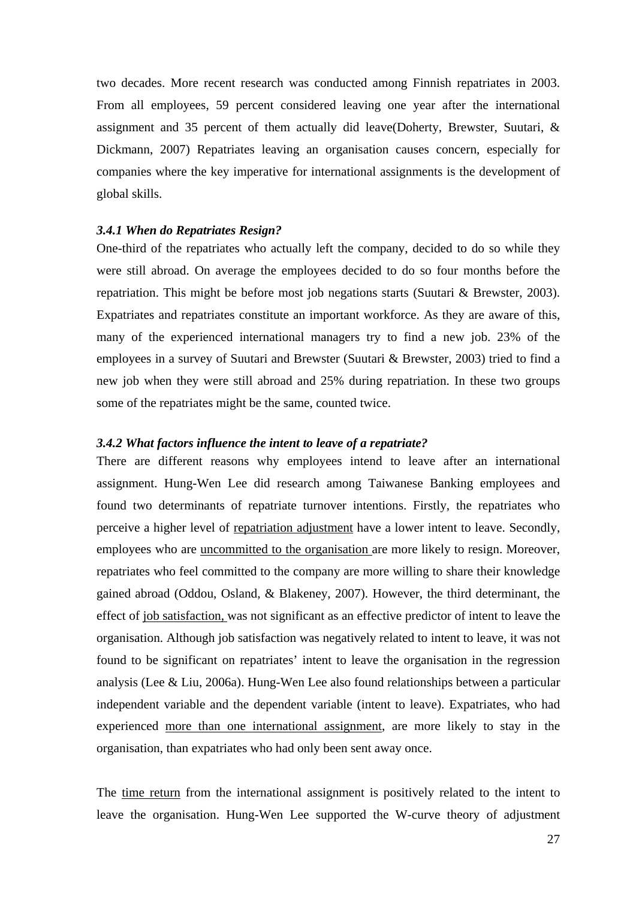two decades. More recent research was conducted among Finnish repatriates in 2003. From all employees, 59 percent considered leaving one year after the international assignment and 35 percent of them actually did leave(Doherty, Brewster, Suutari, & Dickmann, 2007) Repatriates leaving an organisation causes concern, especially for companies where the key imperative for international assignments is the development of global skills.

### *3.4.1 When do Repatriates Resign?*

One-third of the repatriates who actually left the company, decided to do so while they were still abroad. On average the employees decided to do so four months before the repatriation. This might be before most job negations starts (Suutari & Brewster, 2003). Expatriates and repatriates constitute an important workforce. As they are aware of this, many of the experienced international managers try to find a new job. 23% of the employees in a survey of Suutari and Brewster (Suutari & Brewster, 2003) tried to find a new job when they were still abroad and 25% during repatriation. In these two groups some of the repatriates might be the same, counted twice.

## *3.4.2 What factors influence the intent to leave of a repatriate?*

There are different reasons why employees intend to leave after an international assignment. Hung-Wen Lee did research among Taiwanese Banking employees and found two determinants of repatriate turnover intentions. Firstly, the repatriates who perceive a higher level of repatriation adjustment have a lower intent to leave. Secondly, employees who are uncommitted to the organisation are more likely to resign. Moreover, repatriates who feel committed to the company are more willing to share their knowledge gained abroad (Oddou, Osland, & Blakeney, 2007). However, the third determinant, the effect of job satisfaction, was not significant as an effective predictor of intent to leave the organisation. Although job satisfaction was negatively related to intent to leave, it was not found to be significant on repatriates' intent to leave the organisation in the regression analysis (Lee & Liu, 2006a). Hung-Wen Lee also found relationships between a particular independent variable and the dependent variable (intent to leave). Expatriates, who had experienced more than one international assignment, are more likely to stay in the organisation, than expatriates who had only been sent away once.

The time return from the international assignment is positively related to the intent to leave the organisation. Hung-Wen Lee supported the W-curve theory of adjustment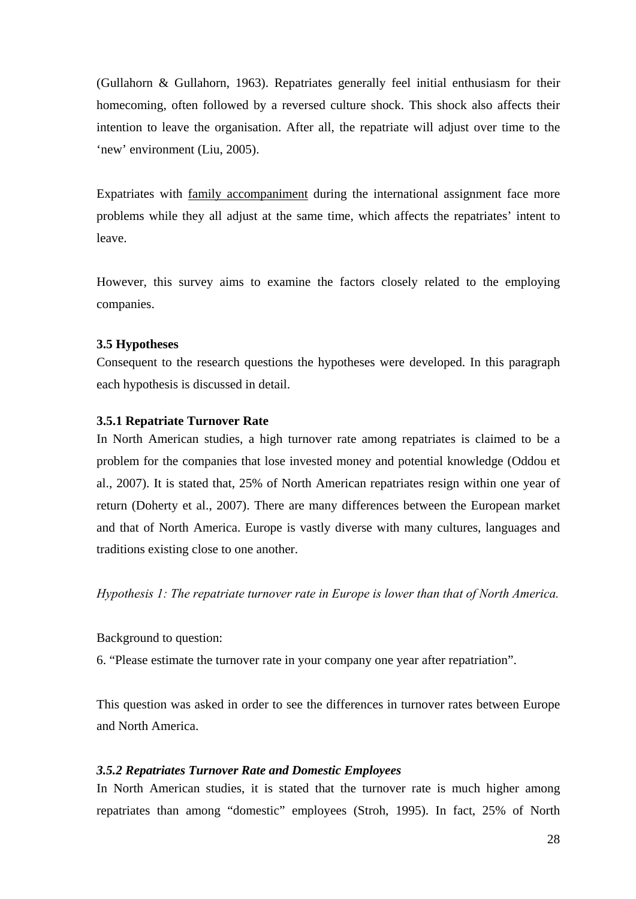(Gullahorn & Gullahorn, 1963). Repatriates generally feel initial enthusiasm for their homecoming, often followed by a reversed culture shock. This shock also affects their intention to leave the organisation. After all, the repatriate will adjust over time to the 'new' environment (Liu, 2005).

Expatriates with family accompaniment during the international assignment face more problems while they all adjust at the same time, which affects the repatriates' intent to leave.

However, this survey aims to examine the factors closely related to the employing companies.

## **3.5 Hypotheses**

Consequent to the research questions the hypotheses were developed. In this paragraph each hypothesis is discussed in detail.

#### **3.5.1 Repatriate Turnover Rate**

In North American studies, a high turnover rate among repatriates is claimed to be a problem for the companies that lose invested money and potential knowledge (Oddou et al., 2007). It is stated that, 25% of North American repatriates resign within one year of return (Doherty et al., 2007). There are many differences between the European market and that of North America. Europe is vastly diverse with many cultures, languages and traditions existing close to one another.

*Hypothesis 1: The repatriate turnover rate in Europe is lower than that of North America.* 

Background to question:

6. "Please estimate the turnover rate in your company one year after repatriation".

This question was asked in order to see the differences in turnover rates between Europe and North America.

### *3.5.2 Repatriates Turnover Rate and Domestic Employees*

In North American studies, it is stated that the turnover rate is much higher among repatriates than among "domestic" employees (Stroh, 1995). In fact, 25% of North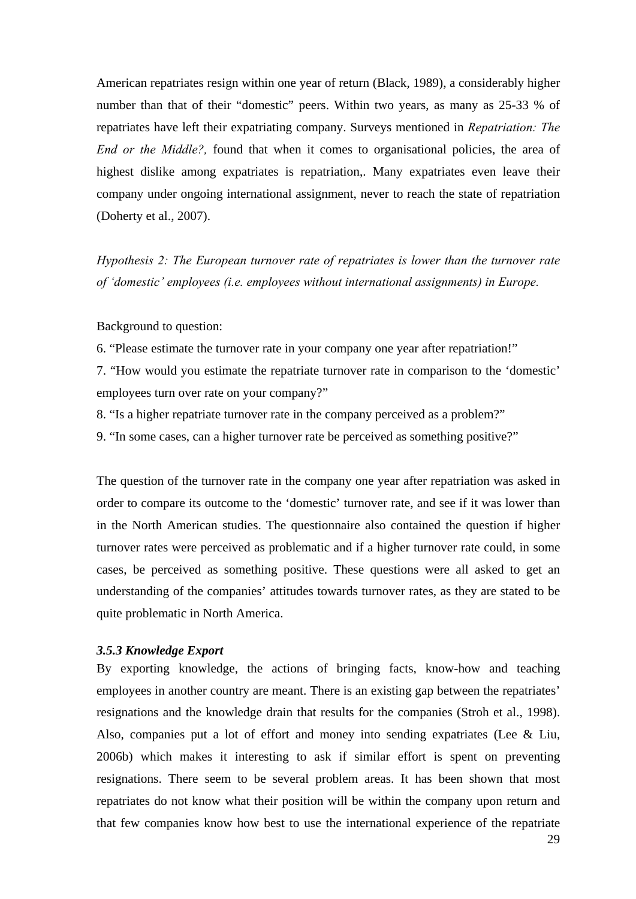American repatriates resign within one year of return (Black, 1989), a considerably higher number than that of their "domestic" peers. Within two years, as many as 25-33 % of repatriates have left their expatriating company. Surveys mentioned in *Repatriation: The End or the Middle?*, found that when it comes to organisational policies, the area of highest dislike among expatriates is repatriation,. Many expatriates even leave their company under ongoing international assignment, never to reach the state of repatriation (Doherty et al., 2007).

*Hypothesis 2: The European turnover rate of repatriates is lower than the turnover rate of 'domestic' employees (i.e. employees without international assignments) in Europe.* 

Background to question:

6. "Please estimate the turnover rate in your company one year after repatriation!"

7. "How would you estimate the repatriate turnover rate in comparison to the 'domestic' employees turn over rate on your company?"

8. "Is a higher repatriate turnover rate in the company perceived as a problem?"

9. "In some cases, can a higher turnover rate be perceived as something positive?"

The question of the turnover rate in the company one year after repatriation was asked in order to compare its outcome to the 'domestic' turnover rate, and see if it was lower than in the North American studies. The questionnaire also contained the question if higher turnover rates were perceived as problematic and if a higher turnover rate could, in some cases, be perceived as something positive. These questions were all asked to get an understanding of the companies' attitudes towards turnover rates, as they are stated to be quite problematic in North America.

#### *3.5.3 Knowledge Export*

By exporting knowledge, the actions of bringing facts, know-how and teaching employees in another country are meant. There is an existing gap between the repatriates' resignations and the knowledge drain that results for the companies (Stroh et al., 1998). Also, companies put a lot of effort and money into sending expatriates (Lee & Liu, 2006b) which makes it interesting to ask if similar effort is spent on preventing resignations. There seem to be several problem areas. It has been shown that most repatriates do not know what their position will be within the company upon return and that few companies know how best to use the international experience of the repatriate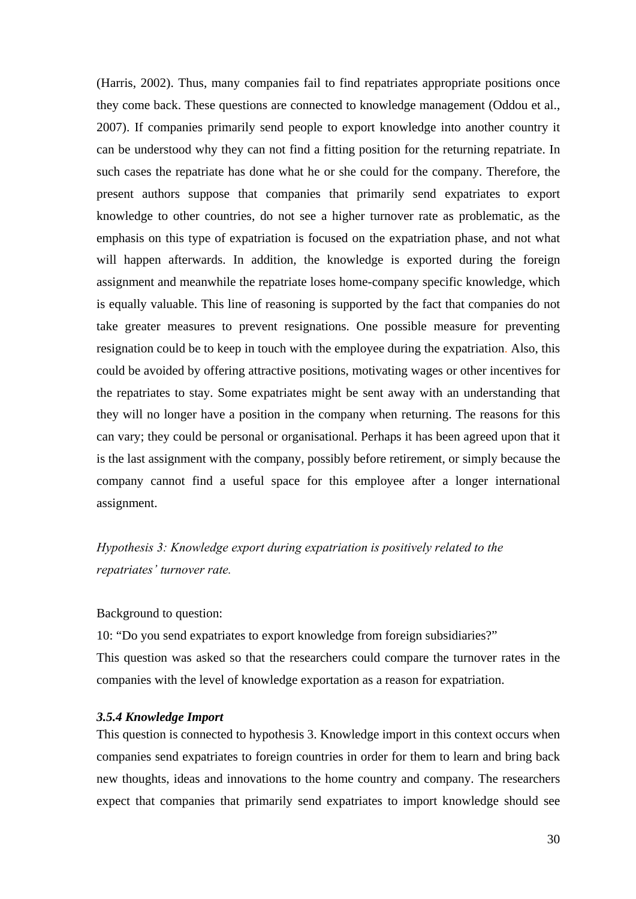(Harris, 2002). Thus, many companies fail to find repatriates appropriate positions once they come back. These questions are connected to knowledge management (Oddou et al., 2007). If companies primarily send people to export knowledge into another country it can be understood why they can not find a fitting position for the returning repatriate. In such cases the repatriate has done what he or she could for the company. Therefore, the present authors suppose that companies that primarily send expatriates to export knowledge to other countries, do not see a higher turnover rate as problematic, as the emphasis on this type of expatriation is focused on the expatriation phase, and not what will happen afterwards. In addition, the knowledge is exported during the foreign assignment and meanwhile the repatriate loses home-company specific knowledge, which is equally valuable. This line of reasoning is supported by the fact that companies do not take greater measures to prevent resignations. One possible measure for preventing resignation could be to keep in touch with the employee during the expatriation. Also, this could be avoided by offering attractive positions, motivating wages or other incentives for the repatriates to stay. Some expatriates might be sent away with an understanding that they will no longer have a position in the company when returning. The reasons for this can vary; they could be personal or organisational. Perhaps it has been agreed upon that it is the last assignment with the company, possibly before retirement, or simply because the company cannot find a useful space for this employee after a longer international assignment.

*Hypothesis 3: Knowledge export during expatriation is positively related to the repatriates' turnover rate.* 

## Background to question:

10: "Do you send expatriates to export knowledge from foreign subsidiaries?" This question was asked so that the researchers could compare the turnover rates in the companies with the level of knowledge exportation as a reason for expatriation.

## *3.5.4 Knowledge Import*

This question is connected to hypothesis 3. Knowledge import in this context occurs when companies send expatriates to foreign countries in order for them to learn and bring back new thoughts, ideas and innovations to the home country and company. The researchers expect that companies that primarily send expatriates to import knowledge should see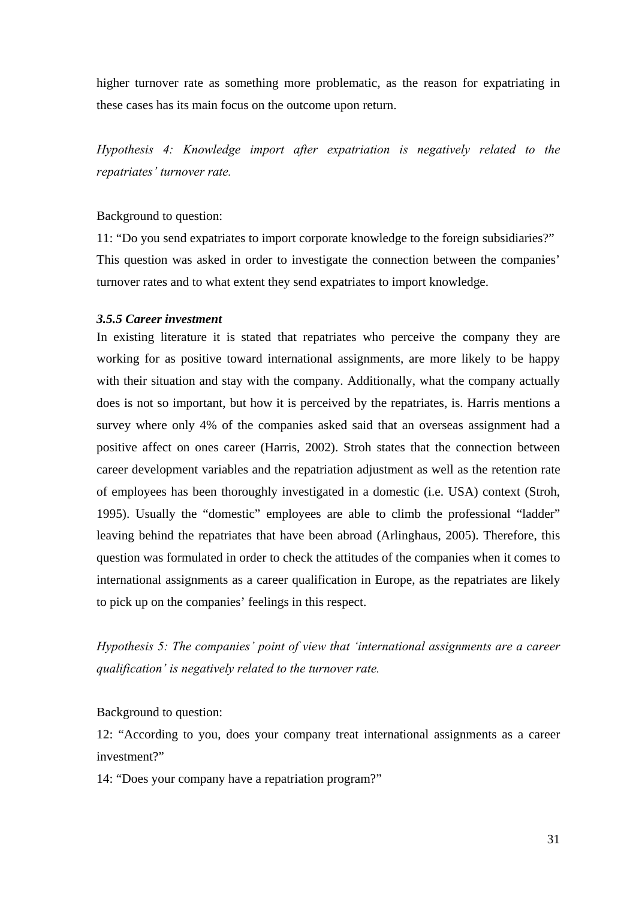higher turnover rate as something more problematic, as the reason for expatriating in these cases has its main focus on the outcome upon return.

*Hypothesis 4: Knowledge import after expatriation is negatively related to the repatriates' turnover rate.*

### Background to question:

11: "Do you send expatriates to import corporate knowledge to the foreign subsidiaries?" This question was asked in order to investigate the connection between the companies' turnover rates and to what extent they send expatriates to import knowledge.

## *3.5.5 Career investment*

In existing literature it is stated that repatriates who perceive the company they are working for as positive toward international assignments, are more likely to be happy with their situation and stay with the company. Additionally, what the company actually does is not so important, but how it is perceived by the repatriates, is. Harris mentions a survey where only 4% of the companies asked said that an overseas assignment had a positive affect on ones career (Harris, 2002). Stroh states that the connection between career development variables and the repatriation adjustment as well as the retention rate of employees has been thoroughly investigated in a domestic (i.e. USA) context (Stroh, 1995). Usually the "domestic" employees are able to climb the professional "ladder" leaving behind the repatriates that have been abroad (Arlinghaus, 2005). Therefore, this question was formulated in order to check the attitudes of the companies when it comes to international assignments as a career qualification in Europe, as the repatriates are likely to pick up on the companies' feelings in this respect.

*Hypothesis 5: The companies' point of view that 'international assignments are a career qualification' is negatively related to the turnover rate.* 

Background to question:

12: "According to you, does your company treat international assignments as a career investment?"

14: "Does your company have a repatriation program?"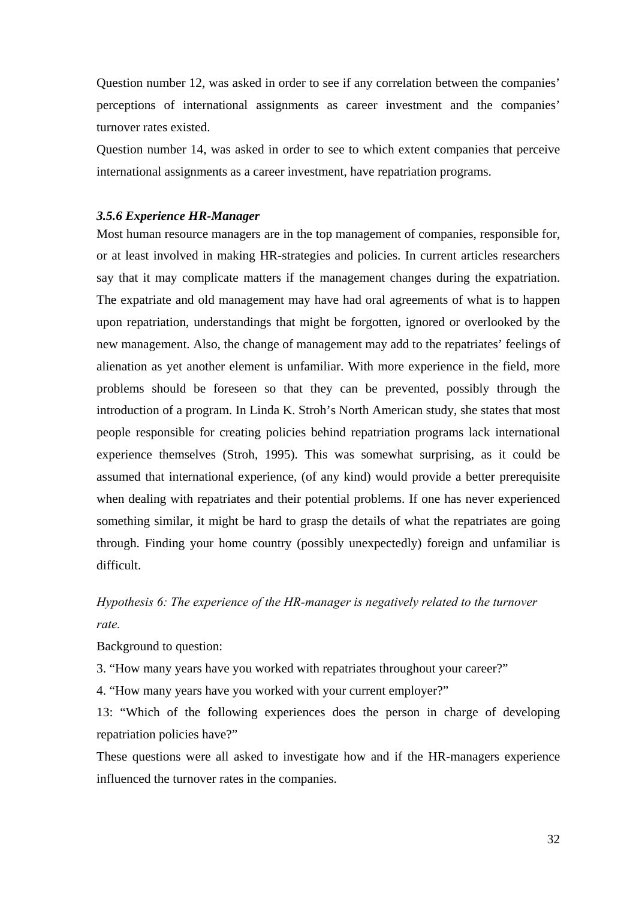Question number 12, was asked in order to see if any correlation between the companies' perceptions of international assignments as career investment and the companies' turnover rates existed.

Question number 14, was asked in order to see to which extent companies that perceive international assignments as a career investment, have repatriation programs.

#### *3.5.6 Experience HR-Manager*

Most human resource managers are in the top management of companies, responsible for, or at least involved in making HR-strategies and policies. In current articles researchers say that it may complicate matters if the management changes during the expatriation. The expatriate and old management may have had oral agreements of what is to happen upon repatriation, understandings that might be forgotten, ignored or overlooked by the new management. Also, the change of management may add to the repatriates' feelings of alienation as yet another element is unfamiliar. With more experience in the field, more problems should be foreseen so that they can be prevented, possibly through the introduction of a program. In Linda K. Stroh's North American study, she states that most people responsible for creating policies behind repatriation programs lack international experience themselves (Stroh, 1995). This was somewhat surprising, as it could be assumed that international experience, (of any kind) would provide a better prerequisite when dealing with repatriates and their potential problems. If one has never experienced something similar, it might be hard to grasp the details of what the repatriates are going through. Finding your home country (possibly unexpectedly) foreign and unfamiliar is difficult.

## *Hypothesis 6: The experience of the HR-manager is negatively related to the turnover rate.*

Background to question:

3. "How many years have you worked with repatriates throughout your career?"

4. "How many years have you worked with your current employer?"

13: "Which of the following experiences does the person in charge of developing repatriation policies have?"

These questions were all asked to investigate how and if the HR-managers experience influenced the turnover rates in the companies.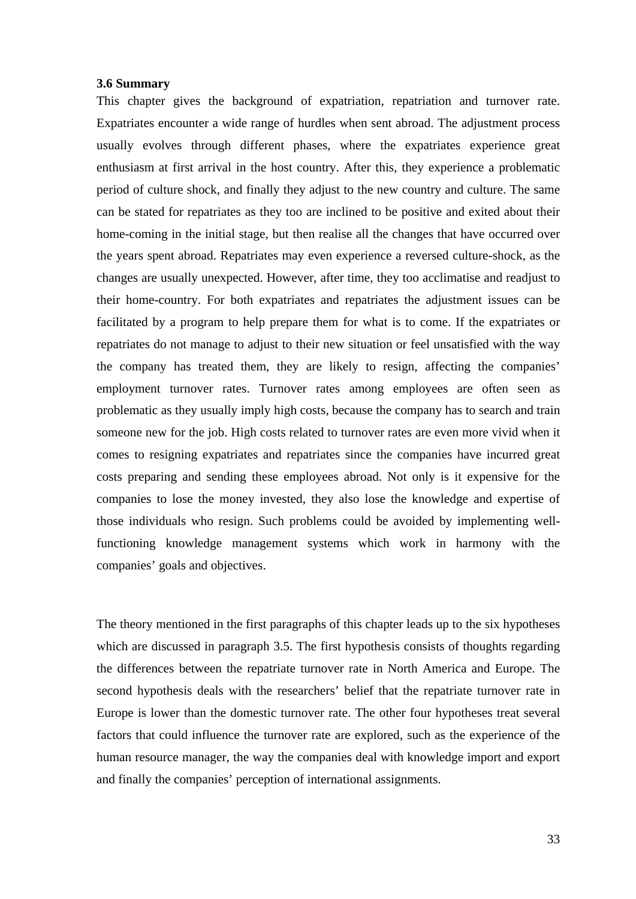#### **3.6 Summary**

This chapter gives the background of expatriation, repatriation and turnover rate. Expatriates encounter a wide range of hurdles when sent abroad. The adjustment process usually evolves through different phases, where the expatriates experience great enthusiasm at first arrival in the host country. After this, they experience a problematic period of culture shock, and finally they adjust to the new country and culture. The same can be stated for repatriates as they too are inclined to be positive and exited about their home-coming in the initial stage, but then realise all the changes that have occurred over the years spent abroad. Repatriates may even experience a reversed culture-shock, as the changes are usually unexpected. However, after time, they too acclimatise and readjust to their home-country. For both expatriates and repatriates the adjustment issues can be facilitated by a program to help prepare them for what is to come. If the expatriates or repatriates do not manage to adjust to their new situation or feel unsatisfied with the way the company has treated them, they are likely to resign, affecting the companies' employment turnover rates. Turnover rates among employees are often seen as problematic as they usually imply high costs, because the company has to search and train someone new for the job. High costs related to turnover rates are even more vivid when it comes to resigning expatriates and repatriates since the companies have incurred great costs preparing and sending these employees abroad. Not only is it expensive for the companies to lose the money invested, they also lose the knowledge and expertise of those individuals who resign. Such problems could be avoided by implementing wellfunctioning knowledge management systems which work in harmony with the companies' goals and objectives.

The theory mentioned in the first paragraphs of this chapter leads up to the six hypotheses which are discussed in paragraph 3.5. The first hypothesis consists of thoughts regarding the differences between the repatriate turnover rate in North America and Europe. The second hypothesis deals with the researchers' belief that the repatriate turnover rate in Europe is lower than the domestic turnover rate. The other four hypotheses treat several factors that could influence the turnover rate are explored, such as the experience of the human resource manager, the way the companies deal with knowledge import and export and finally the companies' perception of international assignments.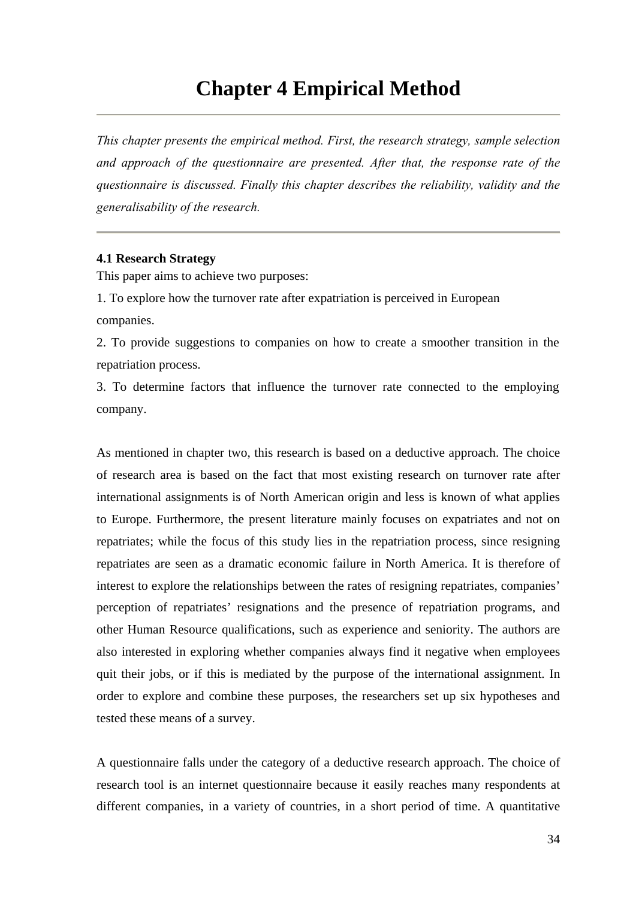## **Chapter 4 Empirical Method**

*This chapter presents the empirical method. First, the research strategy, sample selection and approach of the questionnaire are presented. After that, the response rate of the questionnaire is discussed. Finally this chapter describes the reliability, validity and the generalisability of the research.* 

#### **4.1 Research Strategy**

This paper aims to achieve two purposes:

1. To explore how the turnover rate after expatriation is perceived in European companies.

2. To provide suggestions to companies on how to create a smoother transition in the repatriation process.

3. To determine factors that influence the turnover rate connected to the employing company.

As mentioned in chapter two, this research is based on a deductive approach. The choice of research area is based on the fact that most existing research on turnover rate after international assignments is of North American origin and less is known of what applies to Europe. Furthermore, the present literature mainly focuses on expatriates and not on repatriates; while the focus of this study lies in the repatriation process, since resigning repatriates are seen as a dramatic economic failure in North America. It is therefore of interest to explore the relationships between the rates of resigning repatriates, companies' perception of repatriates' resignations and the presence of repatriation programs, and other Human Resource qualifications, such as experience and seniority. The authors are also interested in exploring whether companies always find it negative when employees quit their jobs, or if this is mediated by the purpose of the international assignment. In order to explore and combine these purposes, the researchers set up six hypotheses and tested these means of a survey.

A questionnaire falls under the category of a deductive research approach. The choice of research tool is an internet questionnaire because it easily reaches many respondents at different companies, in a variety of countries, in a short period of time. A quantitative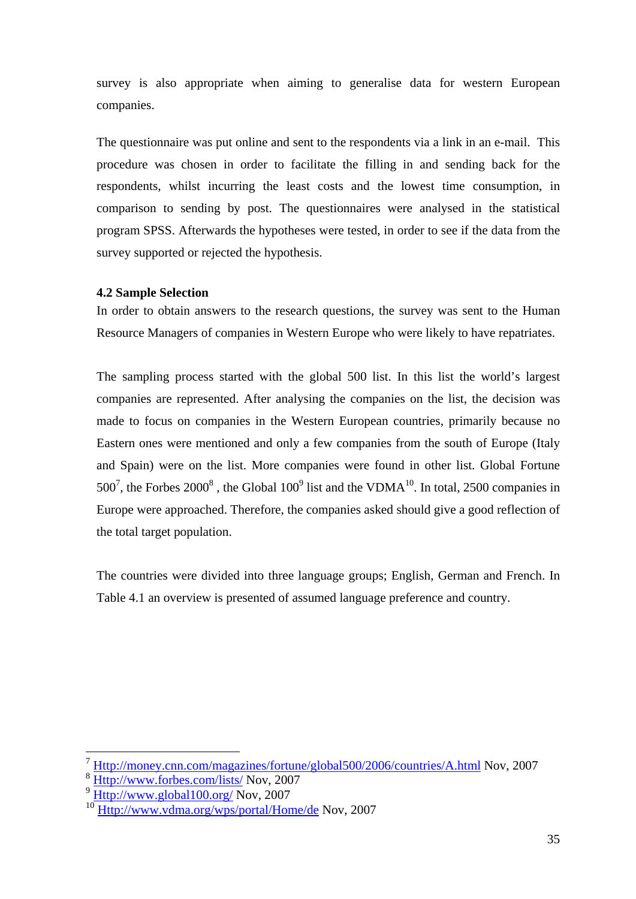survey is also appropriate when aiming to generalise data for western European companies.

The questionnaire was put online and sent to the respondents via a link in an e-mail. This procedure was chosen in order to facilitate the filling in and sending back for the respondents, whilst incurring the least costs and the lowest time consumption, in comparison to sending by post. The questionnaires were analysed in the statistical program SPSS. Afterwards the hypotheses were tested, in order to see if the data from the survey supported or rejected the hypothesis.

## **4.2 Sample Selection**

In order to obtain answers to the research questions, the survey was sent to the Human Resource Managers of companies in Western Europe who were likely to have repatriates.

The sampling process started with the global 500 list. In this list the world's largest companies are represented. After analysing the companies on the list, the decision was made to focus on companies in the Western European countries, primarily because no Eastern ones were mentioned and only a few companies from the south of Europe (Italy and Spain) were on the list. More companies were found in other list. Global Fortune  $500^7$ , the Forbes  $2000^8$ , the Global  $100^9$  list and the VDMA<sup>10</sup>. In total, 2500 companies in Europe were approached. Therefore, the companies asked should give a good reflection of the total target population.

The countries were divided into three language groups; English, German and French. In Table 4.1 an overview is presented of assumed language preference and country.

 $\overline{a}$ 

<sup>7</sup> Http://money.cnn.com/magazines/fortune/global500/2006/countries/A.html Nov, 2007

<sup>8</sup> Http://www.forbes.com/lists/ Nov, 2007

<sup>9</sup> Http://www.global100.org/ Nov, 2007

<sup>10</sup> Http://www.vdma.org/wps/portal/Home/de Nov, 2007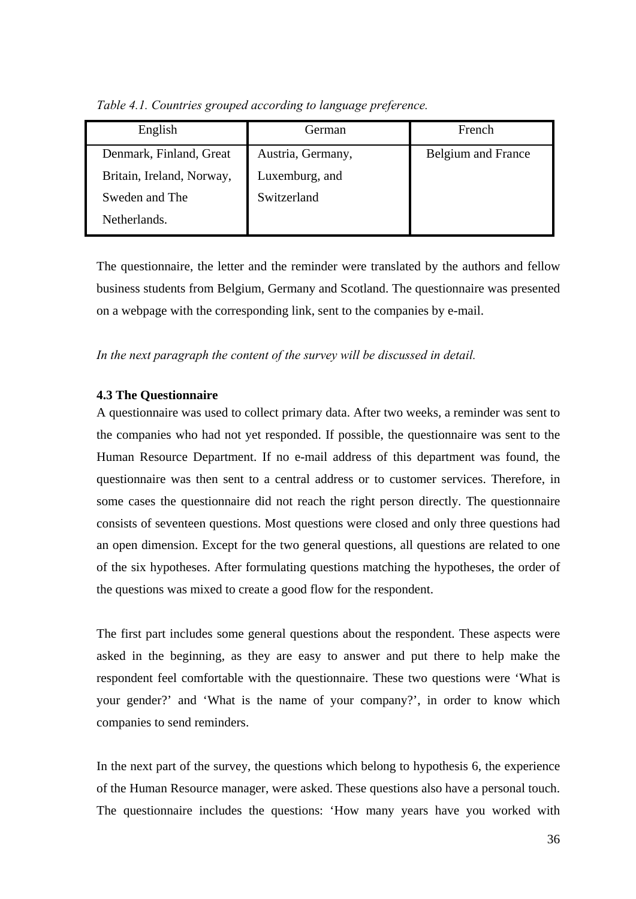| English                   | German            | French                    |
|---------------------------|-------------------|---------------------------|
| Denmark, Finland, Great   | Austria, Germany, | <b>Belgium</b> and France |
| Britain, Ireland, Norway, | Luxemburg, and    |                           |
| Sweden and The            | Switzerland       |                           |
| Netherlands.              |                   |                           |

*Table 4.1. Countries grouped according to language preference.* 

The questionnaire, the letter and the reminder were translated by the authors and fellow business students from Belgium, Germany and Scotland. The questionnaire was presented on a webpage with the corresponding link, sent to the companies by e-mail.

*In the next paragraph the content of the survey will be discussed in detail.* 

## **4.3 The Questionnaire**

A questionnaire was used to collect primary data. After two weeks, a reminder was sent to the companies who had not yet responded. If possible, the questionnaire was sent to the Human Resource Department. If no e-mail address of this department was found, the questionnaire was then sent to a central address or to customer services. Therefore, in some cases the questionnaire did not reach the right person directly. The questionnaire consists of seventeen questions. Most questions were closed and only three questions had an open dimension. Except for the two general questions, all questions are related to one of the six hypotheses. After formulating questions matching the hypotheses, the order of the questions was mixed to create a good flow for the respondent.

The first part includes some general questions about the respondent. These aspects were asked in the beginning, as they are easy to answer and put there to help make the respondent feel comfortable with the questionnaire. These two questions were 'What is your gender?' and 'What is the name of your company?', in order to know which companies to send reminders.

In the next part of the survey, the questions which belong to hypothesis 6, the experience of the Human Resource manager, were asked. These questions also have a personal touch. The questionnaire includes the questions: 'How many years have you worked with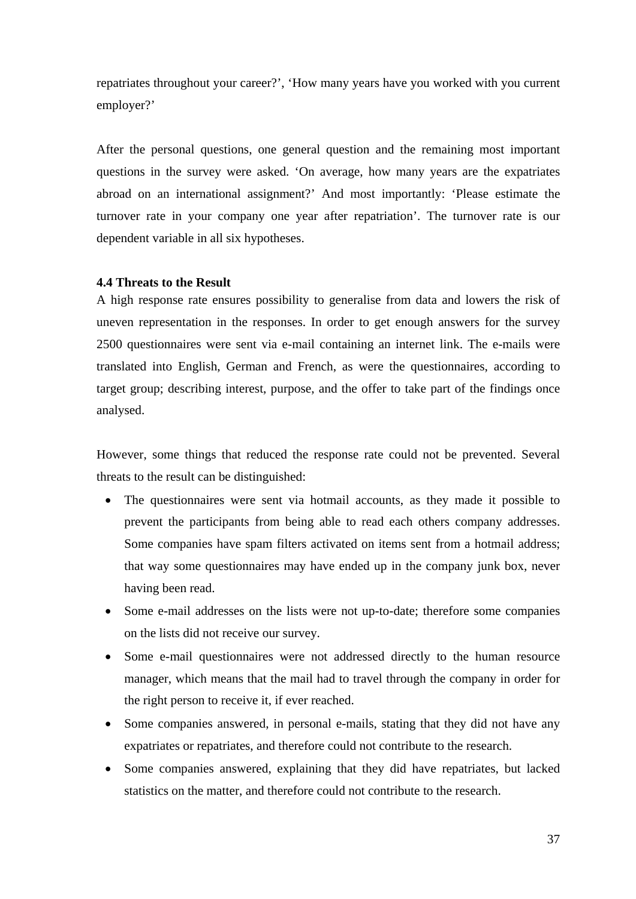repatriates throughout your career?', 'How many years have you worked with you current employer?'

After the personal questions, one general question and the remaining most important questions in the survey were asked. 'On average, how many years are the expatriates abroad on an international assignment?' And most importantly: 'Please estimate the turnover rate in your company one year after repatriation'. The turnover rate is our dependent variable in all six hypotheses.

## **4.4 Threats to the Result**

A high response rate ensures possibility to generalise from data and lowers the risk of uneven representation in the responses. In order to get enough answers for the survey 2500 questionnaires were sent via e-mail containing an internet link. The e-mails were translated into English, German and French, as were the questionnaires, according to target group; describing interest, purpose, and the offer to take part of the findings once analysed.

However, some things that reduced the response rate could not be prevented. Several threats to the result can be distinguished:

- The questionnaires were sent via hotmail accounts, as they made it possible to prevent the participants from being able to read each others company addresses. Some companies have spam filters activated on items sent from a hotmail address; that way some questionnaires may have ended up in the company junk box, never having been read.
- Some e-mail addresses on the lists were not up-to-date; therefore some companies on the lists did not receive our survey.
- Some e-mail questionnaires were not addressed directly to the human resource manager, which means that the mail had to travel through the company in order for the right person to receive it, if ever reached.
- Some companies answered, in personal e-mails, stating that they did not have any expatriates or repatriates, and therefore could not contribute to the research.
- Some companies answered, explaining that they did have repatriates, but lacked statistics on the matter, and therefore could not contribute to the research.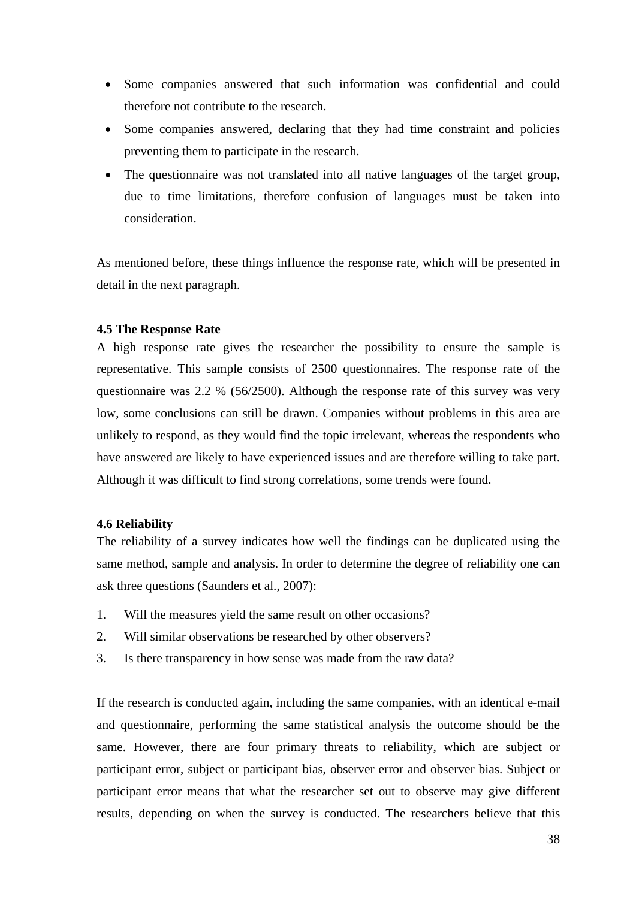- Some companies answered that such information was confidential and could therefore not contribute to the research.
- Some companies answered, declaring that they had time constraint and policies preventing them to participate in the research.
- The questionnaire was not translated into all native languages of the target group, due to time limitations, therefore confusion of languages must be taken into consideration.

As mentioned before, these things influence the response rate, which will be presented in detail in the next paragraph.

## **4.5 The Response Rate**

A high response rate gives the researcher the possibility to ensure the sample is representative. This sample consists of 2500 questionnaires. The response rate of the questionnaire was 2.2 % (56/2500). Although the response rate of this survey was very low, some conclusions can still be drawn. Companies without problems in this area are unlikely to respond, as they would find the topic irrelevant, whereas the respondents who have answered are likely to have experienced issues and are therefore willing to take part. Although it was difficult to find strong correlations, some trends were found.

## **4.6 Reliability**

The reliability of a survey indicates how well the findings can be duplicated using the same method, sample and analysis. In order to determine the degree of reliability one can ask three questions (Saunders et al., 2007):

- 1. Will the measures yield the same result on other occasions?
- 2. Will similar observations be researched by other observers?
- 3. Is there transparency in how sense was made from the raw data?

If the research is conducted again, including the same companies, with an identical e-mail and questionnaire, performing the same statistical analysis the outcome should be the same. However, there are four primary threats to reliability, which are subject or participant error, subject or participant bias, observer error and observer bias. Subject or participant error means that what the researcher set out to observe may give different results, depending on when the survey is conducted. The researchers believe that this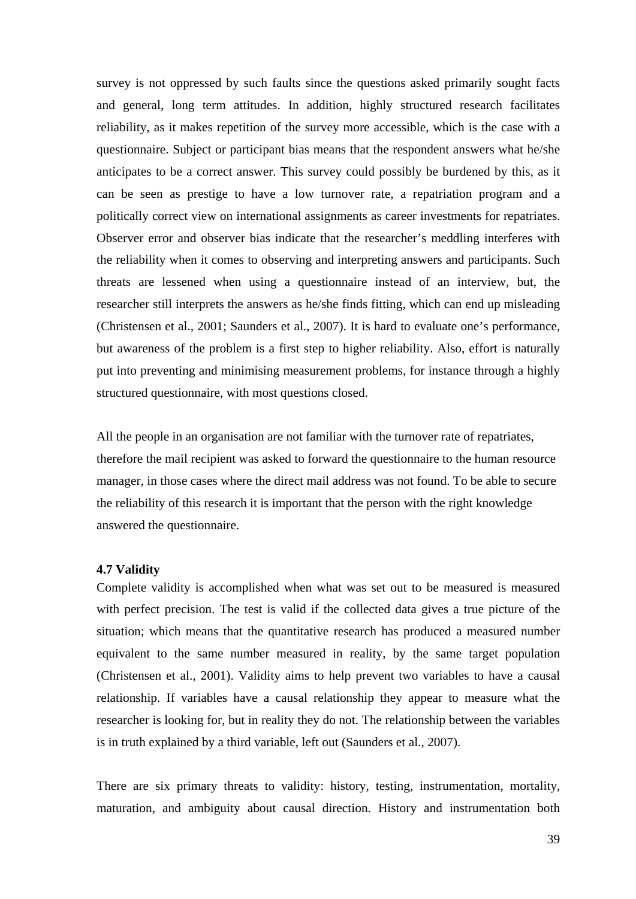survey is not oppressed by such faults since the questions asked primarily sought facts and general, long term attitudes. In addition, highly structured research facilitates reliability, as it makes repetition of the survey more accessible, which is the case with a questionnaire. Subject or participant bias means that the respondent answers what he/she anticipates to be a correct answer. This survey could possibly be burdened by this, as it can be seen as prestige to have a low turnover rate, a repatriation program and a politically correct view on international assignments as career investments for repatriates. Observer error and observer bias indicate that the researcher's meddling interferes with the reliability when it comes to observing and interpreting answers and participants. Such threats are lessened when using a questionnaire instead of an interview, but, the researcher still interprets the answers as he/she finds fitting, which can end up misleading (Christensen et al., 2001; Saunders et al., 2007). It is hard to evaluate one's performance, but awareness of the problem is a first step to higher reliability. Also, effort is naturally put into preventing and minimising measurement problems, for instance through a highly structured questionnaire, with most questions closed.

All the people in an organisation are not familiar with the turnover rate of repatriates, therefore the mail recipient was asked to forward the questionnaire to the human resource manager, in those cases where the direct mail address was not found. To be able to secure the reliability of this research it is important that the person with the right knowledge answered the questionnaire.

#### **4.7 Validity**

Complete validity is accomplished when what was set out to be measured is measured with perfect precision. The test is valid if the collected data gives a true picture of the situation; which means that the quantitative research has produced a measured number equivalent to the same number measured in reality, by the same target population (Christensen et al., 2001). Validity aims to help prevent two variables to have a causal relationship. If variables have a causal relationship they appear to measure what the researcher is looking for, but in reality they do not. The relationship between the variables is in truth explained by a third variable, left out (Saunders et al., 2007).

There are six primary threats to validity: history, testing, instrumentation, mortality, maturation, and ambiguity about causal direction. History and instrumentation both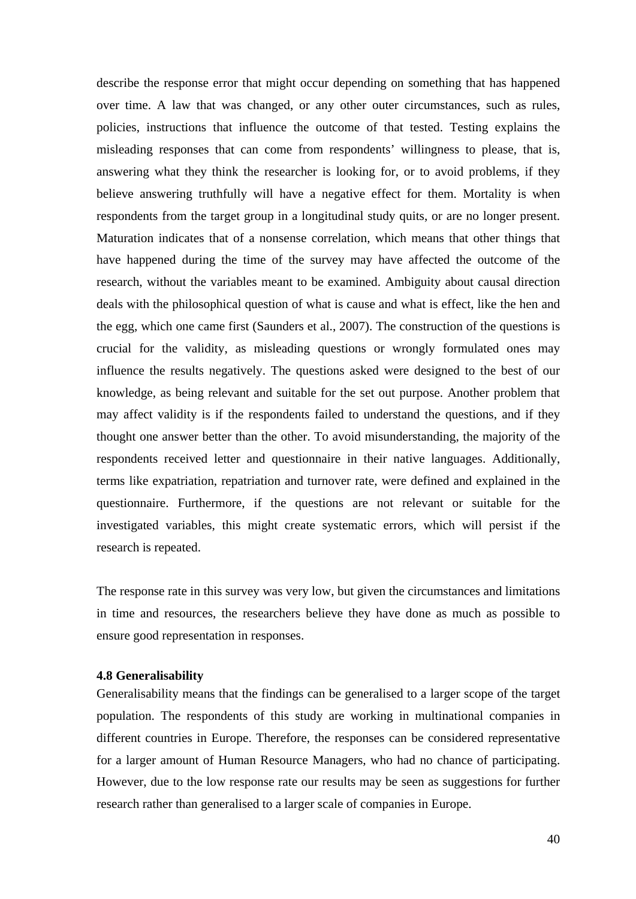describe the response error that might occur depending on something that has happened over time. A law that was changed, or any other outer circumstances, such as rules, policies, instructions that influence the outcome of that tested. Testing explains the misleading responses that can come from respondents' willingness to please, that is, answering what they think the researcher is looking for, or to avoid problems, if they believe answering truthfully will have a negative effect for them. Mortality is when respondents from the target group in a longitudinal study quits, or are no longer present. Maturation indicates that of a nonsense correlation, which means that other things that have happened during the time of the survey may have affected the outcome of the research, without the variables meant to be examined. Ambiguity about causal direction deals with the philosophical question of what is cause and what is effect, like the hen and the egg, which one came first (Saunders et al., 2007). The construction of the questions is crucial for the validity, as misleading questions or wrongly formulated ones may influence the results negatively. The questions asked were designed to the best of our knowledge, as being relevant and suitable for the set out purpose. Another problem that may affect validity is if the respondents failed to understand the questions, and if they thought one answer better than the other. To avoid misunderstanding, the majority of the respondents received letter and questionnaire in their native languages. Additionally, terms like expatriation, repatriation and turnover rate, were defined and explained in the questionnaire. Furthermore, if the questions are not relevant or suitable for the investigated variables, this might create systematic errors, which will persist if the research is repeated.

The response rate in this survey was very low, but given the circumstances and limitations in time and resources, the researchers believe they have done as much as possible to ensure good representation in responses.

## **4.8 Generalisability**

Generalisability means that the findings can be generalised to a larger scope of the target population. The respondents of this study are working in multinational companies in different countries in Europe. Therefore, the responses can be considered representative for a larger amount of Human Resource Managers, who had no chance of participating. However, due to the low response rate our results may be seen as suggestions for further research rather than generalised to a larger scale of companies in Europe.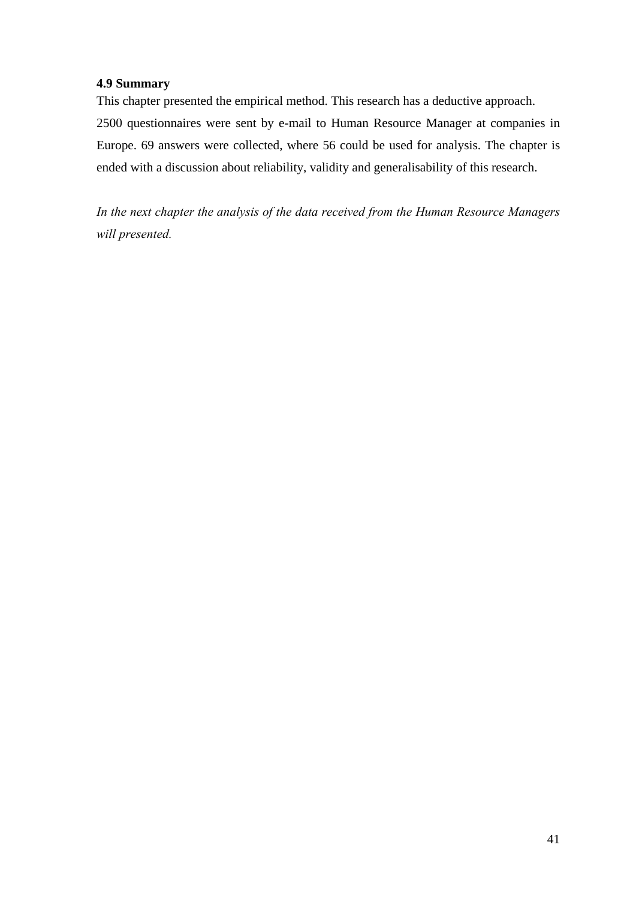# **4.9 Summary**

This chapter presented the empirical method. This research has a deductive approach. 2500 questionnaires were sent by e-mail to Human Resource Manager at companies in Europe. 69 answers were collected, where 56 could be used for analysis. The chapter is ended with a discussion about reliability, validity and generalisability of this research.

*In the next chapter the analysis of the data received from the Human Resource Managers will presented.*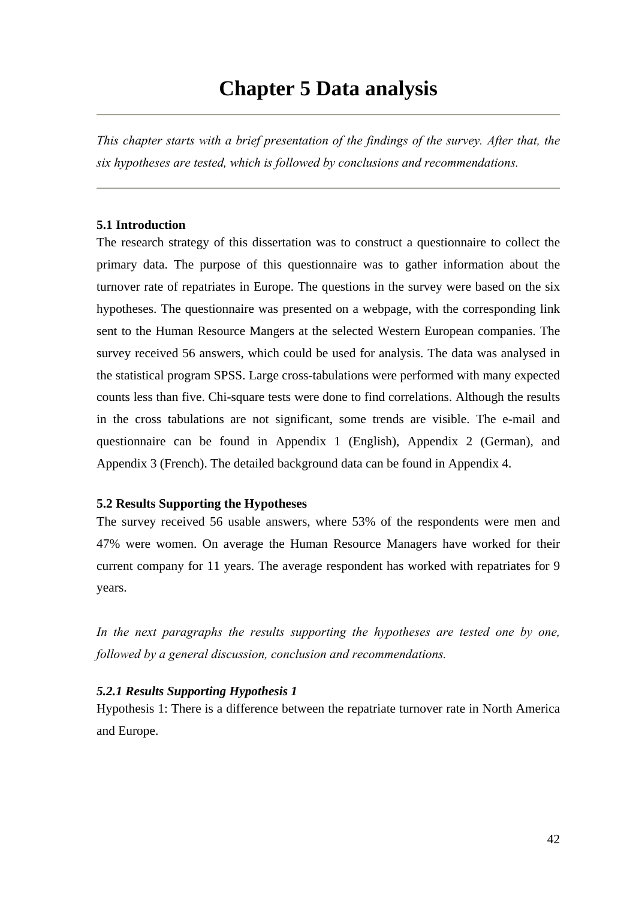# **Chapter 5 Data analysis**

*This chapter starts with a brief presentation of the findings of the survey. After that, the six hypotheses are tested, which is followed by conclusions and recommendations.*

## **5.1 Introduction**

The research strategy of this dissertation was to construct a questionnaire to collect the primary data. The purpose of this questionnaire was to gather information about the turnover rate of repatriates in Europe. The questions in the survey were based on the six hypotheses. The questionnaire was presented on a webpage, with the corresponding link sent to the Human Resource Mangers at the selected Western European companies. The survey received 56 answers, which could be used for analysis. The data was analysed in the statistical program SPSS. Large cross-tabulations were performed with many expected counts less than five. Chi-square tests were done to find correlations. Although the results in the cross tabulations are not significant, some trends are visible. The e-mail and questionnaire can be found in Appendix 1 (English), Appendix 2 (German), and Appendix 3 (French). The detailed background data can be found in Appendix 4.

#### **5.2 Results Supporting the Hypotheses**

The survey received 56 usable answers, where 53% of the respondents were men and 47% were women. On average the Human Resource Managers have worked for their current company for 11 years. The average respondent has worked with repatriates for 9 years.

In the next paragraphs the results supporting the hypotheses are tested one by one, *followed by a general discussion, conclusion and recommendations.* 

## *5.2.1 Results Supporting Hypothesis 1*

Hypothesis 1: There is a difference between the repatriate turnover rate in North America and Europe.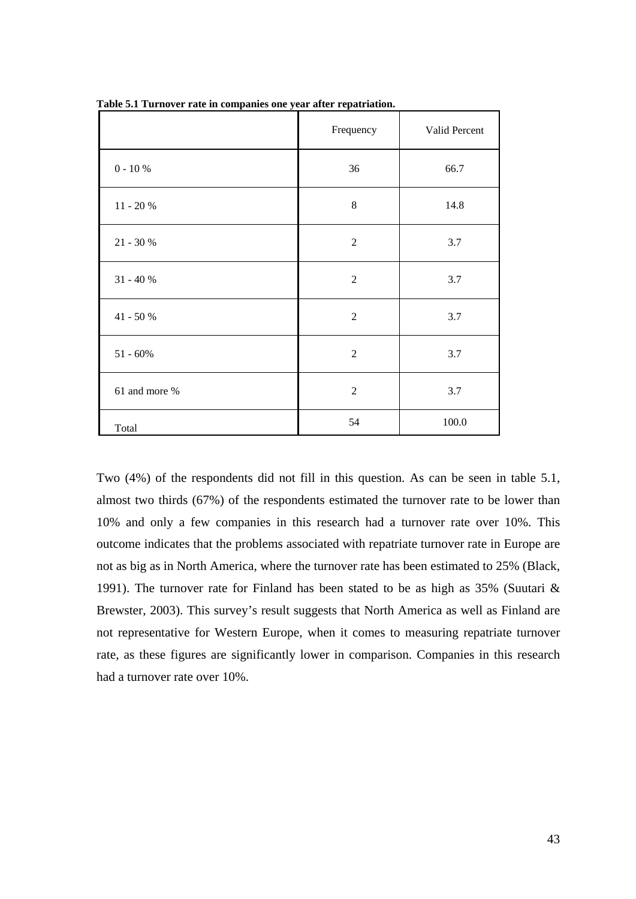|                | Frequency      | Valid Percent |
|----------------|----------------|---------------|
| $0 - 10 \%$    | 36             | 66.7          |
| $11 - 20 %$    | 8              | 14.8          |
| $21 - 30 %$    | $\overline{2}$ | 3.7           |
| $31 - 40 %$    | $\overline{2}$ | 3.7           |
| $41$ - $50~\%$ | $\overline{2}$ | 3.7           |
| $51 - 60\%$    | $\overline{2}$ | 3.7           |
| 61 and more %  | $\overline{2}$ | 3.7           |
| Total          | 54             | 100.0         |

**Table 5.1 Turnover rate in companies one year after repatriation.** 

Two (4%) of the respondents did not fill in this question. As can be seen in table 5.1, almost two thirds (67%) of the respondents estimated the turnover rate to be lower than 10% and only a few companies in this research had a turnover rate over 10%. This outcome indicates that the problems associated with repatriate turnover rate in Europe are not as big as in North America, where the turnover rate has been estimated to 25% (Black, 1991). The turnover rate for Finland has been stated to be as high as 35% (Suutari & Brewster, 2003). This survey's result suggests that North America as well as Finland are not representative for Western Europe, when it comes to measuring repatriate turnover rate, as these figures are significantly lower in comparison. Companies in this research had a turnover rate over 10%.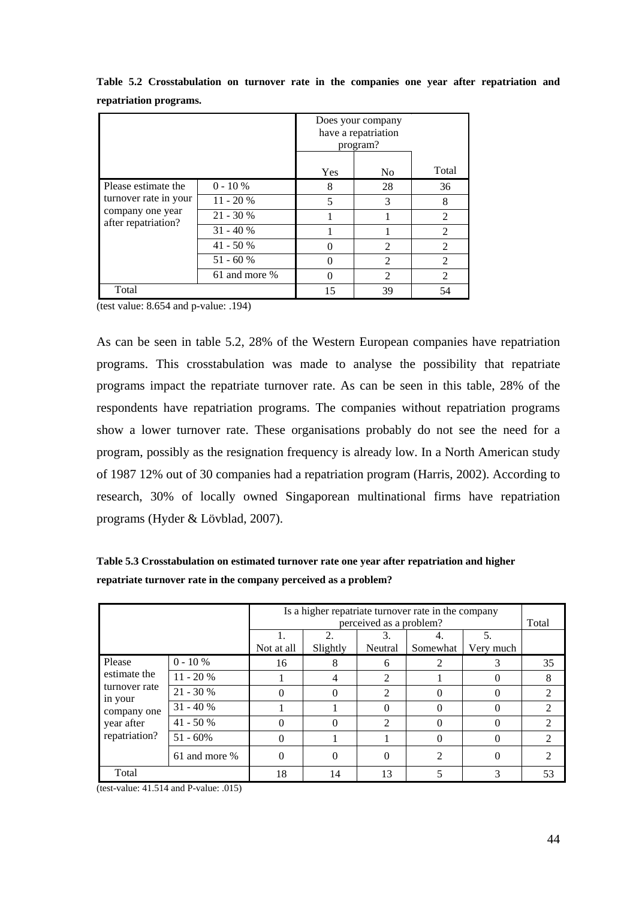|                                                                  |               | Does your company<br>have a repatriation<br>program? |                |                |
|------------------------------------------------------------------|---------------|------------------------------------------------------|----------------|----------------|
|                                                                  |               | Yes                                                  | N <sub>0</sub> | Total          |
| Please estimate the                                              | $0 - 10 \%$   | 8                                                    | 28             | 36             |
| turnover rate in your<br>company one year<br>after repatriation? | $11 - 20%$    | 5                                                    | 3              | 8              |
|                                                                  | $21 - 30%$    |                                                      |                | 2              |
|                                                                  | $31 - 40%$    |                                                      |                | 2              |
|                                                                  | $41 - 50%$    |                                                      | $\mathfrak{D}$ | $\mathfrak{D}$ |
|                                                                  | $51 - 60%$    |                                                      | $\mathfrak{D}$ | $\mathfrak{D}$ |
|                                                                  | 61 and more % |                                                      | $\mathfrak{D}$ | $\mathfrak{D}$ |
| Total                                                            |               | 15                                                   | 39             | 54             |

**Table 5.2 Crosstabulation on turnover rate in the companies one year after repatriation and repatriation programs.** 

(test value: 8.654 and p-value: .194)

As can be seen in table 5.2, 28% of the Western European companies have repatriation programs. This crosstabulation was made to analyse the possibility that repatriate programs impact the repatriate turnover rate. As can be seen in this table, 28% of the respondents have repatriation programs. The companies without repatriation programs show a lower turnover rate. These organisations probably do not see the need for a program, possibly as the resignation frequency is already low. In a North American study of 1987 12% out of 30 companies had a repatriation program (Harris, 2002). According to research, 30% of locally owned Singaporean multinational firms have repatriation programs (Hyder & Lövblad, 2007).

**Table 5.3 Crosstabulation on estimated turnover rate one year after repatriation and higher repatriate turnover rate in the company perceived as a problem?** 

|                          |               | Is a higher repatriate turnover rate in the company<br>perceived as a problem? |                   |                |                |                   |                             |
|--------------------------|---------------|--------------------------------------------------------------------------------|-------------------|----------------|----------------|-------------------|-----------------------------|
|                          |               | Ι.                                                                             | 2.                | 3.             |                | 5.                | Total                       |
|                          |               | Not at all                                                                     | Slightly          | Neutral        | Somewhat       | Very much         |                             |
| Please                   | $0 - 10 \%$   | 16                                                                             | 8                 | 6              |                |                   | 35                          |
| estimate the             | $11 - 20%$    |                                                                                | $\overline{4}$    | 2              |                |                   | 8                           |
| turnover rate<br>in your | $21 - 30 %$   |                                                                                | 0                 | 2              |                | $\mathbf{\Omega}$ | 2                           |
| company one              | $31 - 40%$    |                                                                                |                   | 0              |                |                   | $\mathfrak{D}$              |
| year after               | $41 - 50%$    |                                                                                | $\mathbf{\Omega}$ | $\mathfrak{D}$ |                |                   | $\mathcal{D}_{\mathcal{L}}$ |
| repatriation?            | $51 - 60\%$   |                                                                                |                   |                |                |                   | 2                           |
|                          | 61 and more % |                                                                                | $_{0}$            | 0              | $\mathfrak{D}$ |                   | 2                           |
| Total                    |               | 18                                                                             | 14                | 13             |                |                   | 53                          |

(test-value: 41.514 and P-value: .015)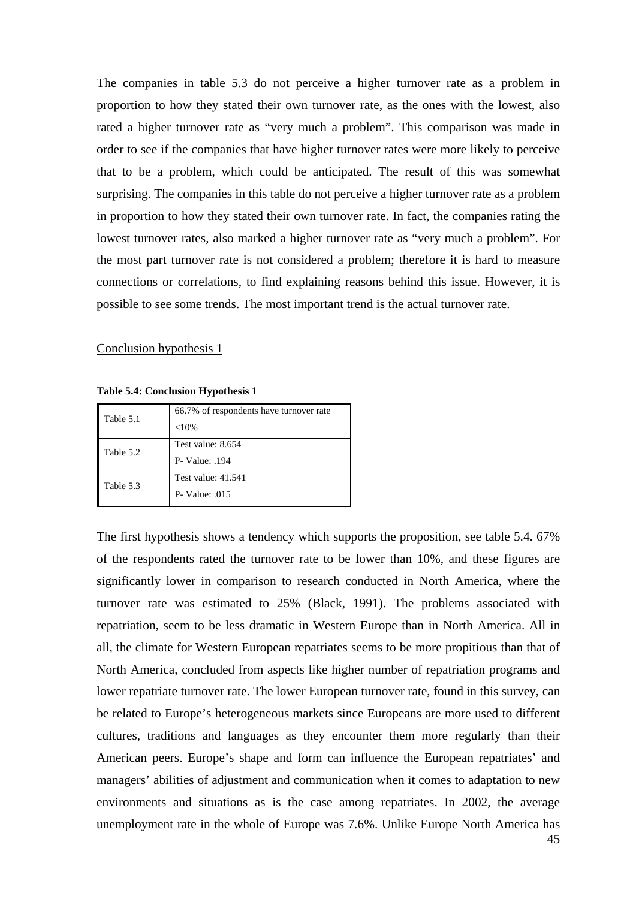The companies in table 5.3 do not perceive a higher turnover rate as a problem in proportion to how they stated their own turnover rate, as the ones with the lowest, also rated a higher turnover rate as "very much a problem". This comparison was made in order to see if the companies that have higher turnover rates were more likely to perceive that to be a problem, which could be anticipated. The result of this was somewhat surprising. The companies in this table do not perceive a higher turnover rate as a problem in proportion to how they stated their own turnover rate. In fact, the companies rating the lowest turnover rates, also marked a higher turnover rate as "very much a problem". For the most part turnover rate is not considered a problem; therefore it is hard to measure connections or correlations, to find explaining reasons behind this issue. However, it is possible to see some trends. The most important trend is the actual turnover rate.

#### Conclusion hypothesis 1

**Table 5.4: Conclusion Hypothesis 1** 

| Table 5.1 | 66.7% of respondents have turnover rate<br>${<}10%$ |
|-----------|-----------------------------------------------------|
| Table 5.2 | Test value: 8.654<br><b>P</b> - Value: .194         |
| Table 5.3 | Test value: 41.541<br>$P-Value: 015$                |

The first hypothesis shows a tendency which supports the proposition, see table 5.4. 67% of the respondents rated the turnover rate to be lower than 10%, and these figures are significantly lower in comparison to research conducted in North America, where the turnover rate was estimated to 25% (Black, 1991). The problems associated with repatriation, seem to be less dramatic in Western Europe than in North America. All in all, the climate for Western European repatriates seems to be more propitious than that of North America, concluded from aspects like higher number of repatriation programs and lower repatriate turnover rate. The lower European turnover rate, found in this survey, can be related to Europe's heterogeneous markets since Europeans are more used to different cultures, traditions and languages as they encounter them more regularly than their American peers. Europe's shape and form can influence the European repatriates' and managers' abilities of adjustment and communication when it comes to adaptation to new environments and situations as is the case among repatriates. In 2002, the average unemployment rate in the whole of Europe was 7.6%. Unlike Europe North America has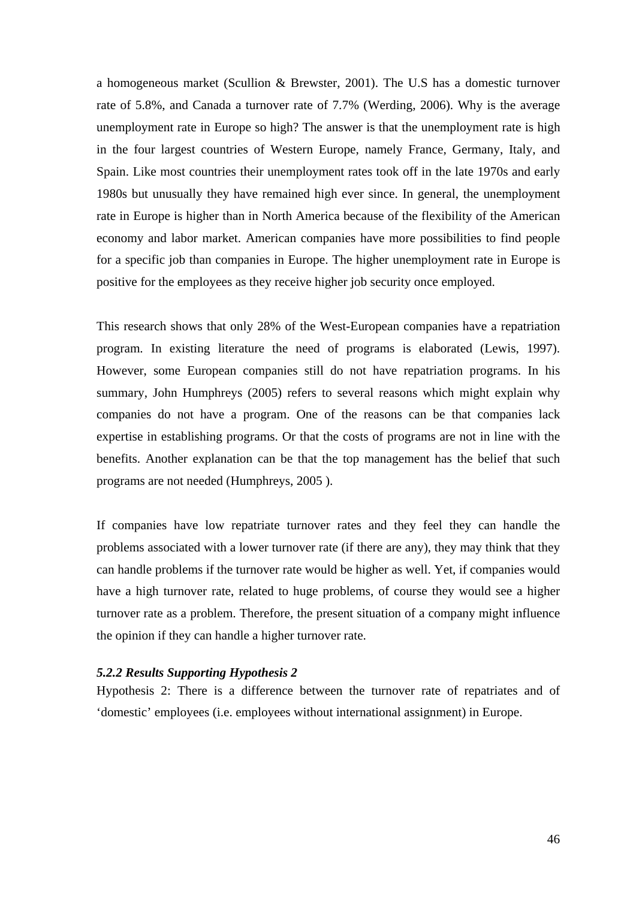a homogeneous market (Scullion & Brewster, 2001). The U.S has a domestic turnover rate of 5.8%, and Canada a turnover rate of 7.7% (Werding, 2006). Why is the average unemployment rate in Europe so high? The answer is that the unemployment rate is high in the four largest countries of Western Europe, namely France, Germany, Italy, and Spain. Like most countries their unemployment rates took off in the late 1970s and early 1980s but unusually they have remained high ever since. In general, the unemployment rate in Europe is higher than in North America because of the flexibility of the American economy and labor market. American companies have more possibilities to find people for a specific job than companies in Europe. The higher unemployment rate in Europe is positive for the employees as they receive higher job security once employed.

This research shows that only 28% of the West-European companies have a repatriation program. In existing literature the need of programs is elaborated (Lewis, 1997). However, some European companies still do not have repatriation programs. In his summary, John Humphreys (2005) refers to several reasons which might explain why companies do not have a program. One of the reasons can be that companies lack expertise in establishing programs. Or that the costs of programs are not in line with the benefits. Another explanation can be that the top management has the belief that such programs are not needed (Humphreys, 2005 ).

If companies have low repatriate turnover rates and they feel they can handle the problems associated with a lower turnover rate (if there are any), they may think that they can handle problems if the turnover rate would be higher as well. Yet, if companies would have a high turnover rate, related to huge problems, of course they would see a higher turnover rate as a problem. Therefore, the present situation of a company might influence the opinion if they can handle a higher turnover rate.

### *5.2.2 Results Supporting Hypothesis 2*

Hypothesis 2: There is a difference between the turnover rate of repatriates and of 'domestic' employees (i.e. employees without international assignment) in Europe.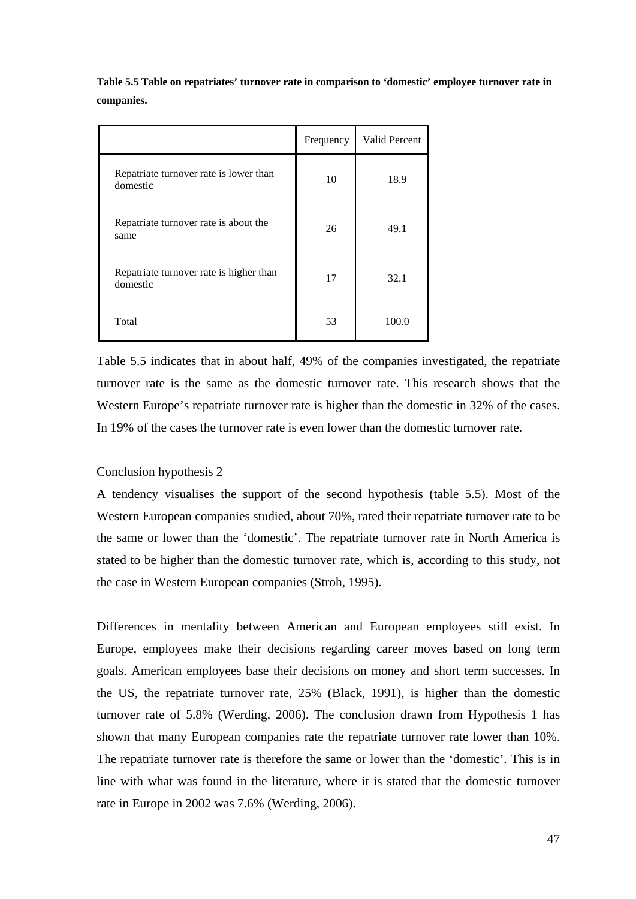**Table 5.5 Table on repatriates' turnover rate in comparison to 'domestic' employee turnover rate in companies.** 

|                                                     | Frequency | Valid Percent |
|-----------------------------------------------------|-----------|---------------|
| Repatriate turnover rate is lower than<br>domestic  | 10        | 18.9          |
| Repatriate turnover rate is about the<br>same       | 26        | 49.1          |
| Repatriate turnover rate is higher than<br>domestic | 17        | 32.1          |
| Total                                               | 53        | 100.0         |

Table 5.5 indicates that in about half, 49% of the companies investigated, the repatriate turnover rate is the same as the domestic turnover rate. This research shows that the Western Europe's repatriate turnover rate is higher than the domestic in 32% of the cases. In 19% of the cases the turnover rate is even lower than the domestic turnover rate.

# Conclusion hypothesis 2

A tendency visualises the support of the second hypothesis (table 5.5). Most of the Western European companies studied, about 70%, rated their repatriate turnover rate to be the same or lower than the 'domestic'. The repatriate turnover rate in North America is stated to be higher than the domestic turnover rate, which is, according to this study, not the case in Western European companies (Stroh, 1995).

Differences in mentality between American and European employees still exist. In Europe, employees make their decisions regarding career moves based on long term goals. American employees base their decisions on money and short term successes. In the US, the repatriate turnover rate, 25% (Black, 1991), is higher than the domestic turnover rate of 5.8% (Werding, 2006). The conclusion drawn from Hypothesis 1 has shown that many European companies rate the repatriate turnover rate lower than 10%. The repatriate turnover rate is therefore the same or lower than the 'domestic'. This is in line with what was found in the literature, where it is stated that the domestic turnover rate in Europe in 2002 was 7.6% (Werding, 2006).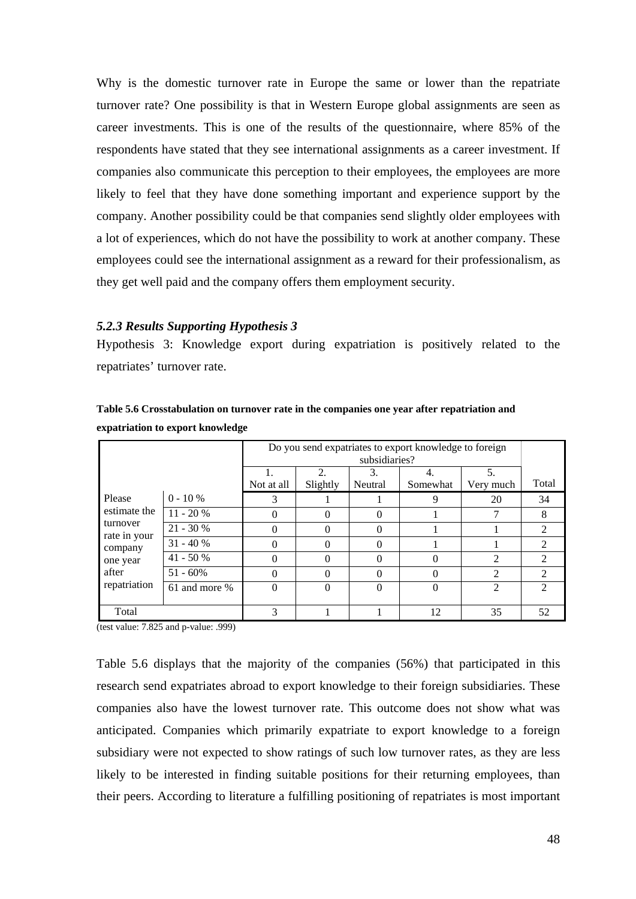Why is the domestic turnover rate in Europe the same or lower than the repatriate turnover rate? One possibility is that in Western Europe global assignments are seen as career investments. This is one of the results of the questionnaire, where 85% of the respondents have stated that they see international assignments as a career investment. If companies also communicate this perception to their employees, the employees are more likely to feel that they have done something important and experience support by the company. Another possibility could be that companies send slightly older employees with a lot of experiences, which do not have the possibility to work at another company. These employees could see the international assignment as a reward for their professionalism, as they get well paid and the company offers them employment security.

#### *5.2.3 Results Supporting Hypothesis 3*

Hypothesis 3: Knowledge export during expatriation is positively related to the repatriates' turnover rate.

|                          | expatriation to export Knowledge                       |            |          |               |          |                |                             |
|--------------------------|--------------------------------------------------------|------------|----------|---------------|----------|----------------|-----------------------------|
|                          | Do you send expatriates to export knowledge to foreign |            |          |               |          |                |                             |
|                          |                                                        |            |          | subsidiaries? |          |                |                             |
|                          |                                                        |            | 2.       | 3.            | 4.       | 5.             |                             |
|                          |                                                        | Not at all | Slightly | Neutral       | Somewhat | Very much      | Total                       |
| Please                   | $0 - 10 \%$                                            | 3          |          |               | 9        | 20             | 34                          |
| estimate the             | $11 - 20%$                                             | 0          | $\theta$ | $_{0}$        |          |                | 8                           |
| turnover<br>rate in your | $21 - 30%$                                             | 0          | $\Omega$ | 0             |          |                | $\mathfrak{D}$              |
| company                  | $31 - 40%$                                             | 0          |          | 0             |          |                |                             |
| one year                 | $41 - 50%$                                             | 0          |          | 0             | 0        |                |                             |
| after                    | $51 - 60\%$                                            | 0          |          |               | 0        |                | $\mathcal{D}_{\mathcal{L}}$ |
| repatriation             | 61 and more %                                          | $\theta$   |          |               | 0        | $\mathfrak{D}$ | $\mathcal{D}$               |
| Total                    |                                                        |            |          |               | 12       | 35             | 52                          |

**Table 5.6 Crosstabulation on turnover rate in the companies one year after repatriation and expatriation to export knowledge**

(test value: 7.825 and p-value: .999)

Table 5.6 displays that the majority of the companies (56%) that participated in this research send expatriates abroad to export knowledge to their foreign subsidiaries. These companies also have the lowest turnover rate. This outcome does not show what was anticipated. Companies which primarily expatriate to export knowledge to a foreign subsidiary were not expected to show ratings of such low turnover rates, as they are less likely to be interested in finding suitable positions for their returning employees, than their peers. According to literature a fulfilling positioning of repatriates is most important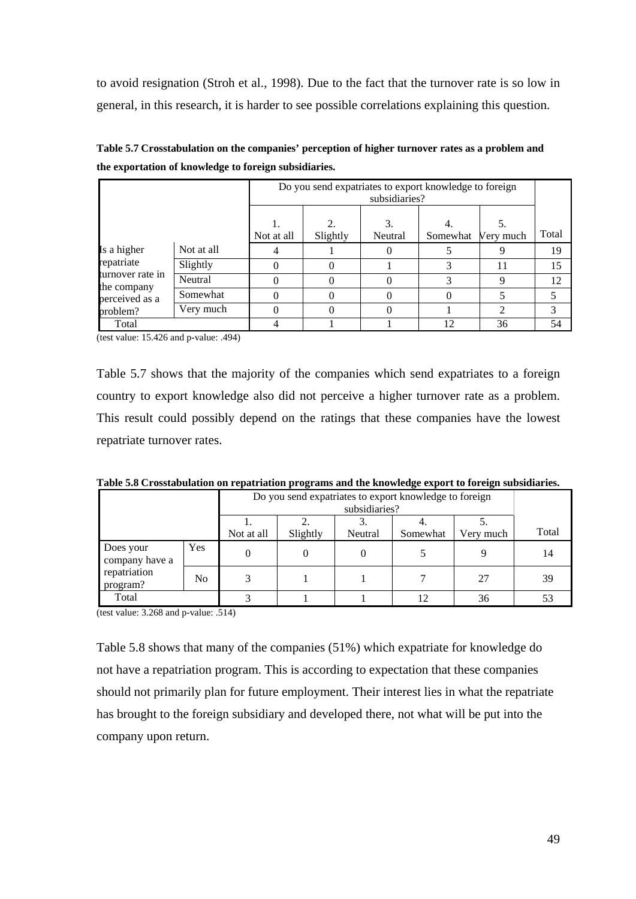to avoid resignation (Stroh et al., 1998). Due to the fact that the turnover rate is so low in general, in this research, it is harder to see possible correlations explaining this question.

|                                |            | Do you send expatriates to export knowledge to foreign<br>subsidiaries? |                                         |               |          |             |       |
|--------------------------------|------------|-------------------------------------------------------------------------|-----------------------------------------|---------------|----------|-------------|-------|
|                                |            | Not at all                                                              | $\mathcal{D}_{\mathcal{L}}$<br>Slightly | 3.<br>Neutral | Somewhat | Very much   | Total |
| Is a higher                    | Not at all |                                                                         |                                         |               |          | 9           | 19    |
| repatriate<br>turnover rate in | Slightly   |                                                                         |                                         |               |          | 11          | 15    |
|                                | Neutral    |                                                                         |                                         |               |          | $\mathbf Q$ | 12    |
| the company<br>perceived as a  | Somewhat   | 0                                                                       |                                         | 0             |          |             |       |
| problem?                       | Very much  | 0                                                                       |                                         | 0             |          | ↑           | 3     |
| Total                          |            |                                                                         |                                         |               | 12       | 36          | 54    |

**Table 5.7 Crosstabulation on the companies' perception of higher turnover rates as a problem and the exportation of knowledge to foreign subsidiaries.** 

(test value: 15.426 and p-value: .494)

Table 5.7 shows that the majority of the companies which send expatriates to a foreign country to export knowledge also did not perceive a higher turnover rate as a problem. This result could possibly depend on the ratings that these companies have the lowest repatriate turnover rates.

| Table 5.8 Crosstabulation on repatriation programs and the knowledge export to foreign subsidiaries. |  |  |
|------------------------------------------------------------------------------------------------------|--|--|

| таяк это стоявалитетон он тераптиион ртодганы ана ик кножкаде ехроге в тогещи валяминся |                |            |          |               |                                                        |           |       |  |
|-----------------------------------------------------------------------------------------|----------------|------------|----------|---------------|--------------------------------------------------------|-----------|-------|--|
|                                                                                         |                |            |          | subsidiaries? | Do you send expatriates to export knowledge to foreign |           |       |  |
|                                                                                         |                | Not at all | Slightly | Neutral       | Somewhat                                               | Very much | Total |  |
| Does your<br>company have a<br>repatriation<br>program?                                 | Yes.           |            |          |               |                                                        |           | 14    |  |
|                                                                                         | N <sub>0</sub> |            |          |               |                                                        | 27        | 39    |  |
| Total                                                                                   |                |            |          |               |                                                        | 36        |       |  |

(test value: 3.268 and p-value: .514)

Table 5.8 shows that many of the companies (51%) which expatriate for knowledge do not have a repatriation program. This is according to expectation that these companies should not primarily plan for future employment. Their interest lies in what the repatriate has brought to the foreign subsidiary and developed there, not what will be put into the company upon return.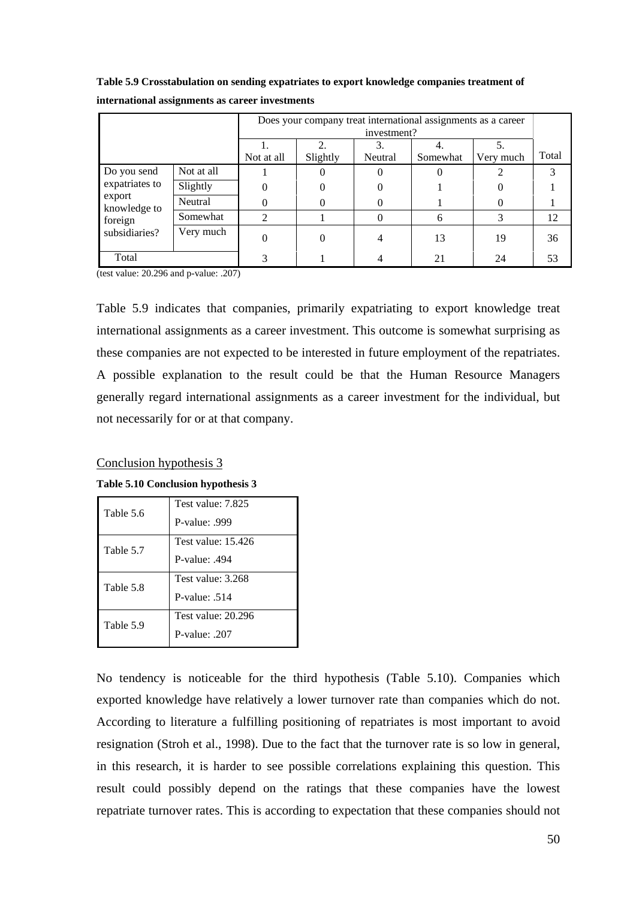|                          |            | Does your company treat international assignments as a career<br>investment? |          |               |          |                 |       |
|--------------------------|------------|------------------------------------------------------------------------------|----------|---------------|----------|-----------------|-------|
|                          |            | Not at all                                                                   | Slightly | 3.<br>Neutral | Somewhat | 5.<br>Very much | Total |
| Do you send              | Not at all |                                                                              | 0        | $\theta$      | 0        |                 |       |
| expatriates to           | Slightly   | 0                                                                            |          | 0             |          |                 |       |
| export<br>knowledge to   | Neutral    | 0                                                                            | 0        | $\Omega$      |          | 0               |       |
| foreign<br>subsidiaries? | Somewhat   | $\mathfrak{D}$                                                               |          | $\Omega$      | 6        | 3               | 12    |
|                          | Very much  | 0                                                                            |          | 4             | 13       | 19              | 36    |
| Total                    |            | 3                                                                            |          | 4             | 21       | 24              | 53    |

**Table 5.9 Crosstabulation on sending expatriates to export knowledge companies treatment of international assignments as career investments** 

(test value: 20.296 and p-value: .207)

Table 5.9 indicates that companies, primarily expatriating to export knowledge treat international assignments as a career investment. This outcome is somewhat surprising as these companies are not expected to be interested in future employment of the repatriates. A possible explanation to the result could be that the Human Resource Managers generally regard international assignments as a career investment for the individual, but not necessarily for or at that company.

#### Conclusion hypothesis 3

**Table 5.10 Conclusion hypothesis 3** 

| Table 5.6 | Test value: 7.825<br>P-value: 999     |
|-----------|---------------------------------------|
| Table 5.7 | Test value: 15.426<br>P-value: $.494$ |
| Table 5.8 | Test value: 3.268<br>P-value: $.514$  |
| Table 5.9 | Test value: 20.296<br>P-value: 207    |

No tendency is noticeable for the third hypothesis (Table 5.10). Companies which exported knowledge have relatively a lower turnover rate than companies which do not. According to literature a fulfilling positioning of repatriates is most important to avoid resignation (Stroh et al., 1998). Due to the fact that the turnover rate is so low in general, in this research, it is harder to see possible correlations explaining this question. This result could possibly depend on the ratings that these companies have the lowest repatriate turnover rates. This is according to expectation that these companies should not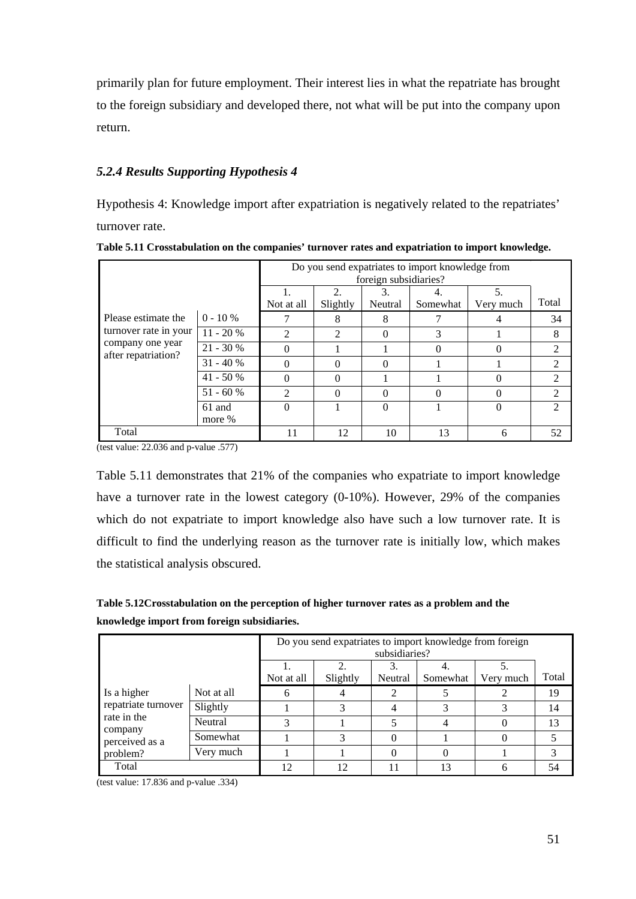primarily plan for future employment. Their interest lies in what the repatriate has brought to the foreign subsidiary and developed there, not what will be put into the company upon return.

# *5.2.4 Results Supporting Hypothesis 4*

Hypothesis 4: Knowledge import after expatriation is negatively related to the repatriates' turnover rate.

|                                         |            | Do you send expatriates to import knowledge from<br>foreign subsidiaries?<br>2.<br>5. |          |         |          |           |                             |
|-----------------------------------------|------------|---------------------------------------------------------------------------------------|----------|---------|----------|-----------|-----------------------------|
|                                         |            | Not at all                                                                            | Slightly | Neutral | Somewhat | Very much | Total                       |
| Please estimate the                     | $0 - 10 %$ |                                                                                       | 8        | 8       |          |           | 34                          |
| turnover rate in your                   | $11 - 20%$ | C                                                                                     | っ        | 0       | 3        |           | 8                           |
| company one year<br>after repatriation? | $21 - 30%$ | 0                                                                                     |          |         | 0        |           | $\mathfrak{D}$              |
|                                         | $31 - 40%$ | 0                                                                                     | 0        |         |          |           | $\mathfrak{D}$              |
|                                         | $41 - 50%$ | 0                                                                                     | 0        |         |          |           | $\mathfrak{D}$              |
|                                         | $51 - 60%$ | $\mathcal{D}_{\mathcal{L}}$                                                           | 0        |         | 0        |           | $\mathcal{D}_{\mathcal{L}}$ |
|                                         | 61 and     | 0                                                                                     |          |         |          |           | $\mathcal{D}$               |
|                                         | more %     |                                                                                       |          |         |          |           |                             |
| Total                                   |            | 11                                                                                    | 12       | 10      | 13       | 6         | 52                          |

**Table 5.11 Crosstabulation on the companies' turnover rates and expatriation to import knowledge.** 

(test value: 22.036 and p-value .577)

Table 5.11 demonstrates that 21% of the companies who expatriate to import knowledge have a turnover rate in the lowest category (0-10%). However, 29% of the companies which do not expatriate to import knowledge also have such a low turnover rate. It is difficult to find the underlying reason as the turnover rate is initially low, which makes the statistical analysis obscured.

**Table 5.12Crosstabulation on the perception of higher turnover rates as a problem and the knowledge import from foreign subsidiaries.** 

|                        |            | Do you send expatriates to import knowledge from foreign<br>subsidiaries? |               |          |           |       |    |
|------------------------|------------|---------------------------------------------------------------------------|---------------|----------|-----------|-------|----|
|                        | Not at all | $\mathfrak{D}$<br>Slightly                                                | 3.<br>Neutral | Somewhat | Very much | Total |    |
|                        |            |                                                                           |               |          |           |       |    |
| Is a higher            | Not at all | h                                                                         |               | 2        |           |       | 19 |
| repatriate turnover    | Slightly   |                                                                           |               | 4        |           |       | 14 |
| rate in the<br>company | Neutral    |                                                                           |               |          | 4         |       | 13 |
| perceived as a         | Somewhat   |                                                                           | 3             | 0        |           |       |    |
| problem?               | Very much  |                                                                           |               | $\Omega$ |           |       | 3  |
| Total                  |            | 12                                                                        | 12            | 11       |           |       | 54 |

(test value: 17.836 and p-value .334)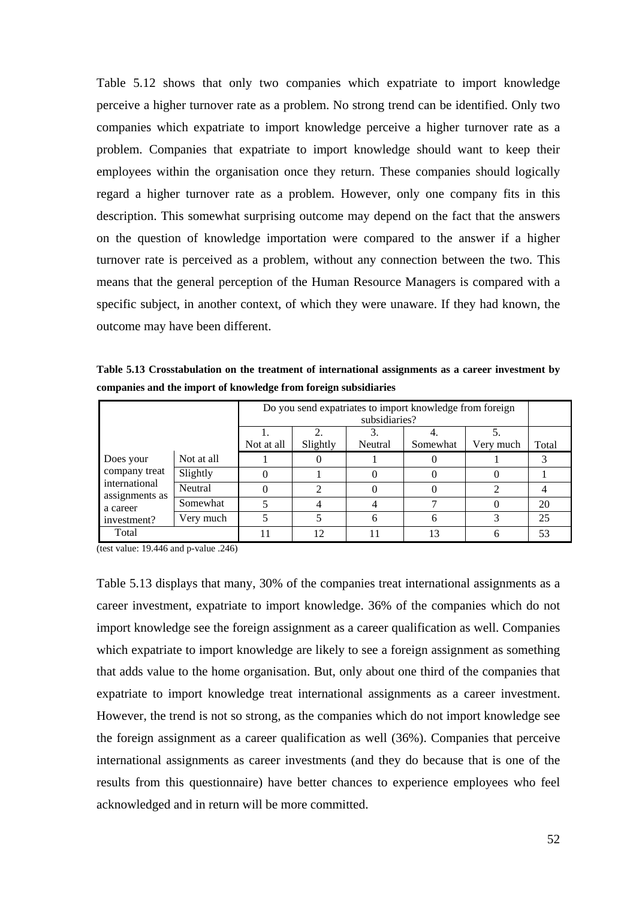Table 5.12 shows that only two companies which expatriate to import knowledge perceive a higher turnover rate as a problem. No strong trend can be identified. Only two companies which expatriate to import knowledge perceive a higher turnover rate as a problem. Companies that expatriate to import knowledge should want to keep their employees within the organisation once they return. These companies should logically regard a higher turnover rate as a problem. However, only one company fits in this description. This somewhat surprising outcome may depend on the fact that the answers on the question of knowledge importation were compared to the answer if a higher turnover rate is perceived as a problem, without any connection between the two. This means that the general perception of the Human Resource Managers is compared with a specific subject, in another context, of which they were unaware. If they had known, the outcome may have been different.

**Table 5.13 Crosstabulation on the treatment of international assignments as a career investment by companies and the import of knowledge from foreign subsidiaries**

|                                 |            |            | Do you send expatriates to import knowledge from foreign<br>subsidiaries? |         |          |           |       |  |
|---------------------------------|------------|------------|---------------------------------------------------------------------------|---------|----------|-----------|-------|--|
|                                 |            | Not at all | Slightly                                                                  | Neutral | Somewhat | Very much | Total |  |
|                                 |            |            |                                                                           |         |          |           |       |  |
| Does your                       | Not at all |            |                                                                           |         |          |           |       |  |
| company treat                   | Slightly   | $\theta$   |                                                                           |         |          |           |       |  |
| international<br>assignments as | Neutral    | 0          |                                                                           |         |          |           |       |  |
| a career                        | Somewhat   |            |                                                                           |         |          |           | 20    |  |
| investment?                     | Very much  | 5          |                                                                           | 6       |          |           | 25    |  |
| Total                           |            |            | 12                                                                        |         | 13       |           | 53    |  |

(test value: 19.446 and p-value .246)

Table 5.13 displays that many, 30% of the companies treat international assignments as a career investment, expatriate to import knowledge. 36% of the companies which do not import knowledge see the foreign assignment as a career qualification as well. Companies which expatriate to import knowledge are likely to see a foreign assignment as something that adds value to the home organisation. But, only about one third of the companies that expatriate to import knowledge treat international assignments as a career investment. However, the trend is not so strong, as the companies which do not import knowledge see the foreign assignment as a career qualification as well (36%). Companies that perceive international assignments as career investments (and they do because that is one of the results from this questionnaire) have better chances to experience employees who feel acknowledged and in return will be more committed.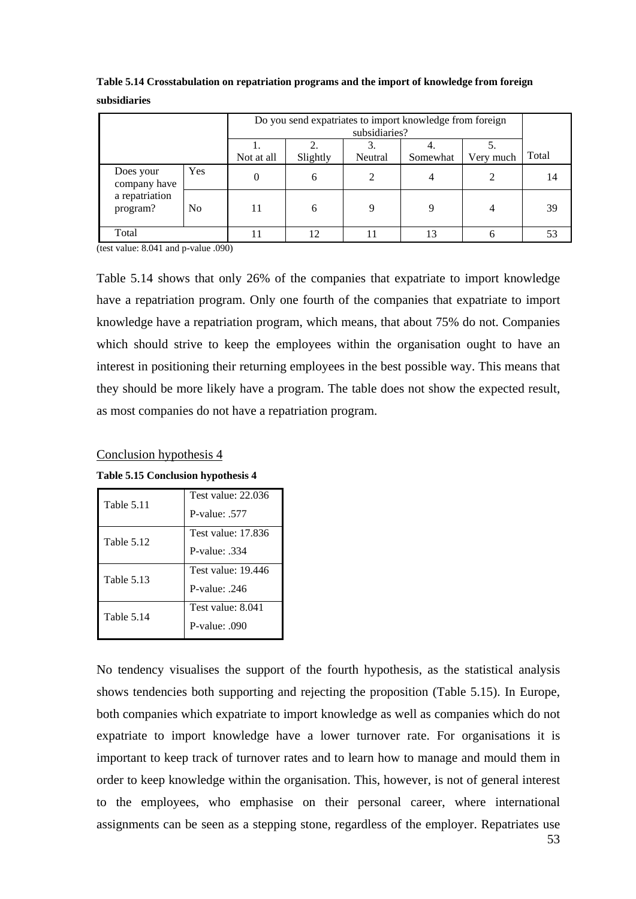| Do you send expatriates to import knowledge from foreign<br>subsidiaries?          |     |   |    |  |    |   |       |
|------------------------------------------------------------------------------------|-----|---|----|--|----|---|-------|
| 2<br>Slightly<br>Very much<br>Not at all<br>Neutral<br>Somewhat                    |     |   |    |  |    |   | Total |
| Does your<br>company have                                                          | Yes | 0 | 6  |  | 4  |   | 14    |
| a repatriation<br>N <sub>o</sub><br>program?<br>11<br>$\mathbf Q$<br>$\Omega$<br>6 |     |   |    |  |    |   | 39    |
| Total                                                                              |     |   | 12 |  | 13 | 6 | 53    |

**Table 5.14 Crosstabulation on repatriation programs and the import of knowledge from foreign subsidiaries**

(test value: 8.041 and p-value .090)

Table 5.14 shows that only 26% of the companies that expatriate to import knowledge have a repatriation program. Only one fourth of the companies that expatriate to import knowledge have a repatriation program, which means, that about 75% do not. Companies which should strive to keep the employees within the organisation ought to have an interest in positioning their returning employees in the best possible way. This means that they should be more likely have a program. The table does not show the expected result, as most companies do not have a repatriation program.

#### Conclusion hypothesis 4

**Table 5.15 Conclusion hypothesis 4** 

| Table 5.11        | Test value: 22.036<br>P-value: 577 |
|-------------------|------------------------------------|
| <b>Table 5.12</b> | Test value: 17.836<br>P-value: 334 |
| Table 5.13        | Test value: 19.446<br>P-value: 246 |
| Table 5.14        | Test value: 8.041<br>P-value: .090 |

No tendency visualises the support of the fourth hypothesis, as the statistical analysis shows tendencies both supporting and rejecting the proposition (Table 5.15). In Europe, both companies which expatriate to import knowledge as well as companies which do not expatriate to import knowledge have a lower turnover rate. For organisations it is important to keep track of turnover rates and to learn how to manage and mould them in order to keep knowledge within the organisation. This, however, is not of general interest to the employees, who emphasise on their personal career, where international assignments can be seen as a stepping stone, regardless of the employer. Repatriates use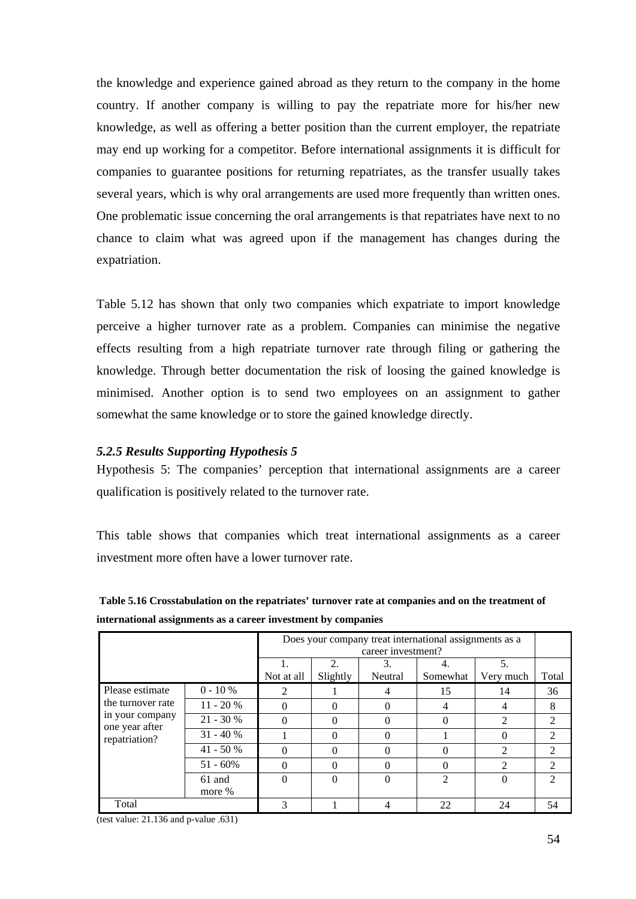the knowledge and experience gained abroad as they return to the company in the home country. If another company is willing to pay the repatriate more for his/her new knowledge, as well as offering a better position than the current employer, the repatriate may end up working for a competitor. Before international assignments it is difficult for companies to guarantee positions for returning repatriates, as the transfer usually takes several years, which is why oral arrangements are used more frequently than written ones. One problematic issue concerning the oral arrangements is that repatriates have next to no chance to claim what was agreed upon if the management has changes during the expatriation.

Table 5.12 has shown that only two companies which expatriate to import knowledge perceive a higher turnover rate as a problem. Companies can minimise the negative effects resulting from a high repatriate turnover rate through filing or gathering the knowledge. Through better documentation the risk of loosing the gained knowledge is minimised. Another option is to send two employees on an assignment to gather somewhat the same knowledge or to store the gained knowledge directly.

## *5.2.5 Results Supporting Hypothesis 5*

Hypothesis 5: The companies' perception that international assignments are a career qualification is positively related to the turnover rate.

This table shows that companies which treat international assignments as a career investment more often have a lower turnover rate.

**Table 5.16 Crosstabulation on the repatriates' turnover rate at companies and on the treatment of international assignments as a career investment by companies** 

|                                   | Does your company treat international assignments as a<br>career investment? |                |                                         |               |                |                 |                |
|-----------------------------------|------------------------------------------------------------------------------|----------------|-----------------------------------------|---------------|----------------|-----------------|----------------|
|                                   |                                                                              | Not at all     | $\mathcal{D}_{\mathcal{L}}$<br>Slightly | 3.<br>Neutral | Somewhat       | 5.<br>Very much | Total          |
| Please estimate                   | $0 - 10 %$                                                                   | $\mathfrak{D}$ |                                         | 4             | 15             | 14              | 36             |
| the turnover rate                 | $11 - 20%$                                                                   | 0              | 0                                       |               |                | 4               | 8              |
| in your company<br>one year after | $21 - 30%$                                                                   | 0              | 0                                       |               |                | $\mathfrak{D}$  | $\overline{c}$ |
| repatriation?                     | $31 - 40%$                                                                   |                | 0                                       |               |                | $\Omega$        | $\mathfrak{D}$ |
|                                   | $41 - 50%$                                                                   | 0              | 0                                       |               |                | $\mathfrak{D}$  | 2              |
|                                   | $51 - 60\%$                                                                  | 0              | 0                                       |               |                | $\mathfrak{D}$  | $\mathfrak{D}$ |
|                                   | 61 and                                                                       | 0              | 0                                       | $\Omega$      | $\mathfrak{D}$ | $\Omega$        | $\mathcal{D}$  |
|                                   | more %                                                                       |                |                                         |               |                |                 |                |
| Total                             |                                                                              | 3              |                                         | 4             | 22             | 24              | 54             |

(test value: 21.136 and p-value .631)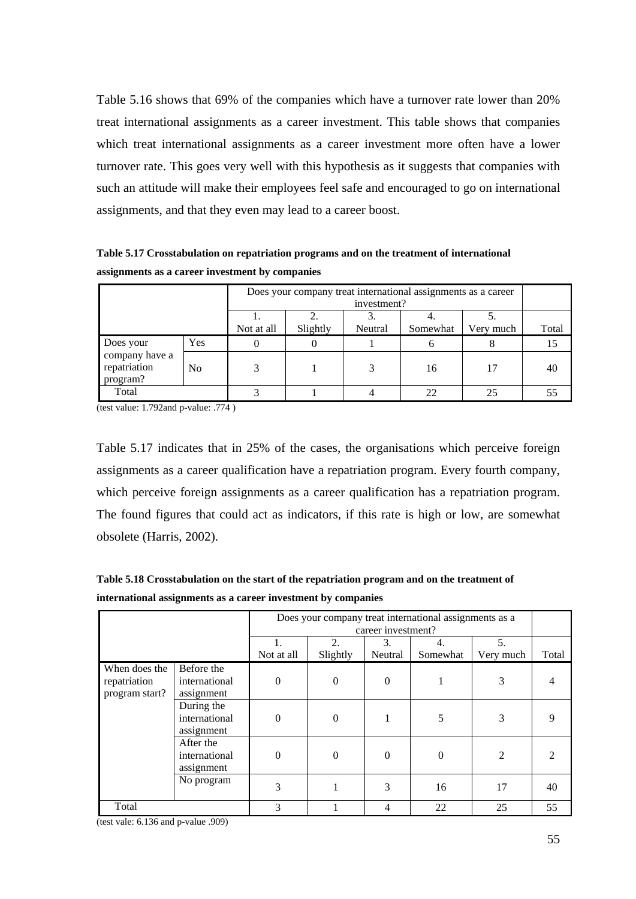Table 5.16 shows that 69% of the companies which have a turnover rate lower than 20% treat international assignments as a career investment. This table shows that companies which treat international assignments as a career investment more often have a lower turnover rate. This goes very well with this hypothesis as it suggests that companies with such an attitude will make their employees feel safe and encouraged to go on international assignments, and that they even may lead to a career boost.

**Table 5.17 Crosstabulation on repatriation programs and on the treatment of international assignments as a career investment by companies** 

|                                            | Does your company treat international assignments as a career |            |          |             |          |           |       |  |  |
|--------------------------------------------|---------------------------------------------------------------|------------|----------|-------------|----------|-----------|-------|--|--|
|                                            |                                                               |            |          | investment? |          |           |       |  |  |
|                                            |                                                               |            |          |             |          |           |       |  |  |
|                                            |                                                               | Not at all | Slightly | Neutral     | Somewhat | Very much | Total |  |  |
| Does your                                  | Yes                                                           |            |          |             |          | 8         | 15    |  |  |
| company have a<br>repatriation<br>program? | No.                                                           |            | 16<br>17 |             |          |           |       |  |  |
| Total                                      |                                                               |            |          |             |          | 25        |       |  |  |

(test value: 1.792and p-value: .774 )

Table 5.17 indicates that in 25% of the cases, the organisations which perceive foreign assignments as a career qualification have a repatriation program. Every fourth company, which perceive foreign assignments as a career qualification has a repatriation program. The found figures that could act as indicators, if this rate is high or low, are somewhat obsolete (Harris, 2002).

**Table 5.18 Crosstabulation on the start of the repatriation program and on the treatment of international assignments as a career investment by companies** 

|                                                 | Does your company treat international assignments as a<br>career investment? |            |          |          |              |           |                       |
|-------------------------------------------------|------------------------------------------------------------------------------|------------|----------|----------|--------------|-----------|-----------------------|
|                                                 |                                                                              | 1.         | 2.       | 3.       | 4.           | 5.        |                       |
|                                                 |                                                                              | Not at all | Slightly | Neutral  | Somewhat     | Very much | Total                 |
| When does the<br>repatriation<br>program start? | Before the<br>international<br>assignment                                    | $\theta$   | $\Omega$ | $\Omega$ |              | 3         | 4                     |
|                                                 | During the<br>international<br>assignment                                    | $\theta$   | $\theta$ |          | 5            | 3         | 9                     |
|                                                 | After the<br>international<br>assignment                                     | $\theta$   | $\Omega$ | $\Omega$ | $\mathbf{0}$ | 2         | $\mathcal{D}_{\cdot}$ |
|                                                 | No program                                                                   | 3          |          | 3        | 16           | 17        | 40                    |
| Total                                           |                                                                              | 3          |          | 4        | 22           | 25        | 55                    |

(test vale: 6.136 and p-value .909)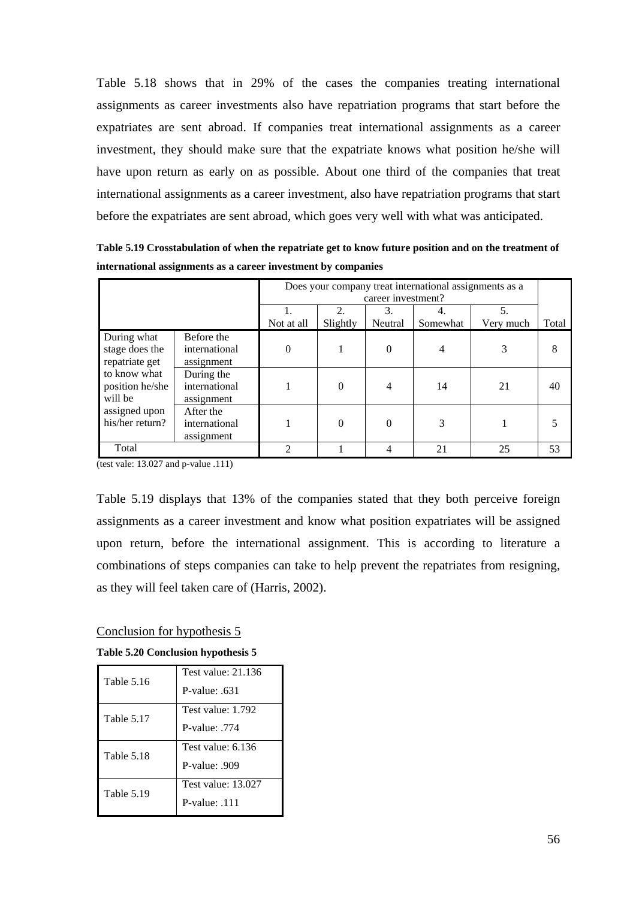Table 5.18 shows that in 29% of the cases the companies treating international assignments as career investments also have repatriation programs that start before the expatriates are sent abroad. If companies treat international assignments as a career investment, they should make sure that the expatriate knows what position he/she will have upon return as early on as possible. About one third of the companies that treat international assignments as a career investment, also have repatriation programs that start before the expatriates are sent abroad, which goes very well with what was anticipated.

**Table 5.19 Crosstabulation of when the repatriate get to know future position and on the treatment of international assignments as a career investment by companies** 

|                                                 |                                                                                                |          | Does your company treat international assignments as a<br>career investment? |   |    |    |       |
|-------------------------------------------------|------------------------------------------------------------------------------------------------|----------|------------------------------------------------------------------------------|---|----|----|-------|
|                                                 | $\mathfrak{D}$<br>3.<br>5.<br>4.<br>Slightly<br>Neutral<br>Not at all<br>Somewhat<br>Very much |          |                                                                              |   |    |    | Total |
| During what<br>stage does the<br>repatriate get | Before the<br>international<br>assignment                                                      | $\theta$ |                                                                              | 0 | 4  |    |       |
| to know what<br>position he/she<br>will be      | During the<br>international<br>assignment                                                      |          | $\Omega$                                                                     |   | 14 | 21 | 40    |
| assigned upon<br>his/her return?                | After the<br>international<br>assignment                                                       |          | $\Omega$                                                                     | 0 | 3  |    |       |
| Total                                           |                                                                                                | ∍        |                                                                              |   | 21 | 25 | 53    |

(test vale: 13.027 and p-value .111)

Table 5.19 displays that 13% of the companies stated that they both perceive foreign assignments as a career investment and know what position expatriates will be assigned upon return, before the international assignment. This is according to literature a combinations of steps companies can take to help prevent the repatriates from resigning, as they will feel taken care of (Harris, 2002).

## Conclusion for hypothesis 5

**Table 5.20 Conclusion hypothesis 5** 

| <b>Table 5.16</b> | Test value: 21.136 |
|-------------------|--------------------|
|                   | P-value: 631       |
| Table 5.17        | Test value: 1.792  |
|                   | P-value: 774       |
| Table 5.18        | Test value: 6.136  |
|                   | P-value: .909      |
| Table 5.19        | Test value: 13.027 |
|                   | $P-value: 111$     |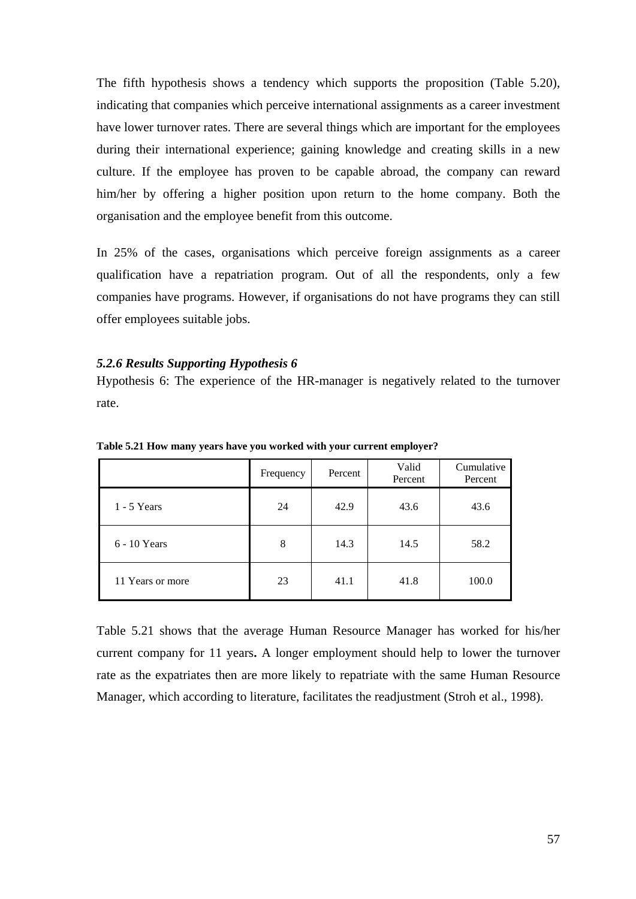The fifth hypothesis shows a tendency which supports the proposition (Table 5.20), indicating that companies which perceive international assignments as a career investment have lower turnover rates. There are several things which are important for the employees during their international experience; gaining knowledge and creating skills in a new culture. If the employee has proven to be capable abroad, the company can reward him/her by offering a higher position upon return to the home company. Both the organisation and the employee benefit from this outcome.

In 25% of the cases, organisations which perceive foreign assignments as a career qualification have a repatriation program. Out of all the respondents, only a few companies have programs. However, if organisations do not have programs they can still offer employees suitable jobs.

## *5.2.6 Results Supporting Hypothesis 6*

Hypothesis 6: The experience of the HR-manager is negatively related to the turnover rate.

|                  | Frequency | Percent | Valid<br>Percent | Cumulative<br>Percent |
|------------------|-----------|---------|------------------|-----------------------|
| $1 - 5$ Years    | 24        | 42.9    | 43.6             | 43.6                  |
| $6 - 10$ Years   | 8         | 14.3    | 14.5             | 58.2                  |
| 11 Years or more | 23        | 41.1    | 41.8             | 100.0                 |

**Table 5.21 How many years have you worked with your current employer?**

Table 5.21 shows that the average Human Resource Manager has worked for his/her current company for 11 years**.** A longer employment should help to lower the turnover rate as the expatriates then are more likely to repatriate with the same Human Resource Manager, which according to literature, facilitates the readjustment (Stroh et al., 1998).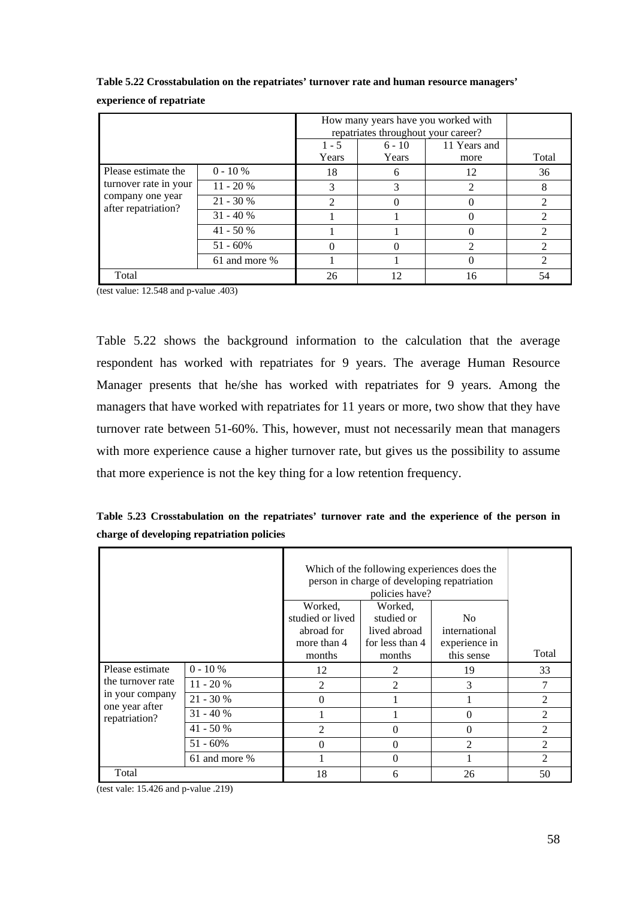|                                         |               | $1 - 5$<br>Years | repatriates throughout your career?<br>$6 - 10$<br>Years | How many years have you worked with<br>11 Years and<br>more | Total                       |
|-----------------------------------------|---------------|------------------|----------------------------------------------------------|-------------------------------------------------------------|-----------------------------|
| Please estimate the                     | $0 - 10 %$    | 18               | h                                                        | 12                                                          | 36                          |
| turnover rate in your                   | $11 - 20%$    | 3                |                                                          | ∍                                                           | 8                           |
| company one year<br>after repatriation? | $21 - 30%$    | ↑                |                                                          |                                                             |                             |
|                                         | $31 - 40%$    |                  |                                                          |                                                             | 2                           |
|                                         | $41 - 50%$    |                  |                                                          |                                                             |                             |
|                                         | $51 - 60\%$   |                  |                                                          |                                                             |                             |
|                                         | 61 and more % |                  |                                                          |                                                             | $\mathcal{D}_{\mathcal{A}}$ |
| Total                                   |               | 26               | 12.                                                      | 16                                                          | 54                          |

**Table 5.22 Crosstabulation on the repatriates' turnover rate and human resource managers' experience of repatriate** 

(test value: 12.548 and p-value .403)

Table 5.22 shows the background information to the calculation that the average respondent has worked with repatriates for 9 years. The average Human Resource Manager presents that he/she has worked with repatriates for 9 years. Among the managers that have worked with repatriates for 11 years or more, two show that they have turnover rate between 51-60%. This, however, must not necessarily mean that managers with more experience cause a higher turnover rate, but gives us the possibility to assume that more experience is not the key thing for a low retention frequency.

**Table 5.23 Crosstabulation on the repatriates' turnover rate and the experience of the person in charge of developing repatriation policies** 

|                                   |               |                                                                    | Which of the following experiences does the<br>person in charge of developing repatriation<br>policies have? |                                                                |                             |  |  |
|-----------------------------------|---------------|--------------------------------------------------------------------|--------------------------------------------------------------------------------------------------------------|----------------------------------------------------------------|-----------------------------|--|--|
|                                   |               | Worked,<br>studied or lived<br>abroad for<br>more than 4<br>months | Worked,<br>studied or<br>lived abroad<br>for less than 4<br>months                                           | N <sub>0</sub><br>international<br>experience in<br>this sense | Total                       |  |  |
| Please estimate                   | $0 - 10 \%$   | 12                                                                 | 2                                                                                                            | 19                                                             | 33                          |  |  |
| the turnover rate                 | $11 - 20%$    | $\mathfrak{D}$                                                     | 2                                                                                                            | 3                                                              | 7                           |  |  |
| in your company<br>one year after | $21 - 30%$    | 0                                                                  |                                                                                                              |                                                                | $\mathfrak{D}$              |  |  |
| repatriation?                     | $31 - 40%$    |                                                                    |                                                                                                              | 0                                                              | $\mathfrak{D}$              |  |  |
|                                   | $41 - 50%$    | $\mathfrak{D}$                                                     | 0                                                                                                            | $\theta$                                                       | $\mathfrak{D}$              |  |  |
|                                   | $51 - 60\%$   | 0                                                                  | 0                                                                                                            | $\overline{2}$                                                 | $\mathfrak{D}$              |  |  |
|                                   | 61 and more % |                                                                    | 0                                                                                                            |                                                                | $\mathcal{D}_{\mathcal{L}}$ |  |  |
| Total                             |               | 18                                                                 | 6                                                                                                            | 26                                                             | 50                          |  |  |

(test vale: 15.426 and p-value .219)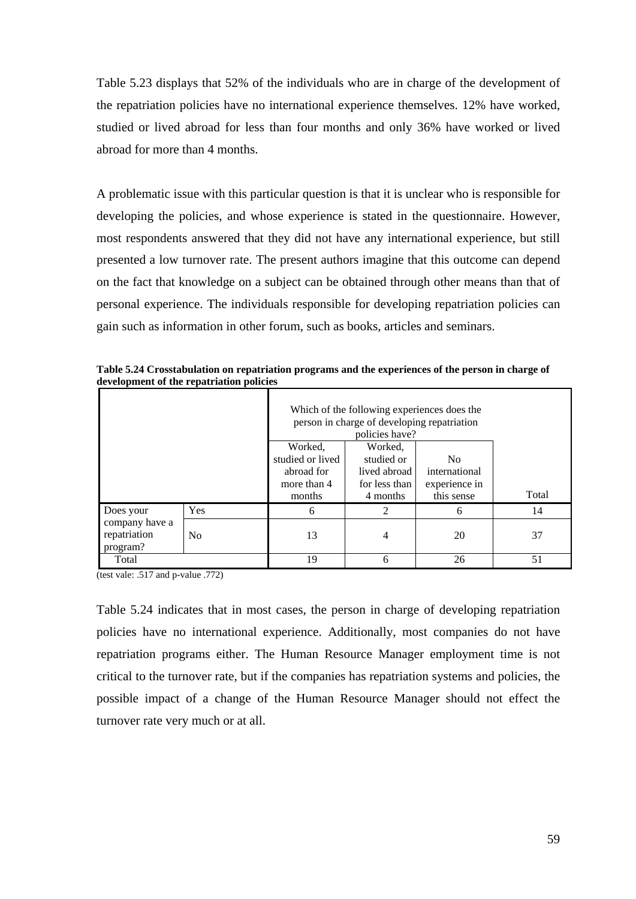Table 5.23 displays that 52% of the individuals who are in charge of the development of the repatriation policies have no international experience themselves. 12% have worked, studied or lived abroad for less than four months and only 36% have worked or lived abroad for more than 4 months.

A problematic issue with this particular question is that it is unclear who is responsible for developing the policies, and whose experience is stated in the questionnaire. However, most respondents answered that they did not have any international experience, but still presented a low turnover rate. The present authors imagine that this outcome can depend on the fact that knowledge on a subject can be obtained through other means than that of personal experience. The individuals responsible for developing repatriation policies can gain such as information in other forum, such as books, articles and seminars.

|                | Which of the following experiences does the<br>person in charge of developing repatriation<br>policies have? |                  |                |                |       |
|----------------|--------------------------------------------------------------------------------------------------------------|------------------|----------------|----------------|-------|
|                |                                                                                                              | Worked,          | Worked,        |                |       |
|                |                                                                                                              | studied or lived | studied or     | N <sub>0</sub> |       |
|                |                                                                                                              | abroad for       | lived abroad   | international  |       |
|                |                                                                                                              | more than 4      | for less than  | experience in  |       |
|                |                                                                                                              | months           | 4 months       | this sense     | Total |
| Does your      | <b>Yes</b>                                                                                                   | 6                | $\mathfrak{D}$ | 6              | 14    |
| company have a |                                                                                                              |                  |                |                |       |
| repatriation   | N <sub>0</sub>                                                                                               | 13               |                | 20             | 37    |
| program?       |                                                                                                              |                  |                |                |       |
| Total          |                                                                                                              | 19               | 6              | 26             | 51    |

**Table 5.24 Crosstabulation on repatriation programs and the experiences of the person in charge of development of the repatriation policies** 

(test vale: .517 and p-value .772)

Table 5.24 indicates that in most cases, the person in charge of developing repatriation policies have no international experience. Additionally, most companies do not have repatriation programs either. The Human Resource Manager employment time is not critical to the turnover rate, but if the companies has repatriation systems and policies, the possible impact of a change of the Human Resource Manager should not effect the turnover rate very much or at all.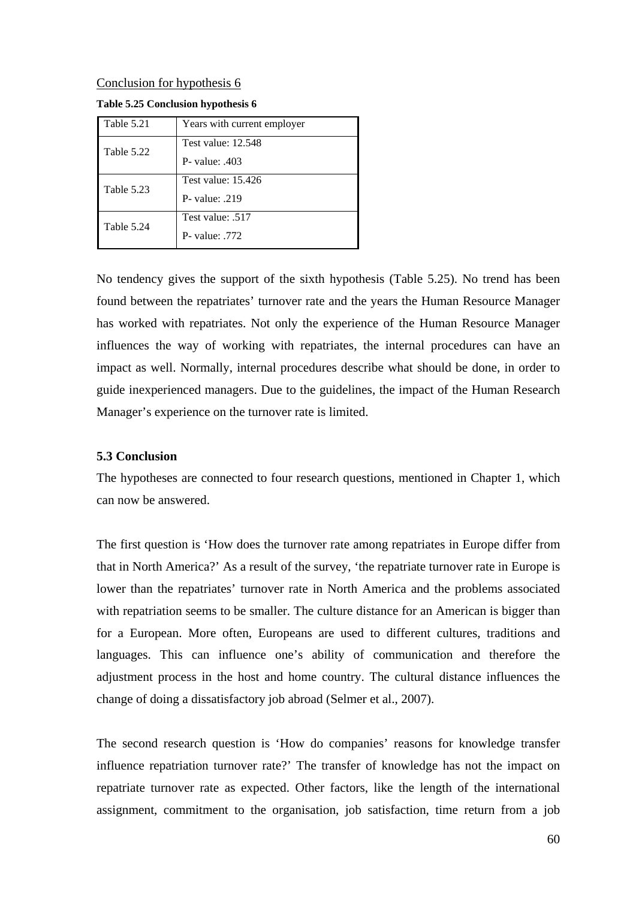#### Conclusion for hypothesis 6

| Table 5.21 | Years with current employer                 |
|------------|---------------------------------------------|
| Table 5.22 | <b>Test value: 12.548</b><br>P- value: .403 |
| Table 5.23 | Test value: 15.426<br>P- value: $.219$      |
| Table 5.24 | Test value: .517<br>$P$ - value: 772        |

**Table 5.25 Conclusion hypothesis 6** 

No tendency gives the support of the sixth hypothesis (Table 5.25). No trend has been found between the repatriates' turnover rate and the years the Human Resource Manager has worked with repatriates. Not only the experience of the Human Resource Manager influences the way of working with repatriates, the internal procedures can have an impact as well. Normally, internal procedures describe what should be done, in order to guide inexperienced managers. Due to the guidelines, the impact of the Human Research Manager's experience on the turnover rate is limited.

## **5.3 Conclusion**

The hypotheses are connected to four research questions, mentioned in Chapter 1, which can now be answered.

The first question is 'How does the turnover rate among repatriates in Europe differ from that in North America?' As a result of the survey, 'the repatriate turnover rate in Europe is lower than the repatriates' turnover rate in North America and the problems associated with repatriation seems to be smaller. The culture distance for an American is bigger than for a European. More often, Europeans are used to different cultures, traditions and languages. This can influence one's ability of communication and therefore the adjustment process in the host and home country. The cultural distance influences the change of doing a dissatisfactory job abroad (Selmer et al., 2007).

The second research question is 'How do companies' reasons for knowledge transfer influence repatriation turnover rate?' The transfer of knowledge has not the impact on repatriate turnover rate as expected. Other factors, like the length of the international assignment, commitment to the organisation, job satisfaction, time return from a job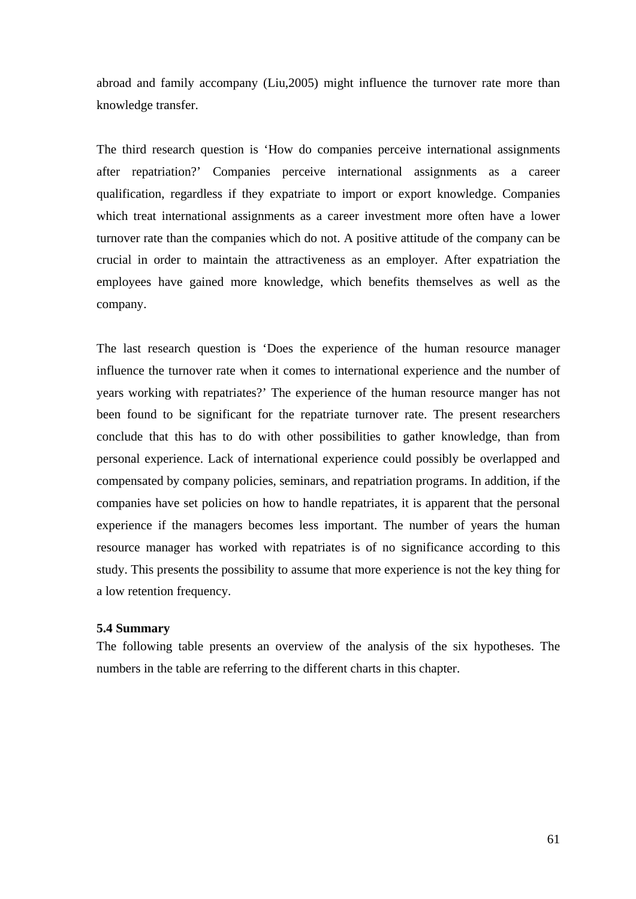abroad and family accompany (Liu,2005) might influence the turnover rate more than knowledge transfer.

The third research question is 'How do companies perceive international assignments after repatriation?' Companies perceive international assignments as a career qualification, regardless if they expatriate to import or export knowledge. Companies which treat international assignments as a career investment more often have a lower turnover rate than the companies which do not. A positive attitude of the company can be crucial in order to maintain the attractiveness as an employer. After expatriation the employees have gained more knowledge, which benefits themselves as well as the company.

The last research question is 'Does the experience of the human resource manager influence the turnover rate when it comes to international experience and the number of years working with repatriates?' The experience of the human resource manger has not been found to be significant for the repatriate turnover rate. The present researchers conclude that this has to do with other possibilities to gather knowledge, than from personal experience. Lack of international experience could possibly be overlapped and compensated by company policies, seminars, and repatriation programs. In addition, if the companies have set policies on how to handle repatriates, it is apparent that the personal experience if the managers becomes less important. The number of years the human resource manager has worked with repatriates is of no significance according to this study. This presents the possibility to assume that more experience is not the key thing for a low retention frequency.

#### **5.4 Summary**

The following table presents an overview of the analysis of the six hypotheses. The numbers in the table are referring to the different charts in this chapter.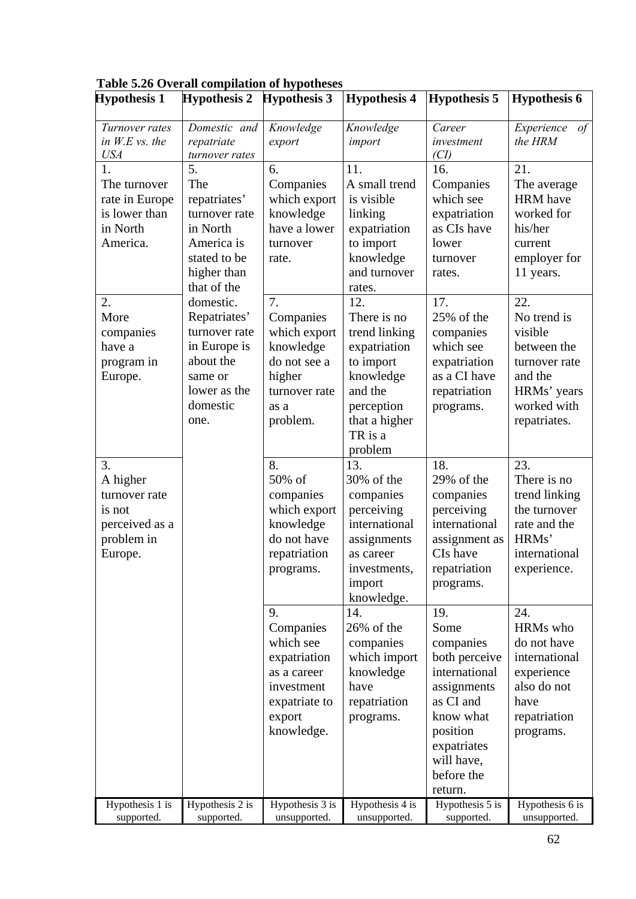| <b>Hypothesis 1</b>                                                                  | <b>Hypothesis 2</b>                                                                                                    | <b>Hypothesis 3</b>                                                                                                | <b>Hypothesis 4</b>                                                                                                                           | <b>Hypothesis 5</b>                                                                                                                                                   | <b>Hypothesis 6</b>                                                                                                    |
|--------------------------------------------------------------------------------------|------------------------------------------------------------------------------------------------------------------------|--------------------------------------------------------------------------------------------------------------------|-----------------------------------------------------------------------------------------------------------------------------------------------|-----------------------------------------------------------------------------------------------------------------------------------------------------------------------|------------------------------------------------------------------------------------------------------------------------|
| Turnover rates<br>in $W.E$ vs. the<br><b>USA</b>                                     | Domestic and<br>repatriate<br>turnover rates                                                                           | Knowledge<br>export                                                                                                | Knowledge<br>import                                                                                                                           | Career<br>investment<br>(Cl)                                                                                                                                          | Experience<br>of<br>the HRM                                                                                            |
| 1.<br>The turnover<br>rate in Europe<br>is lower than<br>in North<br>America.        | 5.<br>The<br>repatriates'<br>turnover rate<br>in North<br>America is<br>stated to be<br>higher than<br>that of the     | 6.<br>Companies<br>which export<br>knowledge<br>have a lower<br>turnover<br>rate.                                  | 11.<br>A small trend<br>is visible<br>linking<br>expatriation<br>to import<br>knowledge<br>and turnover<br>rates.                             | 16.<br>Companies<br>which see<br>expatriation<br>as CIs have<br>lower<br>turnover<br>rates.                                                                           | 21.<br>The average<br><b>HRM</b> have<br>worked for<br>his/her<br>current<br>employer for<br>11 years.                 |
| 2.<br>More<br>companies<br>have a<br>program in<br>Europe.                           | domestic.<br>Repatriates'<br>turnover rate<br>in Europe is<br>about the<br>same or<br>lower as the<br>domestic<br>one. | 7.<br>Companies<br>which export<br>knowledge<br>do not see a<br>higher<br>turnover rate<br>as a<br>problem.        | 12.<br>There is no<br>trend linking<br>expatriation<br>to import<br>knowledge<br>and the<br>perception<br>that a higher<br>TR is a<br>problem | 17.<br>25% of the<br>companies<br>which see<br>expatriation<br>as a CI have<br>repatriation<br>programs.                                                              | 22.<br>No trend is<br>visible<br>between the<br>turnover rate<br>and the<br>HRMs' years<br>worked with<br>repatriates. |
| 3.<br>A higher<br>turnover rate<br>is not<br>perceived as a<br>problem in<br>Europe. |                                                                                                                        | 8.<br>50% of<br>companies<br>which export<br>knowledge<br>do not have<br>repatriation<br>programs.                 | 13.<br>30% of the<br>companies<br>perceiving<br>international<br>assignments<br>as career<br>investments,<br>import<br>knowledge.             | 18.<br>29% of the<br>companies<br>perceiving<br>international<br>assignment as<br>CIs have<br>repatriation<br>programs.                                               | 23.<br>There is no<br>trend linking<br>the turnover<br>rate and the<br>HRMs'<br>international<br>experience.           |
|                                                                                      |                                                                                                                        | 9.<br>Companies<br>which see<br>expatriation<br>as a career<br>investment<br>expatriate to<br>export<br>knowledge. | 14.<br>26% of the<br>companies<br>which import<br>knowledge<br>have<br>repatriation<br>programs.                                              | 19.<br>Some<br>companies<br>both perceive<br>international<br>assignments<br>as CI and<br>know what<br>position<br>expatriates<br>will have,<br>before the<br>return. | 24.<br>HRMs who<br>do not have<br>international<br>experience<br>also do not<br>have<br>repatriation<br>programs.      |
| Hypothesis 1 is<br>supported.                                                        | Hypothesis 2 is<br>supported.                                                                                          | Hypothesis 3 is<br>unsupported.                                                                                    | Hypothesis 4 is<br>unsupported.                                                                                                               | Hypothesis 5 is<br>supported.                                                                                                                                         | Hypothesis 6 is<br>unsupported.                                                                                        |

**Table 5.26 Overall compilation of hypotheses**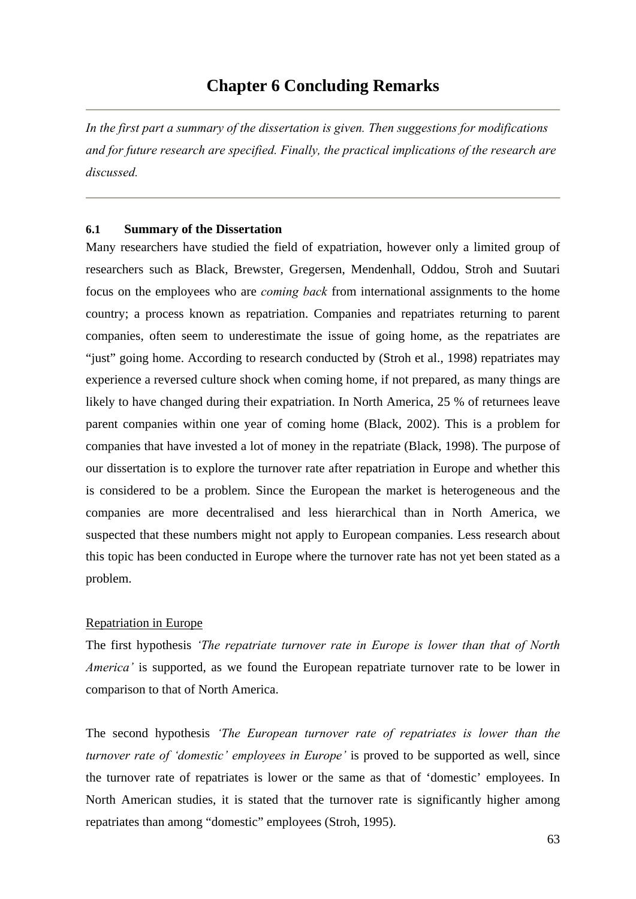*In the first part a summary of the dissertation is given. Then suggestions for modifications and for future research are specified. Finally, the practical implications of the research are discussed.* 

## **6.1 Summary of the Dissertation**

Many researchers have studied the field of expatriation, however only a limited group of researchers such as Black, Brewster, Gregersen, Mendenhall, Oddou, Stroh and Suutari focus on the employees who are *coming back* from international assignments to the home country; a process known as repatriation. Companies and repatriates returning to parent companies, often seem to underestimate the issue of going home, as the repatriates are "just" going home. According to research conducted by (Stroh et al., 1998) repatriates may experience a reversed culture shock when coming home, if not prepared, as many things are likely to have changed during their expatriation. In North America, 25 % of returnees leave parent companies within one year of coming home (Black, 2002). This is a problem for companies that have invested a lot of money in the repatriate (Black, 1998). The purpose of our dissertation is to explore the turnover rate after repatriation in Europe and whether this is considered to be a problem. Since the European the market is heterogeneous and the companies are more decentralised and less hierarchical than in North America, we suspected that these numbers might not apply to European companies. Less research about this topic has been conducted in Europe where the turnover rate has not yet been stated as a problem.

# Repatriation in Europe

The first hypothesis *'The repatriate turnover rate in Europe is lower than that of North America'* is supported, as we found the European repatriate turnover rate to be lower in comparison to that of North America.

The second hypothesis *'The European turnover rate of repatriates is lower than the turnover rate of 'domestic' employees in Europe'* is proved to be supported as well, since the turnover rate of repatriates is lower or the same as that of 'domestic' employees. In North American studies, it is stated that the turnover rate is significantly higher among repatriates than among "domestic" employees (Stroh, 1995).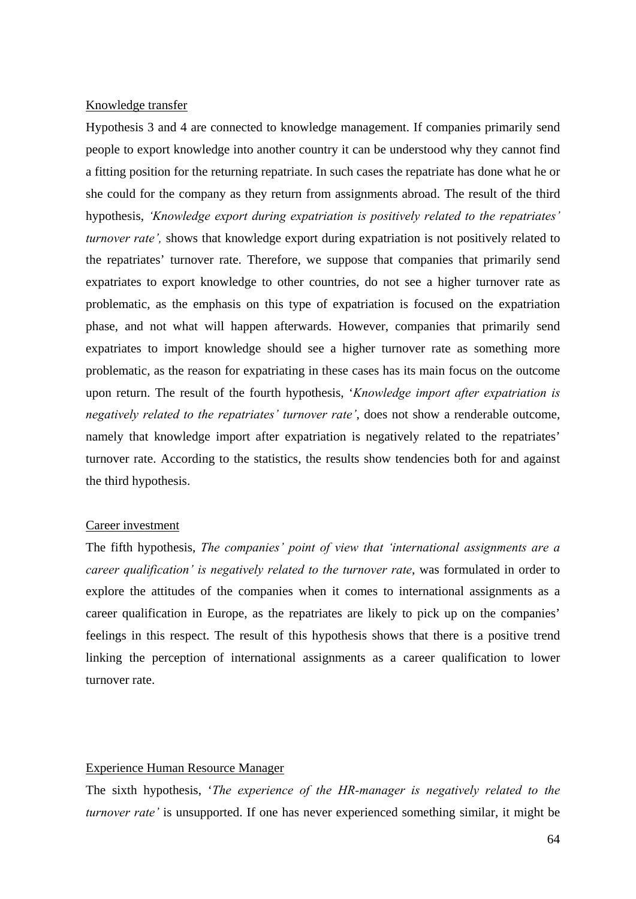## Knowledge transfer

Hypothesis 3 and 4 are connected to knowledge management. If companies primarily send people to export knowledge into another country it can be understood why they cannot find a fitting position for the returning repatriate. In such cases the repatriate has done what he or she could for the company as they return from assignments abroad. The result of the third hypothesis, *'Knowledge export during expatriation is positively related to the repatriates' turnover rate'*, shows that knowledge export during expatriation is not positively related to the repatriates' turnover rate. Therefore, we suppose that companies that primarily send expatriates to export knowledge to other countries, do not see a higher turnover rate as problematic, as the emphasis on this type of expatriation is focused on the expatriation phase, and not what will happen afterwards. However, companies that primarily send expatriates to import knowledge should see a higher turnover rate as something more problematic, as the reason for expatriating in these cases has its main focus on the outcome upon return. The result of the fourth hypothesis, '*Knowledge import after expatriation is negatively related to the repatriates' turnover rate'*, does not show a renderable outcome, namely that knowledge import after expatriation is negatively related to the repatriates' turnover rate. According to the statistics, the results show tendencies both for and against the third hypothesis.

#### Career investment

The fifth hypothesis, *The companies' point of view that 'international assignments are a career qualification' is negatively related to the turnover rate*, was formulated in order to explore the attitudes of the companies when it comes to international assignments as a career qualification in Europe, as the repatriates are likely to pick up on the companies' feelings in this respect. The result of this hypothesis shows that there is a positive trend linking the perception of international assignments as a career qualification to lower turnover rate.

## Experience Human Resource Manager

The sixth hypothesis, '*The experience of the HR-manager is negatively related to the turnover rate'* is unsupported. If one has never experienced something similar, it might be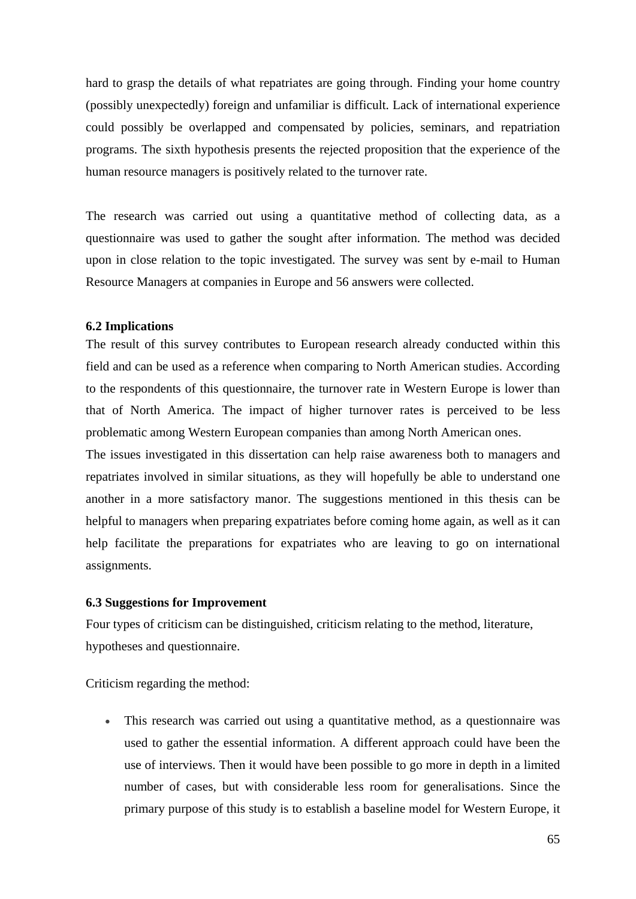hard to grasp the details of what repatriates are going through. Finding your home country (possibly unexpectedly) foreign and unfamiliar is difficult. Lack of international experience could possibly be overlapped and compensated by policies, seminars, and repatriation programs. The sixth hypothesis presents the rejected proposition that the experience of the human resource managers is positively related to the turnover rate.

The research was carried out using a quantitative method of collecting data, as a questionnaire was used to gather the sought after information. The method was decided upon in close relation to the topic investigated. The survey was sent by e-mail to Human Resource Managers at companies in Europe and 56 answers were collected.

#### **6.2 Implications**

The result of this survey contributes to European research already conducted within this field and can be used as a reference when comparing to North American studies. According to the respondents of this questionnaire, the turnover rate in Western Europe is lower than that of North America. The impact of higher turnover rates is perceived to be less problematic among Western European companies than among North American ones.

The issues investigated in this dissertation can help raise awareness both to managers and repatriates involved in similar situations, as they will hopefully be able to understand one another in a more satisfactory manor. The suggestions mentioned in this thesis can be helpful to managers when preparing expatriates before coming home again, as well as it can help facilitate the preparations for expatriates who are leaving to go on international assignments.

#### **6.3 Suggestions for Improvement**

Four types of criticism can be distinguished, criticism relating to the method, literature, hypotheses and questionnaire.

Criticism regarding the method:

• This research was carried out using a quantitative method, as a questionnaire was used to gather the essential information. A different approach could have been the use of interviews. Then it would have been possible to go more in depth in a limited number of cases, but with considerable less room for generalisations. Since the primary purpose of this study is to establish a baseline model for Western Europe, it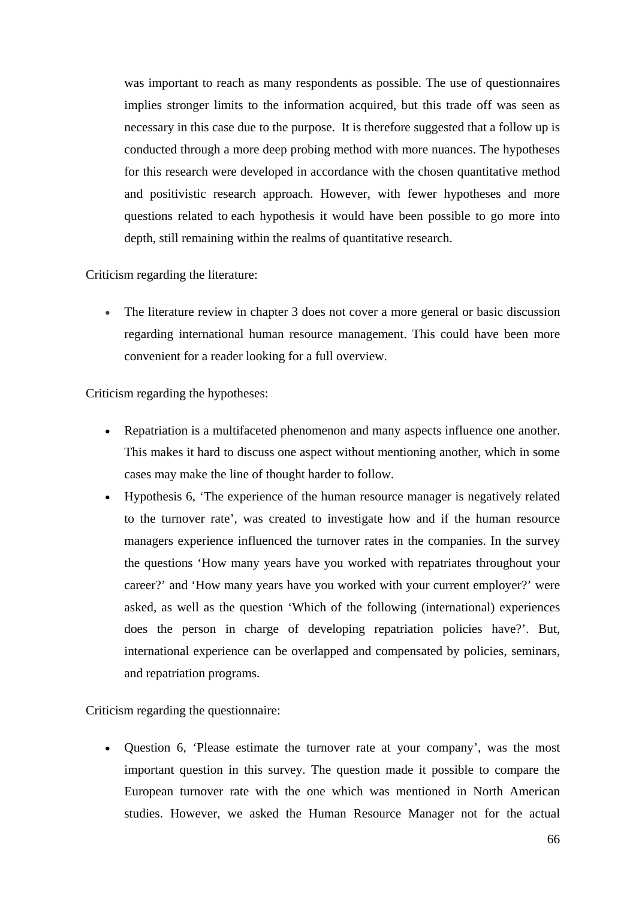was important to reach as many respondents as possible. The use of questionnaires implies stronger limits to the information acquired, but this trade off was seen as necessary in this case due to the purpose. It is therefore suggested that a follow up is conducted through a more deep probing method with more nuances. The hypotheses for this research were developed in accordance with the chosen quantitative method and positivistic research approach. However, with fewer hypotheses and more questions related to each hypothesis it would have been possible to go more into depth, still remaining within the realms of quantitative research.

Criticism regarding the literature:

• The literature review in chapter 3 does not cover a more general or basic discussion regarding international human resource management. This could have been more convenient for a reader looking for a full overview.

Criticism regarding the hypotheses:

- Repatriation is a multifaceted phenomenon and many aspects influence one another. This makes it hard to discuss one aspect without mentioning another, which in some cases may make the line of thought harder to follow.
- Hypothesis 6, 'The experience of the human resource manager is negatively related to the turnover rate', was created to investigate how and if the human resource managers experience influenced the turnover rates in the companies. In the survey the questions 'How many years have you worked with repatriates throughout your career?' and 'How many years have you worked with your current employer?' were asked, as well as the question 'Which of the following (international) experiences does the person in charge of developing repatriation policies have?'. But, international experience can be overlapped and compensated by policies, seminars, and repatriation programs.

Criticism regarding the questionnaire:

• Question 6, 'Please estimate the turnover rate at your company', was the most important question in this survey. The question made it possible to compare the European turnover rate with the one which was mentioned in North American studies. However, we asked the Human Resource Manager not for the actual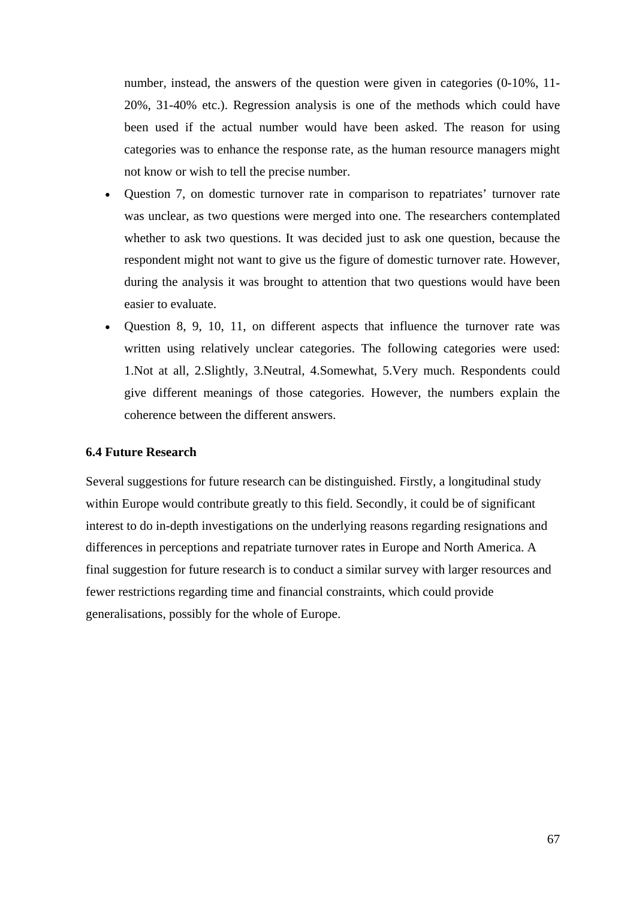number, instead, the answers of the question were given in categories (0-10%, 11- 20%, 31-40% etc.). Regression analysis is one of the methods which could have been used if the actual number would have been asked. The reason for using categories was to enhance the response rate, as the human resource managers might not know or wish to tell the precise number.

- Question 7, on domestic turnover rate in comparison to repatriates' turnover rate was unclear, as two questions were merged into one. The researchers contemplated whether to ask two questions. It was decided just to ask one question, because the respondent might not want to give us the figure of domestic turnover rate. However, during the analysis it was brought to attention that two questions would have been easier to evaluate.
- Question 8, 9, 10, 11, on different aspects that influence the turnover rate was written using relatively unclear categories. The following categories were used: 1.Not at all, 2.Slightly, 3.Neutral, 4.Somewhat, 5.Very much. Respondents could give different meanings of those categories. However, the numbers explain the coherence between the different answers.

## **6.4 Future Research**

Several suggestions for future research can be distinguished. Firstly, a longitudinal study within Europe would contribute greatly to this field. Secondly, it could be of significant interest to do in-depth investigations on the underlying reasons regarding resignations and differences in perceptions and repatriate turnover rates in Europe and North America. A final suggestion for future research is to conduct a similar survey with larger resources and fewer restrictions regarding time and financial constraints, which could provide generalisations, possibly for the whole of Europe.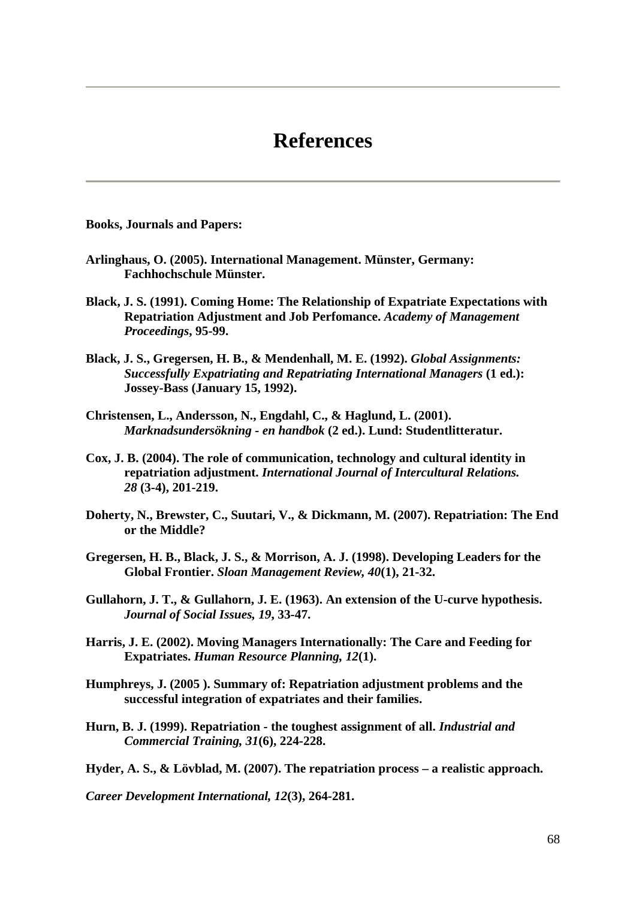# **References**

**Books, Journals and Papers:** 

- **Arlinghaus, O. (2005). International Management. Münster, Germany: Fachhochschule Münster.**
- **Black, J. S. (1991). Coming Home: The Relationship of Expatriate Expectations with Repatriation Adjustment and Job Perfomance.** *Academy of Management Proceedings***, 95-99.**
- **Black, J. S., Gregersen, H. B., & Mendenhall, M. E. (1992).** *Global Assignments: Successfully Expatriating and Repatriating International Managers* **(1 ed.): Jossey-Bass (January 15, 1992).**
- **Christensen, L., Andersson, N., Engdahl, C., & Haglund, L. (2001).**  *Marknadsundersökning - en handbok* **(2 ed.). Lund: Studentlitteratur.**
- **Cox, J. B. (2004). The role of communication, technology and cultural identity in repatriation adjustment.** *International Journal of Intercultural Relations. 28* **(3-4), 201-219.**
- **Doherty, N., Brewster, C., Suutari, V., & Dickmann, M. (2007). Repatriation: The End or the Middle?**
- **Gregersen, H. B., Black, J. S., & Morrison, A. J. (1998). Developing Leaders for the Global Frontier.** *Sloan Management Review, 40***(1), 21-32.**
- **Gullahorn, J. T., & Gullahorn, J. E. (1963). An extension of the U-curve hypothesis.**  *Journal of Social Issues, 19***, 33-47.**
- **Harris, J. E. (2002). Moving Managers Internationally: The Care and Feeding for Expatriates.** *Human Resource Planning, 12***(1).**
- **Humphreys, J. (2005 ). Summary of: Repatriation adjustment problems and the successful integration of expatriates and their families.**
- **Hurn, B. J. (1999). Repatriation the toughest assignment of all.** *Industrial and Commercial Training, 31***(6), 224-228.**

**Hyder, A. S., & Lövblad, M. (2007). The repatriation process – a realistic approach.** 

*Career Development International, 12***(3), 264-281.**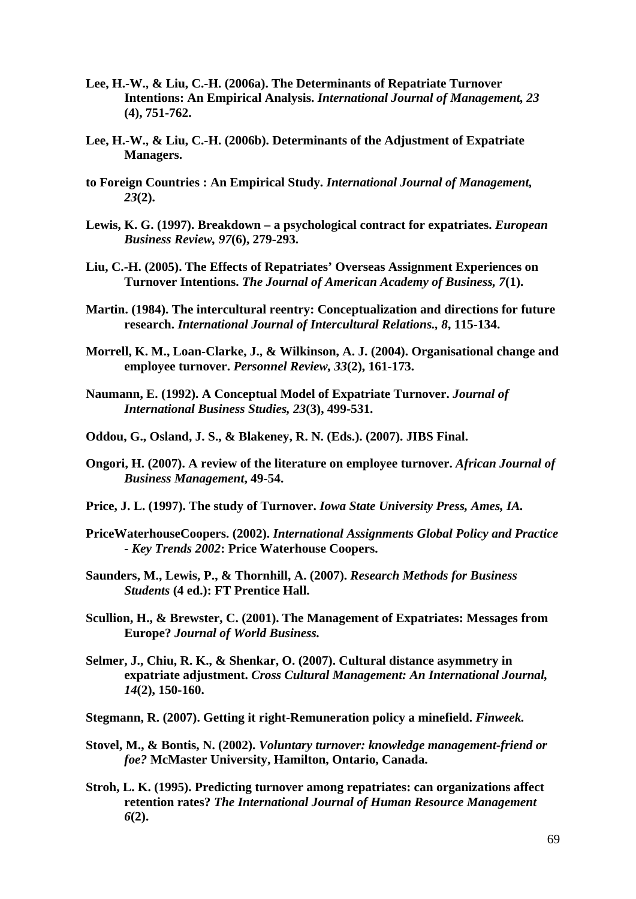- **Lee, H.-W., & Liu, C.-H. (2006a). The Determinants of Repatriate Turnover Intentions: An Empirical Analysis.** *International Journal of Management, 23* **(4), 751-762.**
- **Lee, H.-W., & Liu, C.-H. (2006b). Determinants of the Adjustment of Expatriate Managers.**
- **to Foreign Countries : An Empirical Study.** *International Journal of Management, 23***(2).**
- **Lewis, K. G. (1997). Breakdown a psychological contract for expatriates.** *European Business Review, 97***(6), 279-293.**
- **Liu, C.-H. (2005). The Effects of Repatriates' Overseas Assignment Experiences on Turnover Intentions.** *The Journal of American Academy of Business, 7***(1).**
- **Martin. (1984). The intercultural reentry: Conceptualization and directions for future research.** *International Journal of Intercultural Relations., 8***, 115-134.**
- **Morrell, K. M., Loan-Clarke, J., & Wilkinson, A. J. (2004). Organisational change and employee turnover.** *Personnel Review, 33***(2), 161-173.**
- **Naumann, E. (1992). A Conceptual Model of Expatriate Turnover.** *Journal of International Business Studies, 23***(3), 499-531.**
- **Oddou, G., Osland, J. S., & Blakeney, R. N. (Eds.). (2007). JIBS Final.**
- **Ongori, H. (2007). A review of the literature on employee turnover.** *African Journal of Business Management***, 49-54.**
- **Price, J. L. (1997). The study of Turnover.** *Iowa State University Press, Ames, IA.*
- **PriceWaterhouseCoopers. (2002).** *International Assignments Global Policy and Practice - Key Trends 2002***: Price Waterhouse Coopers.**
- **Saunders, M., Lewis, P., & Thornhill, A. (2007).** *Research Methods for Business Students* **(4 ed.): FT Prentice Hall.**
- **Scullion, H., & Brewster, C. (2001). The Management of Expatriates: Messages from Europe?** *Journal of World Business.*
- **Selmer, J., Chiu, R. K., & Shenkar, O. (2007). Cultural distance asymmetry in expatriate adjustment.** *Cross Cultural Management: An International Journal, 14***(2), 150-160.**
- **Stegmann, R. (2007). Getting it right-Remuneration policy a minefield.** *Finweek.*
- **Stovel, M., & Bontis, N. (2002).** *Voluntary turnover: knowledge management-friend or foe?* **McMaster University, Hamilton, Ontario, Canada.**
- **Stroh, L. K. (1995). Predicting turnover among repatriates: can organizations affect retention rates?** *The International Journal of Human Resource Management 6***(2).**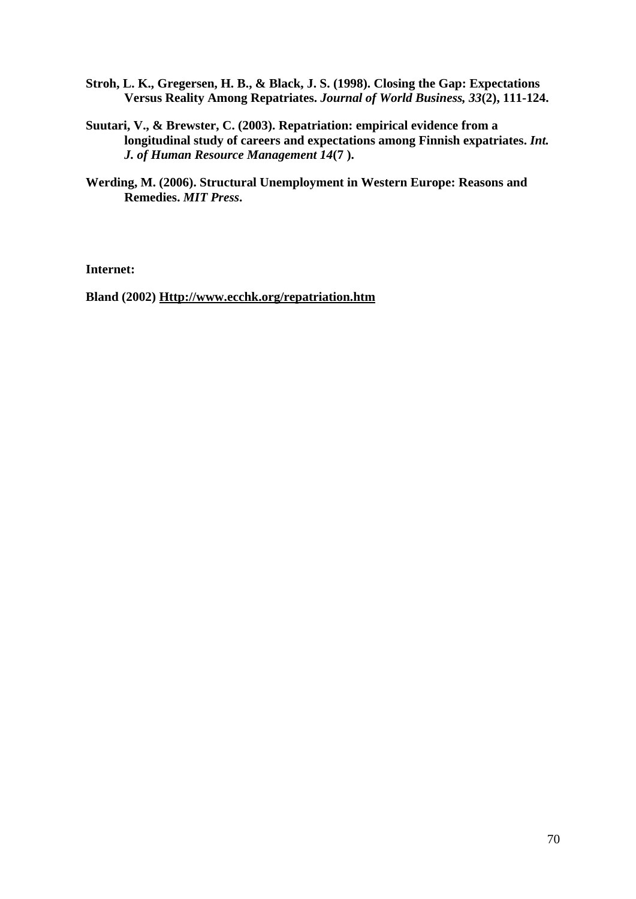- **Stroh, L. K., Gregersen, H. B., & Black, J. S. (1998). Closing the Gap: Expectations Versus Reality Among Repatriates.** *Journal of World Business, 33***(2), 111-124.**
- **Suutari, V., & Brewster, C. (2003). Repatriation: empirical evidence from a longitudinal study of careers and expectations among Finnish expatriates.** *Int. J. of Human Resource Management 14***(7 ).**
- **Werding, M. (2006). Structural Unemployment in Western Europe: Reasons and Remedies.** *MIT Press***.**

**Internet:** 

**Bland (2002) Http://www.ecchk.org/repatriation.htm**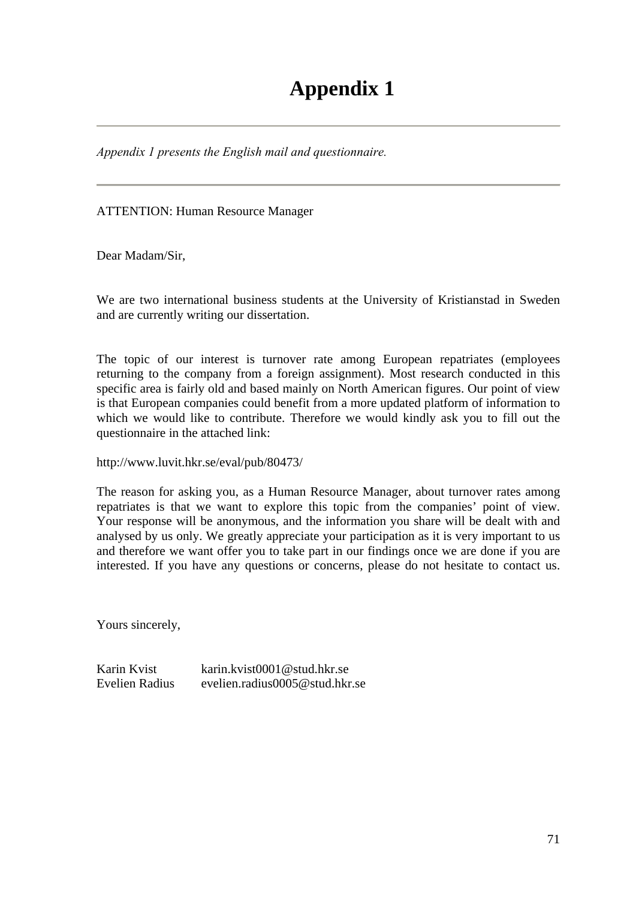*Appendix 1 presents the English mail and questionnaire.* 

ATTENTION: Human Resource Manager

Dear Madam/Sir,

We are two international business students at the University of Kristianstad in Sweden and are currently writing our dissertation.

The topic of our interest is turnover rate among European repatriates (employees returning to the company from a foreign assignment). Most research conducted in this specific area is fairly old and based mainly on North American figures. Our point of view is that European companies could benefit from a more updated platform of information to which we would like to contribute. Therefore we would kindly ask you to fill out the questionnaire in the attached link:

http://www.luvit.hkr.se/eval/pub/80473/

The reason for asking you, as a Human Resource Manager, about turnover rates among repatriates is that we want to explore this topic from the companies' point of view. Your response will be anonymous, and the information you share will be dealt with and analysed by us only. We greatly appreciate your participation as it is very important to us and therefore we want offer you to take part in our findings once we are done if you are interested. If you have any questions or concerns, please do not hesitate to contact us.

Yours sincerely,

Karin Kvist karin.kvist0001@stud.hkr.se Evelien Radius evelien.radius0005@stud.hkr.se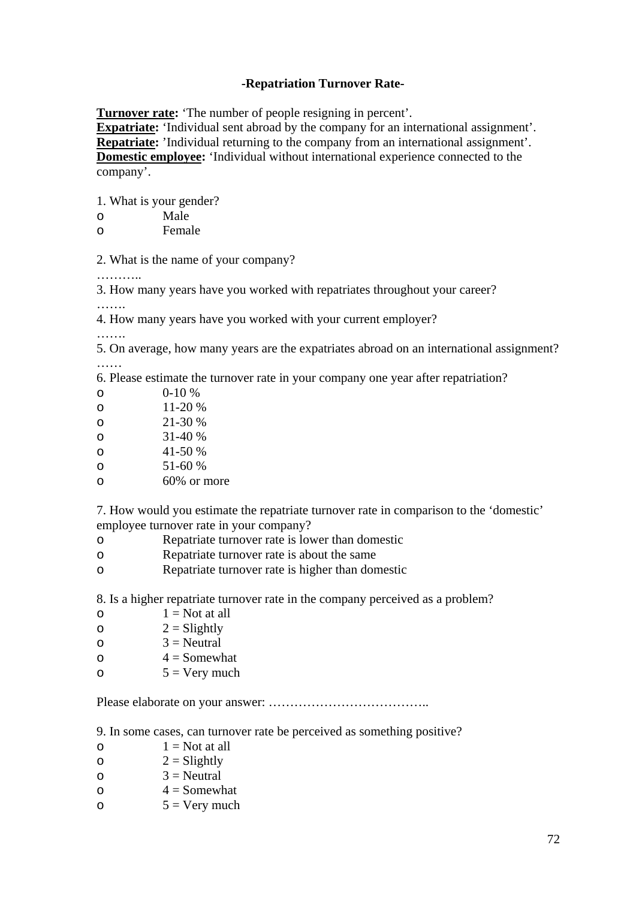## **-Repatriation Turnover Rate-**

**Turnover rate:** 'The number of people resigning in percent'.

**Expatriate:** 'Individual sent abroad by the company for an international assignment'. **Repatriate:** 'Individual returning to the company from an international assignment'. **Domestic employee:** 'Individual without international experience connected to the company'.

1. What is your gender?

| $\circ$ | Male |
|---------|------|
|         |      |

o Female

2. What is the name of your company?

………..

3. How many years have you worked with repatriates throughout your career? ……

4. How many years have you worked with your current employer?

……

5. On average, how many years are the expatriates abroad on an international assignment? ……

6. Please estimate the turnover rate in your company one year after repatriation?

| റ | $0-10\%$    |
|---|-------------|
| O | 11-20 %     |
| O | 21-30 %     |
| O | $31-40%$    |
| O | 41-50 %     |
| O | 51-60 %     |
| റ | 60% or more |
|   |             |

7. How would you estimate the repatriate turnover rate in comparison to the 'domestic' employee turnover rate in your company?

- o Repatriate turnover rate is lower than domestic
- o Repatriate turnover rate is about the same
- o Repatriate turnover rate is higher than domestic

8. Is a higher repatriate turnover rate in the company perceived as a problem?

- $\circ$  1 = Not at all
- $2 =$ Slightly
- $\circ$  3 = Neutral
- $\circ$  4 = Somewhat
- $5 = \text{Verv much}$

Please elaborate on your answer: ………………………………..

9. In some cases, can turnover rate be perceived as something positive?

- $\circ$  1 = Not at all
- $2 =$ Slightly
- $\circ$  3 = Neutral
- $\circ$  4 = Somewhat
- $5 = \text{Very much}$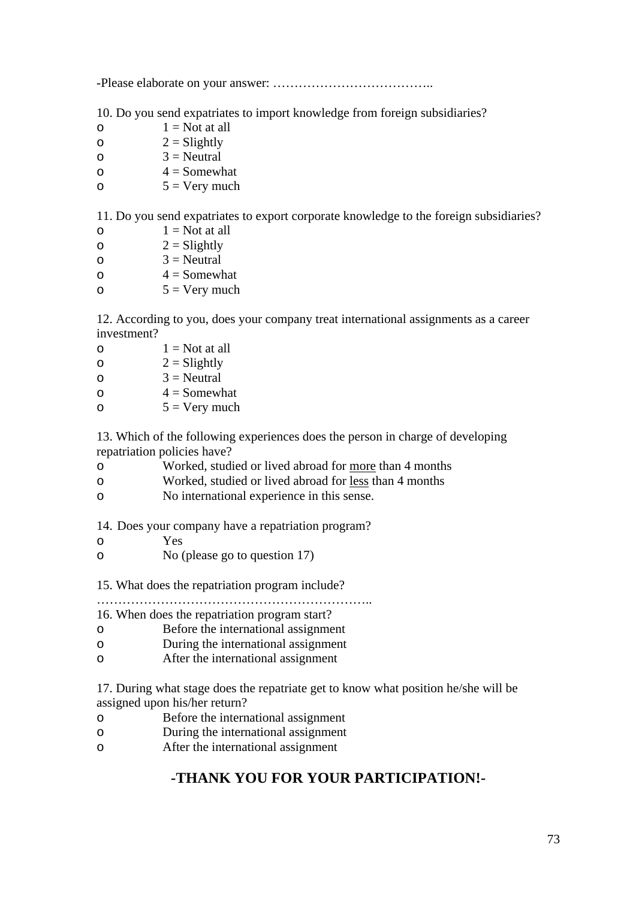-Please elaborate on your answer: ………………………………..

10. Do you send expatriates to import knowledge from foreign subsidiaries?

- $\circ$  1 = Not at all
- $2 =$ Slightly
- $\Omega = \text{Neutral}$
- $\circ$  4 = Somewhat
- $5 = \text{Very much}$

11. Do you send expatriates to export corporate knowledge to the foreign subsidiaries?

 $\circ$  1 = Not at all

- $2 = S$ lightly
- $\circ$  3 = Neutral
- $\circ$  4 = Somewhat
- $5 = \text{Very much}$

12. According to you, does your company treat international assignments as a career investment?

 $\circ$  1 = Not at all  $2 = S$ lightly  $\Omega = \text{Neutral}$  $\Omega = 4 =$ Somewhat  $5 = \text{Very much}$ 

13. Which of the following experiences does the person in charge of developing repatriation policies have?

- o Worked, studied or lived abroad for more than 4 months
- o Worked, studied or lived abroad for less than 4 months
- o No international experience in this sense.

14. Does your company have a repatriation program?

- o Yes
- o No (please go to question 17)

15. What does the repatriation program include?

………………………………………………………..

16. When does the repatriation program start?

- o Before the international assignment
- o During the international assignment
- o After the international assignment

17. During what stage does the repatriate get to know what position he/she will be assigned upon his/her return?

- o Before the international assignment
- o During the international assignment
- o After the international assignment

## **-THANK YOU FOR YOUR PARTICIPATION!-**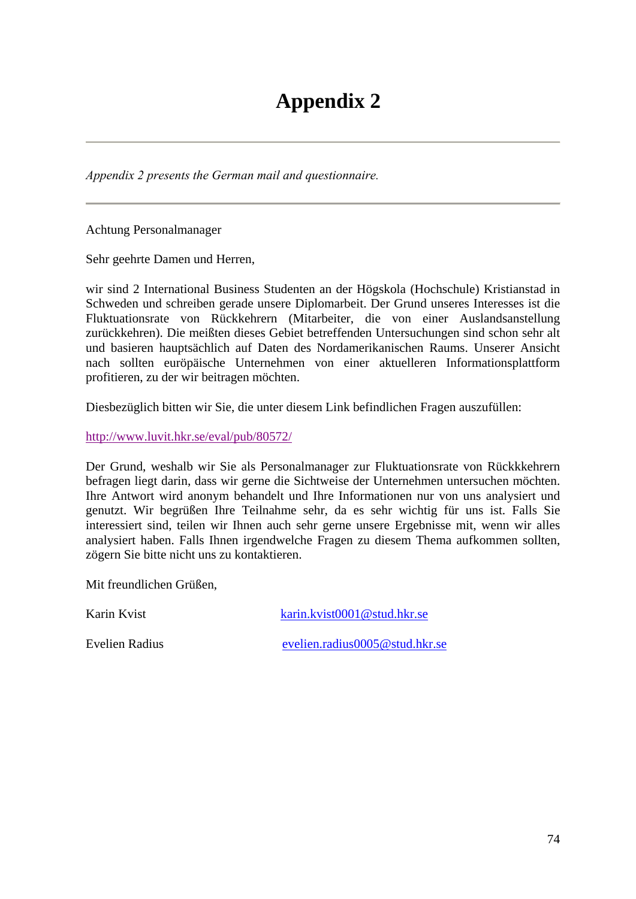*Appendix 2 presents the German mail and questionnaire.* 

Achtung Personalmanager

Sehr geehrte Damen und Herren,

wir sind 2 International Business Studenten an der Högskola (Hochschule) Kristianstad in Schweden und schreiben gerade unsere Diplomarbeit. Der Grund unseres Interesses ist die Fluktuationsrate von Rückkehrern (Mitarbeiter, die von einer Auslandsanstellung zurückkehren). Die meißten dieses Gebiet betreffenden Untersuchungen sind schon sehr alt und basieren hauptsächlich auf Daten des Nordamerikanischen Raums. Unserer Ansicht nach sollten euröpäische Unternehmen von einer aktuelleren Informationsplattform profitieren, zu der wir beitragen möchten.

Diesbezüglich bitten wir Sie, die unter diesem Link befindlichen Fragen auszufüllen:

http://www.luvit.hkr.se/eval/pub/80572/

Der Grund, weshalb wir Sie als Personalmanager zur Fluktuationsrate von Rückkkehrern befragen liegt darin, dass wir gerne die Sichtweise der Unternehmen untersuchen möchten. Ihre Antwort wird anonym behandelt und Ihre Informationen nur von uns analysiert und genutzt. Wir begrüßen Ihre Teilnahme sehr, da es sehr wichtig für uns ist. Falls Sie interessiert sind, teilen wir Ihnen auch sehr gerne unsere Ergebnisse mit, wenn wir alles analysiert haben. Falls Ihnen irgendwelche Fragen zu diesem Thema aufkommen sollten, zögern Sie bitte nicht uns zu kontaktieren.

Mit freundlichen Grüßen,

Karin Kvist karin.kvist0001@stud.hkr.se

Evelien Radius evelien.radius0005@stud.hkr.se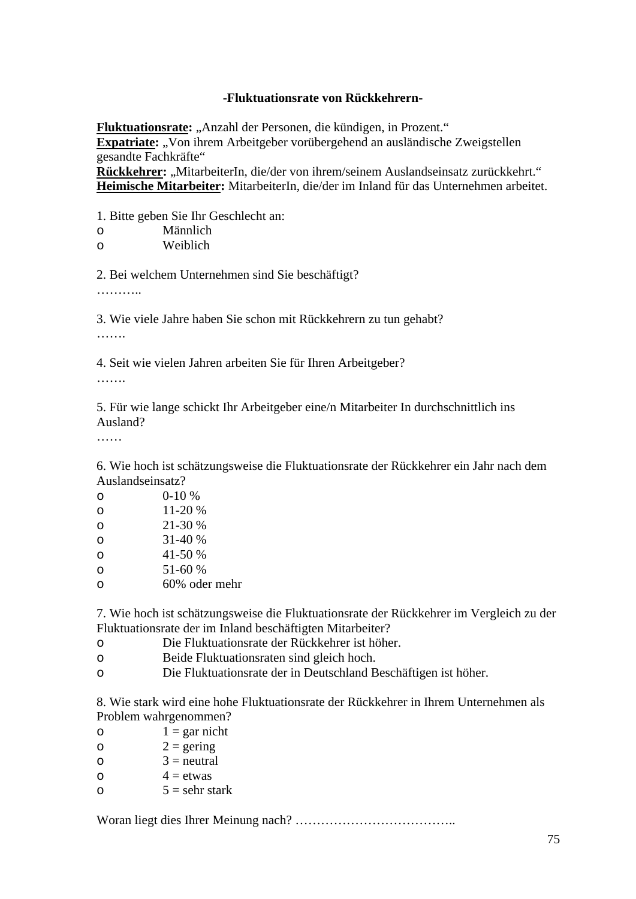### **-Fluktuationsrate von Rückkehrern-**

**Fluktuationsrate:** "Anzahl der Personen, die kündigen, in Prozent."

**Expatriate:** "Von ihrem Arbeitgeber vorübergehend an ausländische Zweigstellen gesandte Fachkräfte"

Rückkehrer: "MitarbeiterIn, die/der von ihrem/seinem Auslandseinsatz zurückkehrt." **Heimische Mitarbeiter:** MitarbeiterIn, die/der im Inland für das Unternehmen arbeitet.

1. Bitte geben Sie Ihr Geschlecht an:

| $\circ$ | Männlich |
|---------|----------|
|         |          |

o Weiblich

2. Bei welchem Unternehmen sind Sie beschäftigt?

…………

3. Wie viele Jahre haben Sie schon mit Rückkehrern zu tun gehabt? ……

4. Seit wie vielen Jahren arbeiten Sie für Ihren Arbeitgeber?

………

5. Für wie lange schickt Ihr Arbeitgeber eine/n Mitarbeiter In durchschnittlich ins Ausland?

……

6. Wie hoch ist schätzungsweise die Fluktuationsrate der Rückkehrer ein Jahr nach dem Auslandseinsatz?

| O | $0-10%$       |
|---|---------------|
| O | 11-20 %       |
| O | 21-30 %       |
| O | $31-40%$      |
| O | 41-50 %       |
| O | 51-60 %       |
| O | 60% oder mehr |

7. Wie hoch ist schätzungsweise die Fluktuationsrate der Rückkehrer im Vergleich zu der Fluktuationsrate der im Inland beschäftigten Mitarbeiter?

- o Die Fluktuationsrate der Rückkehrer ist höher.
- o Beide Fluktuationsraten sind gleich hoch.
- o Die Fluktuationsrate der in Deutschland Beschäftigen ist höher.

8. Wie stark wird eine hohe Fluktuationsrate der Rückkehrer in Ihrem Unternehmen als Problem wahrgenommen?

- $1 = \text{gar nicht}$
- $2 = \text{gering}$
- $\circ$  3 = neutral
- $\circ$  4 = etwas
- o  $5 =$ sehr stark

Woran liegt dies Ihrer Meinung nach? ………………………………..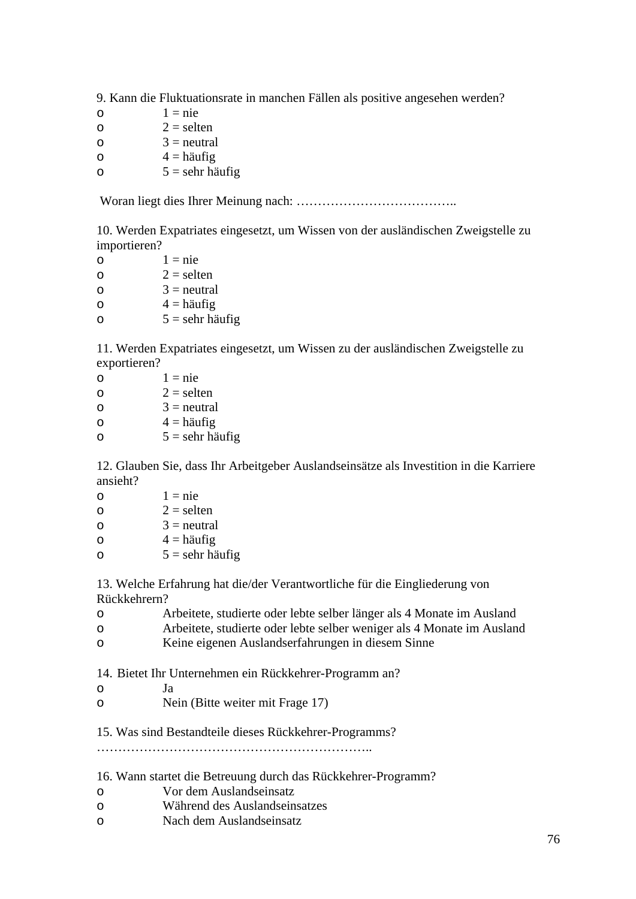9. Kann die Fluktuationsrate in manchen Fällen als positive angesehen werden?

 $\circ$  1 = nie  $2 =$  selten  $\circ$  3 = neutral  $\circ$  4 = häufig

 $5 =$ sehr häufig

Woran liegt dies Ihrer Meinung nach: ………………………………..

10. Werden Expatriates eingesetzt, um Wissen von der ausländischen Zweigstelle zu importieren?

 $\circ$  1 = nie  $2 =$  selten  $\circ$  3 = neutral  $\circ$  4 = häufig  $5 =$  sehr häufig

11. Werden Expatriates eingesetzt, um Wissen zu der ausländischen Zweigstelle zu exportieren?

| O | $1 =$ nie         |
|---|-------------------|
| O | $2 =$ selten      |
| O | $3$ = neutral     |
| O | $4 =$ häufig      |
| O | $5 =$ sehr häufig |

12. Glauben Sie, dass Ihr Arbeitgeber Auslandseinsätze als Investition in die Karriere ansieht?

| O | $1 =$ nie         |
|---|-------------------|
| O | $2 =$ selten      |
| O | $3$ = neutral     |
| O | $4 =$ häufig      |
| O | $5 =$ sehr häufig |

13. Welche Erfahrung hat die/der Verantwortliche für die Eingliederung von Rückkehrern?

| Arbeitete, studierte oder lebte selber länger als 4 Monate im Ausland  |
|------------------------------------------------------------------------|
| Arbeitete, studierte oder lebte selber weniger als 4 Monate im Ausland |

o Keine eigenen Auslandserfahrungen in diesem Sinne

14. Bietet Ihr Unternehmen ein Rückkehrer-Programm an?

- o Ja
- o Nein (Bitte weiter mit Frage 17)

15. Was sind Bestandteile dieses Rückkehrer-Programms?

………………………………………………………..

### 16. Wann startet die Betreuung durch das Rückkehrer-Programm?

- o Vor dem Auslandseinsatz
- o Während des Auslandseinsatzes
- o Nach dem Auslandseinsatz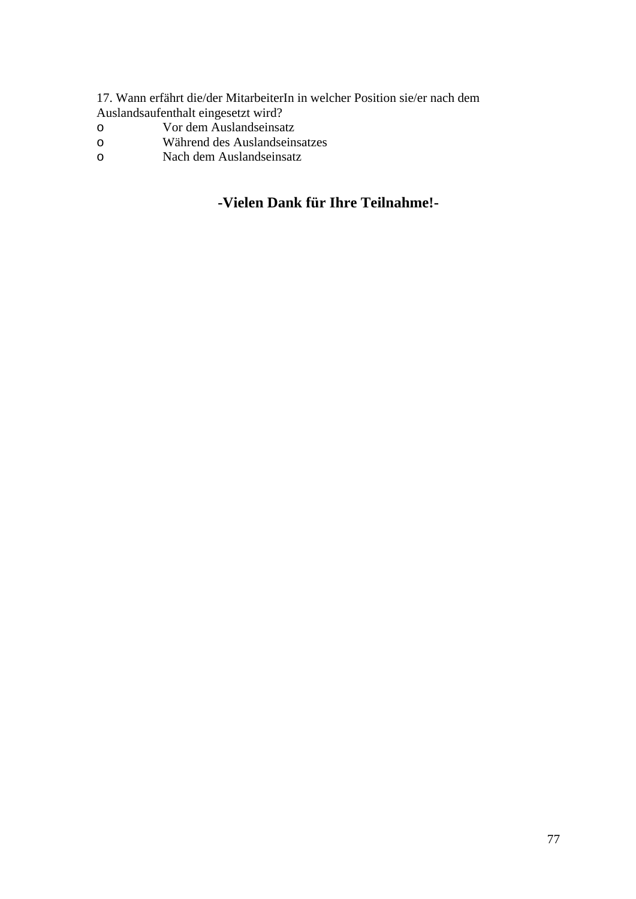17. Wann erfährt die/der MitarbeiterIn in welcher Position sie/er nach dem Auslandsaufenthalt eingesetzt wird?

- o Vor dem Auslandseinsatz
- o Während des Auslandseinsatzes
- o Nach dem Auslandseinsatz

## **-Vielen Dank für Ihre Teilnahme!-**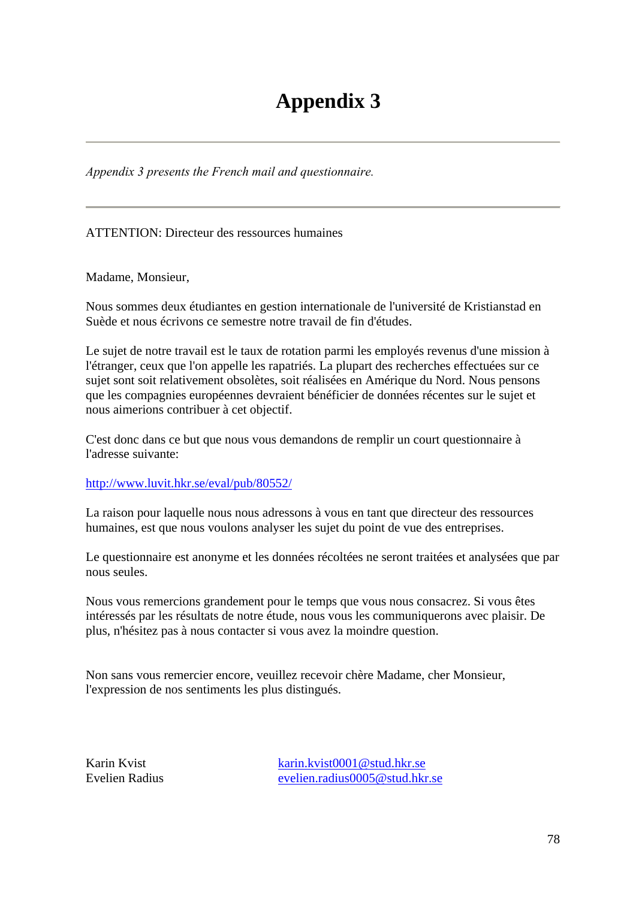# **Appendix 3**

*Appendix 3 presents the French mail and questionnaire.* 

ATTENTION: Directeur des ressources humaines

Madame, Monsieur,

Nous sommes deux étudiantes en gestion internationale de l'université de Kristianstad en Suède et nous écrivons ce semestre notre travail de fin d'études.

Le sujet de notre travail est le taux de rotation parmi les employés revenus d'une mission à l'étranger, ceux que l'on appelle les rapatriés. La plupart des recherches effectuées sur ce sujet sont soit relativement obsolètes, soit réalisées en Amérique du Nord. Nous pensons que les compagnies européennes devraient bénéficier de données récentes sur le sujet et nous aimerions contribuer à cet objectif.

C'est donc dans ce but que nous vous demandons de remplir un court questionnaire à l'adresse suivante:

http://www.luvit.hkr.se/eval/pub/80552/

La raison pour laquelle nous nous adressons à vous en tant que directeur des ressources humaines, est que nous voulons analyser les sujet du point de vue des entreprises.

Le questionnaire est anonyme et les données récoltées ne seront traitées et analysées que par nous seules.

Nous vous remercions grandement pour le temps que vous nous consacrez. Si vous êtes intéressés par les résultats de notre étude, nous vous les communiquerons avec plaisir. De plus, n'hésitez pas à nous contacter si vous avez la moindre question.

Non sans vous remercier encore, veuillez recevoir chère Madame, cher Monsieur, l'expression de nos sentiments les plus distingués.

Karin Kvist karin.kvist0001@stud.hkr.se Evelien Radius evelien.radius0005@stud.hkr.se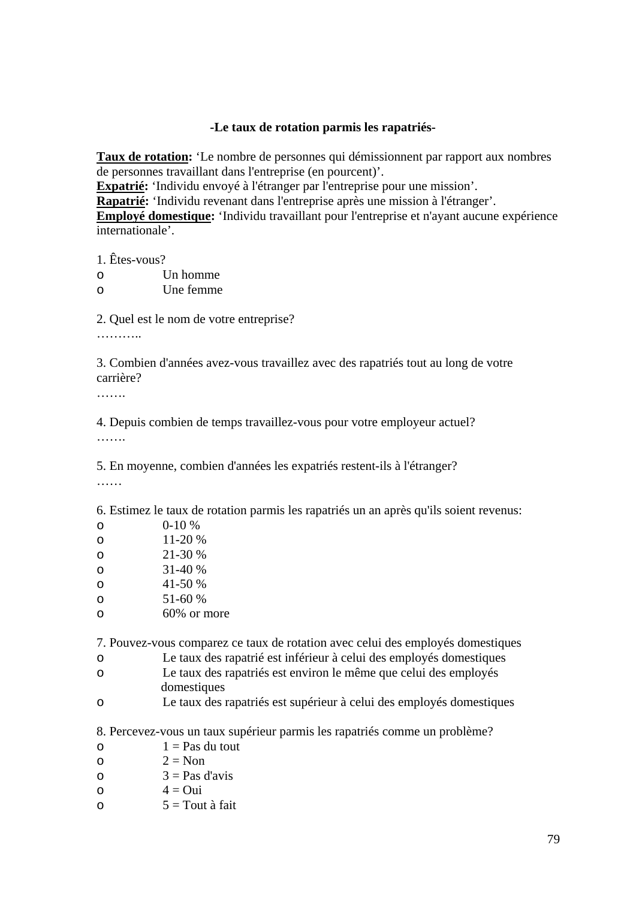### **-Le taux de rotation parmis les rapatriés-**

**Taux de rotation:** 'Le nombre de personnes qui démissionnent par rapport aux nombres de personnes travaillant dans l'entreprise (en pourcent)'.

**Expatrié:** 'Individu envoyé à l'étranger par l'entreprise pour une mission'.

**Rapatrié:** 'Individu revenant dans l'entreprise après une mission à l'étranger'.

**Employé domestique:** 'Individu travaillant pour l'entreprise et n'ayant aucune expérience internationale'.

1. Êtes-vous?

| ∩ | Un homme  |  |
|---|-----------|--|
| ∩ | Une femme |  |

2. Quel est le nom de votre entreprise?

………

3. Combien d'années avez-vous travaillez avec des rapatriés tout au long de votre carrière?

………

4. Depuis combien de temps travaillez-vous pour votre employeur actuel?

……

5. En moyenne, combien d'années les expatriés restent-ils à l'étranger?

……

6. Estimez le taux de rotation parmis les rapatriés un an après qu'ils soient revenus:

| O | $0-10%$     |
|---|-------------|
| O | 11-20 %     |
| O | 21-30 %     |
| O | $31-40%$    |
| O | 41-50 %     |
| O | 51-60 %     |
| O | 60% or more |

7. Pouvez-vous comparez ce taux de rotation avec celui des employés domestiques

- o Le taux des rapatrié est inférieur à celui des employés domestiques
- o Le taux des rapatriés est environ le même que celui des employés domestiques
- o Le taux des rapatriés est supérieur à celui des employés domestiques

8. Percevez-vous un taux supérieur parmis les rapatriés comme un problème?

- $\Omega = P$ as du tout
- o  $2 = \text{Non}$
- $3 = Pas$  d'avis
- $\circ$  4 = Oui
- $5 = \text{Tout} \land \text{fait}$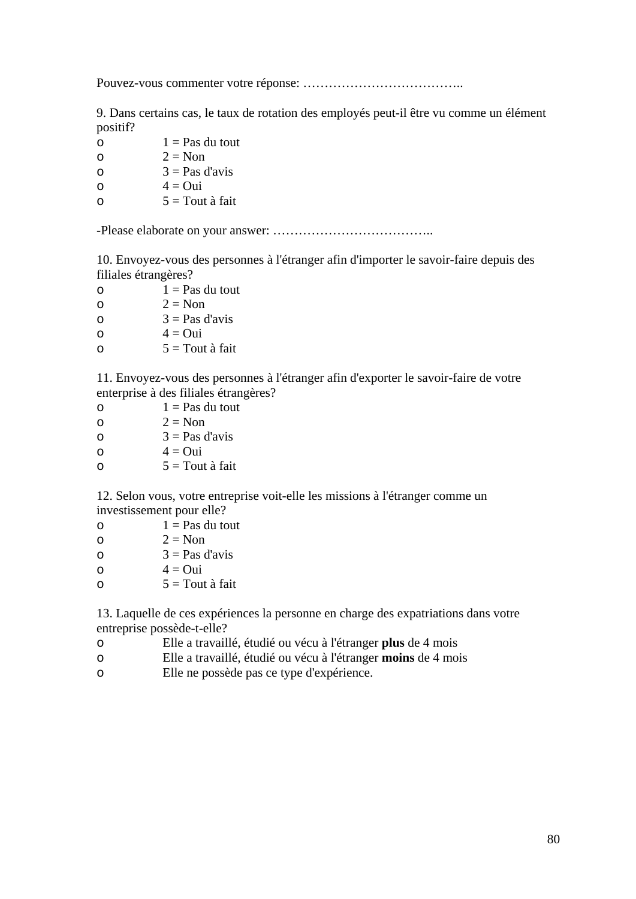Pouvez-vous commenter votre réponse: ………………………………..

9. Dans certains cas, le taux de rotation des employés peut-il être vu comme un élément positif?

 $1 = Pas du tout$ o  $2 = \text{Non}$  $3 = Pas$  d'avis

$$
4 = \text{Oui}
$$

 $5 = \text{Tout}$  à fait

-Please elaborate on your answer: ………………………………..

10. Envoyez-vous des personnes à l'étranger afin d'importer le savoir-faire depuis des filiales étrangères?

| $\circ$ | $1 = Pas$ du tout |
|---------|-------------------|
| ∩       | $2 \equiv$ Non    |
| ∩       | $3 = Pas$ d'avis  |
| ∩       | $4 = Q$ ui        |
| ∩       | $5 =$ Tout à fait |
|         |                   |

11. Envoyez-vous des personnes à l'étranger afin d'exporter le savoir-faire de votre enterprise à des filiales étrangères?

 $\circ$  1 = Pas du tout  $2 = Non$  $3 = Pas$  d'avis  $\Omega = 4 = 0$ ui  $5 = \text{Tout} \land \text{fait}$ 

12. Selon vous, votre entreprise voit-elle les missions à l'étranger comme un investissement pour elle?

- $\circ$  1 = Pas du tout
- $2 = Non$
- $3 = Pas$  d'avis
- $\Omega = 4 = 0$ ui
- $5 = \text{Tout} \land \text{fait}$

13. Laquelle de ces expériences la personne en charge des expatriations dans votre entreprise possède-t-elle?

- o Elle a travaillé, étudié ou vécu à l'étranger **plus** de 4 mois
- o Elle a travaillé, étudié ou vécu à l'étranger **moins** de 4 mois
- o Elle ne possède pas ce type d'expérience.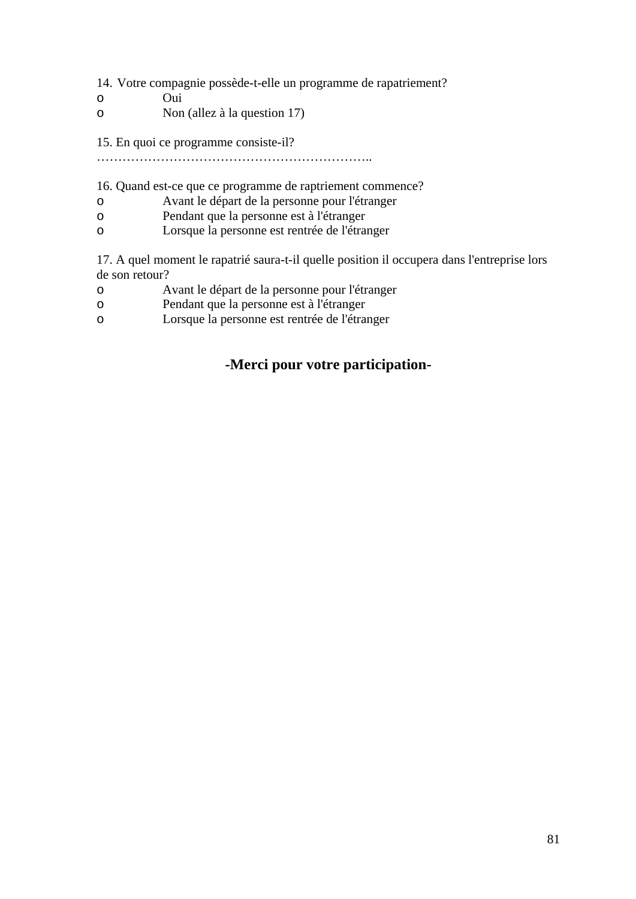14. Votre compagnie possède-t-elle un programme de rapatriement?

- o Oui
- o Non (allez à la question 17)

15. En quoi ce programme consiste-il?

………………………………………………………..

### 16. Quand est-ce que ce programme de raptriement commence?

- o Avant le départ de la personne pour l'étranger
- o Pendant que la personne est à l'étranger
- o Lorsque la personne est rentrée de l'étranger

17. A quel moment le rapatrié saura-t-il quelle position il occupera dans l'entreprise lors de son retour?

- o Avant le départ de la personne pour l'étranger
- o Pendant que la personne est à l'étranger
- o Lorsque la personne est rentrée de l'étranger

### **-Merci pour votre participation-**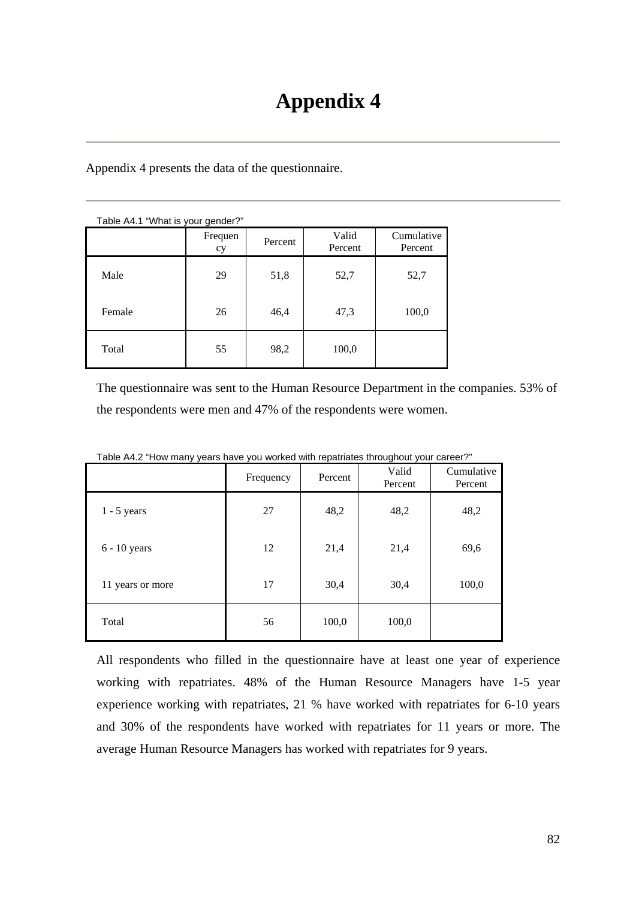Appendix 4 presents the data of the questionnaire.

| Table A4.1 "What is your gender?" |                          |      |                  |                       |  |
|-----------------------------------|--------------------------|------|------------------|-----------------------|--|
|                                   | Frequen<br>Percent<br>cy |      | Valid<br>Percent | Cumulative<br>Percent |  |
| Male                              | 29                       | 51,8 | 52,7             | 52,7                  |  |
| Female                            | 26                       | 46,4 | 47,3             | 100,0                 |  |
| Total                             | 55                       | 98,2 | 100,0            |                       |  |

The questionnaire was sent to the Human Resource Department in the companies. 53% of the respondents were men and 47% of the respondents were women.

|                  | Frequency | Percent | Valid<br>Percent | Cumulative<br>Percent |
|------------------|-----------|---------|------------------|-----------------------|
| $1 - 5$ years    | 27        | 48,2    | 48,2             | 48,2                  |
| $6 - 10$ years   | 12        | 21,4    | 21,4             | 69,6                  |
| 11 years or more | 17        | 30,4    | 30,4             | 100,0                 |
| Total            | 56        | 100,0   | 100,0            |                       |

Table A4.2 "How many years have you worked with repatriates throughout your career?"

All respondents who filled in the questionnaire have at least one year of experience working with repatriates. 48% of the Human Resource Managers have 1-5 year experience working with repatriates, 21 % have worked with repatriates for 6-10 years and 30% of the respondents have worked with repatriates for 11 years or more. The average Human Resource Managers has worked with repatriates for 9 years.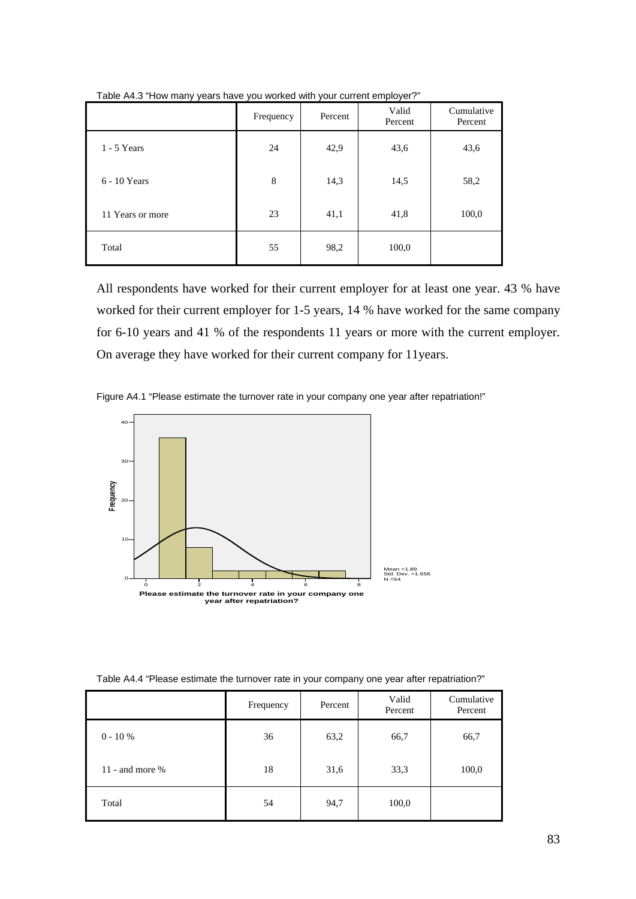|                  | Frequency | Percent | Valid<br>Percent | Cumulative<br>Percent |
|------------------|-----------|---------|------------------|-----------------------|
| $1 - 5$ Years    | 24        | 42,9    | 43,6             | 43,6                  |
| 6 - 10 Years     | 8         | 14,3    | 14,5             | 58,2                  |
| 11 Years or more | 23        | 41,1    | 41,8             | 100,0                 |
| Total            | 55        | 98,2    | 100,0            |                       |

Table A4.3 "How many years have you worked with your current employer?"

All respondents have worked for their current employer for at least one year. 43 % have worked for their current employer for 1-5 years, 14 % have worked for the same company for 6-10 years and 41 % of the respondents 11 years or more with the current employer. On average they have worked for their current company for 11years.





Table A4.4 "Please estimate the turnover rate in your company one year after repatriation?"

|                   | Frequency | Percent | Valid<br>Percent | Cumulative<br>Percent |
|-------------------|-----------|---------|------------------|-----------------------|
| $0 - 10 %$        | 36        | 63,2    | 66,7             | 66,7                  |
| 11 - and more $%$ | 18        | 31,6    | 33,3             | 100,0                 |
| Total             | 54        | 94,7    | 100,0            |                       |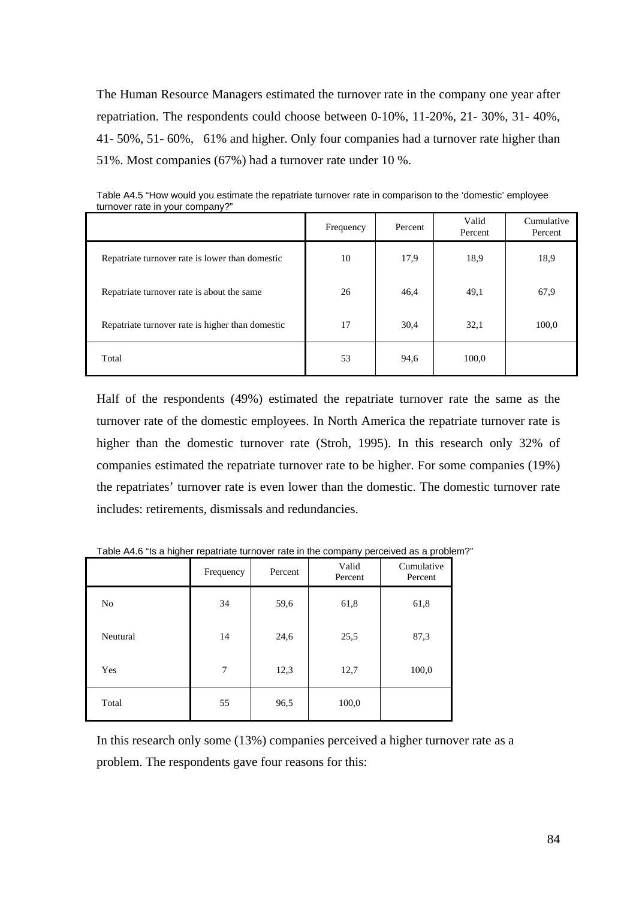The Human Resource Managers estimated the turnover rate in the company one year after repatriation. The respondents could choose between 0-10%, 11-20%, 21- 30%, 31- 40%, 41- 50%, 51- 60%, 61% and higher. Only four companies had a turnover rate higher than 51%. Most companies (67%) had a turnover rate under 10 %.

|                                                  | Frequency | Percent | Valid<br>Percent | Cumulative<br>Percent |
|--------------------------------------------------|-----------|---------|------------------|-----------------------|
| Repatriate turnover rate is lower than domestic  | 10        | 17,9    | 18,9             | 18,9                  |
| Repatriate turnover rate is about the same       | 26        | 46,4    | 49,1             | 67,9                  |
| Repatriate turnover rate is higher than domestic | 17        | 30,4    | 32,1             | 100,0                 |
| Total                                            | 53        | 94,6    | 100,0            |                       |

Table A4.5 "How would you estimate the repatriate turnover rate in comparison to the 'domestic' employee turnover rate in your company?"

Half of the respondents (49%) estimated the repatriate turnover rate the same as the turnover rate of the domestic employees. In North America the repatriate turnover rate is higher than the domestic turnover rate (Stroh, 1995). In this research only 32% of companies estimated the repatriate turnover rate to be higher. For some companies (19%) the repatriates' turnover rate is even lower than the domestic. The domestic turnover rate includes: retirements, dismissals and redundancies.

|          | Frequency | Percent | Valid<br>Percent | Cumulative<br>Percent |
|----------|-----------|---------|------------------|-----------------------|
| No       | 34        | 59,6    | 61,8             | 61,8                  |
| Neutural | 14        | 24,6    | 25,5             | 87,3                  |
| Yes      | 7         | 12,3    | 12,7             | 100,0                 |
| Total    | 55        | 96,5    | 100,0            |                       |

Table A4.6 "Is a higher repatriate turnover rate in the company perceived as a problem?"

In this research only some (13%) companies perceived a higher turnover rate as a problem. The respondents gave four reasons for this: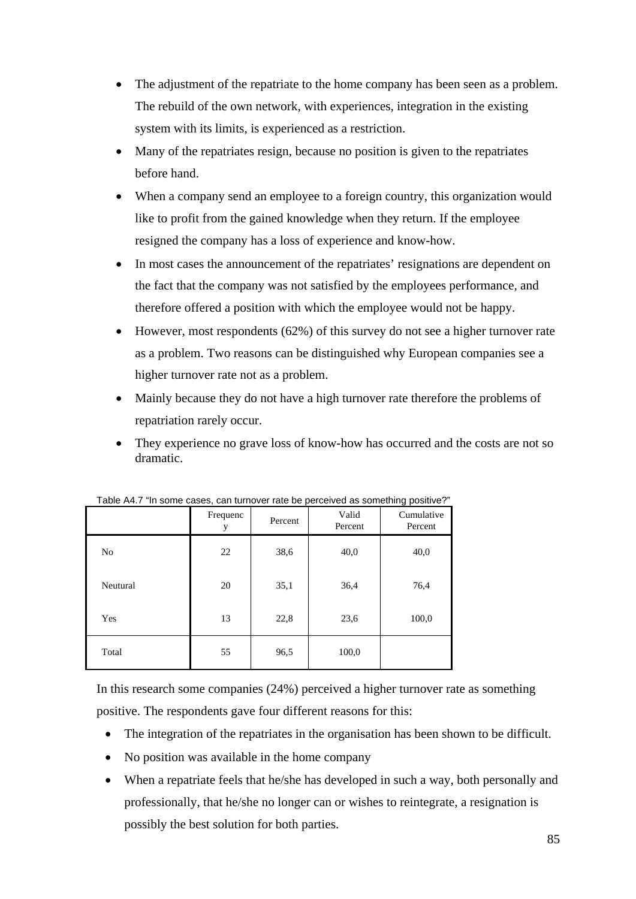- The adjustment of the repatriate to the home company has been seen as a problem. The rebuild of the own network, with experiences, integration in the existing system with its limits, is experienced as a restriction.
- Many of the repatriates resign, because no position is given to the repatriates before hand.
- When a company send an employee to a foreign country, this organization would like to profit from the gained knowledge when they return. If the employee resigned the company has a loss of experience and know-how.
- In most cases the announcement of the repatriates' resignations are dependent on the fact that the company was not satisfied by the employees performance, and therefore offered a position with which the employee would not be happy.
- However, most respondents (62%) of this survey do not see a higher turnover rate as a problem. Two reasons can be distinguished why European companies see a higher turnover rate not as a problem.
- Mainly because they do not have a high turnover rate therefore the problems of repatriation rarely occur.
- They experience no grave loss of know-how has occurred and the costs are not so dramatic.

|          | Frequenc<br>y | Percent | $1$ able $A$ . If some cases, can turnover rate be perceived as sometimity positive:<br>Valid<br>Percent |       |
|----------|---------------|---------|----------------------------------------------------------------------------------------------------------|-------|
| No       | 22            | 38,6    | 40,0                                                                                                     | 40,0  |
| Neutural | 20            | 35,1    | 36,4                                                                                                     | 76,4  |
| Yes      | 13            | 22,8    | 23,6                                                                                                     | 100,0 |
| Total    | 55            | 96,5    | 100,0                                                                                                    |       |

Table A4.7 "In some cases, can turnover rate be perceived as something positive?"

In this research some companies (24%) perceived a higher turnover rate as something positive. The respondents gave four different reasons for this:

- The integration of the repatriates in the organisation has been shown to be difficult.
- No position was available in the home company
- When a repatriate feels that he/she has developed in such a way, both personally and professionally, that he/she no longer can or wishes to reintegrate, a resignation is possibly the best solution for both parties.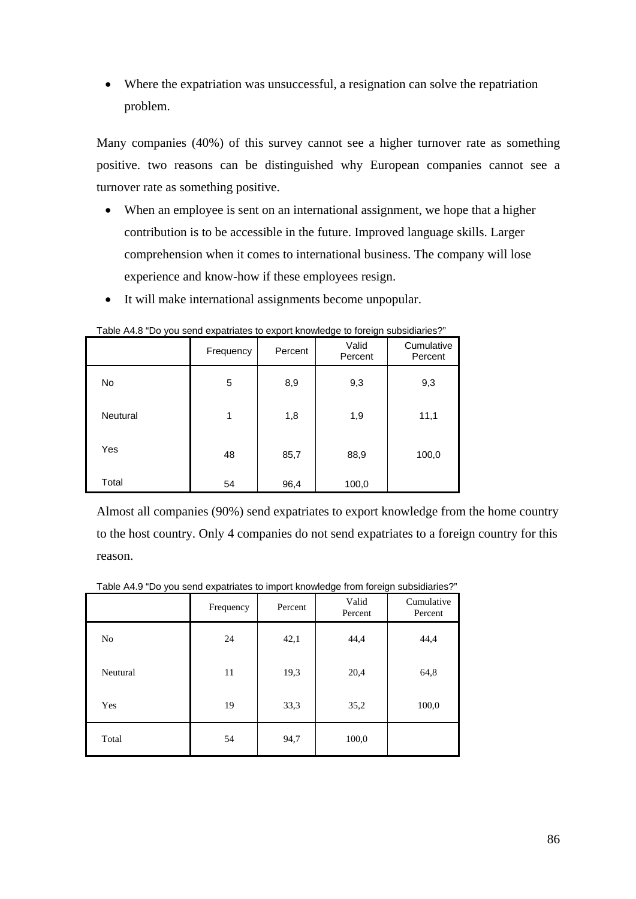• Where the expatriation was unsuccessful, a resignation can solve the repatriation problem.

Many companies (40%) of this survey cannot see a higher turnover rate as something positive. two reasons can be distinguished why European companies cannot see a turnover rate as something positive.

- When an employee is sent on an international assignment, we hope that a higher contribution is to be accessible in the future. Improved language skills. Larger comprehension when it comes to international business. The company will lose experience and know-how if these employees resign.
- It will make international assignments become unpopular.

|          | Frequency | Percent | Valid<br>Percent | Cumulative<br>Percent |
|----------|-----------|---------|------------------|-----------------------|
| No       | 5         | 8,9     | 9,3              | 9,3                   |
| Neutural | 1         | 1,8     | 1,9              | 11,1                  |
| Yes      | 48        | 85,7    | 88,9             | 100,0                 |
| Total    | 54        | 96,4    | 100,0            |                       |

Table A4.8 "Do you send expatriates to export knowledge to foreign subsidiaries?"

Almost all companies (90%) send expatriates to export knowledge from the home country to the host country. Only 4 companies do not send expatriates to a foreign country for this reason.

Table A4.9 "Do you send expatriates to import knowledge from foreign subsidiaries?"

|                | Frequency | Percent | Valid<br>Percent | Cumulative<br>Percent |
|----------------|-----------|---------|------------------|-----------------------|
| N <sub>0</sub> | 24        | 42,1    | 44,4             | 44,4                  |
| Neutural       | 11        | 19,3    | 20,4             | 64,8                  |
| Yes            | 19        | 33,3    | 35,2             | 100,0                 |
| Total          | 54        | 94,7    | 100,0            |                       |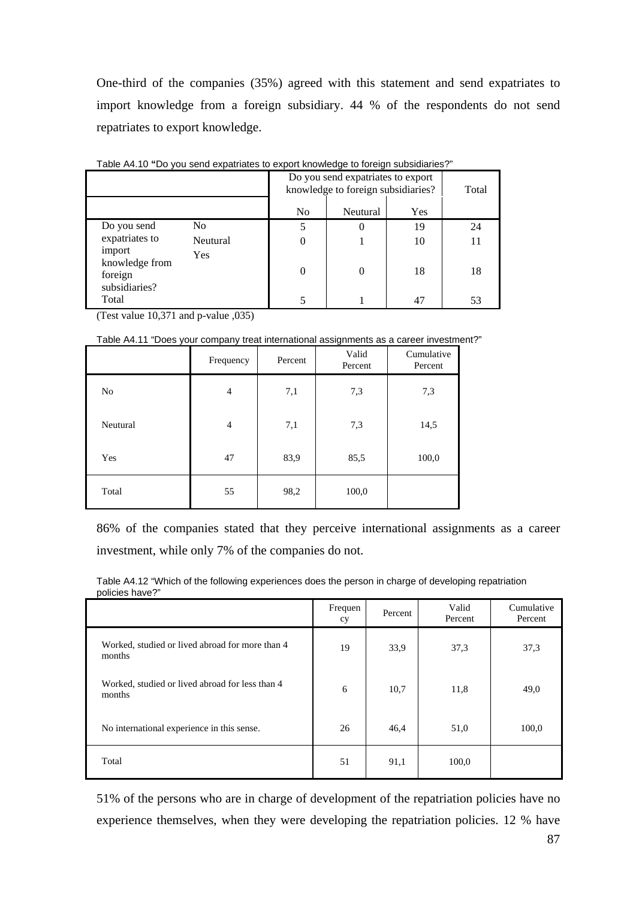One-third of the companies (35%) agreed with this statement and send expatriates to import knowledge from a foreign subsidiary. 44 % of the respondents do not send repatriates to export knowledge.

|                                                      |                | Do you send expatriates to export<br>knowledge to foreign subsidiaries? | Total    |     |    |
|------------------------------------------------------|----------------|-------------------------------------------------------------------------|----------|-----|----|
|                                                      |                | N <sub>0</sub>                                                          | Neutural | Yes |    |
| Do you send                                          | N <sub>0</sub> | 5                                                                       |          | 19  | 24 |
| expatriates to                                       | Neutural       |                                                                         |          | 10  | 11 |
| import<br>knowledge from<br>foreign<br>subsidiaries? | <b>Yes</b>     | 0                                                                       |          | 18  | 18 |
| Total                                                |                |                                                                         |          | 47  | 53 |

Table A4.10 **"**Do you send expatriates to export knowledge to foreign subsidiaries?"

(Test value 10,371 and p-value ,035)

Table A4.11 "Does your company treat international assignments as a career investment?"

|                | Frequency      | Percent | Valid<br>Percent | Cumulative<br>Percent |
|----------------|----------------|---------|------------------|-----------------------|
| N <sub>0</sub> | $\overline{4}$ | 7,1     | 7,3              | 7,3                   |
| Neutural       | $\overline{4}$ | 7,1     | 7,3              | 14,5                  |
| Yes            | 47             | 83,9    | 85,5             | 100,0                 |
| Total          | 55             | 98,2    | 100,0            |                       |

86% of the companies stated that they perceive international assignments as a career investment, while only 7% of the companies do not.

Table A4.12 "Which of the following experiences does the person in charge of developing repatriation policies have?"

|                                                           | Frequen<br>cy | Percent | Valid<br>Percent | Cumulative<br>Percent |
|-----------------------------------------------------------|---------------|---------|------------------|-----------------------|
| Worked, studied or lived abroad for more than 4<br>months | 19            | 33,9    | 37,3             | 37,3                  |
| Worked, studied or lived abroad for less than 4<br>months | 6             | 10,7    | 11,8             | 49,0                  |
| No international experience in this sense.                | 26            | 46,4    | 51,0             | 100,0                 |
| Total                                                     | 51            | 91,1    | 100,0            |                       |

51% of the persons who are in charge of development of the repatriation policies have no experience themselves, when they were developing the repatriation policies. 12 % have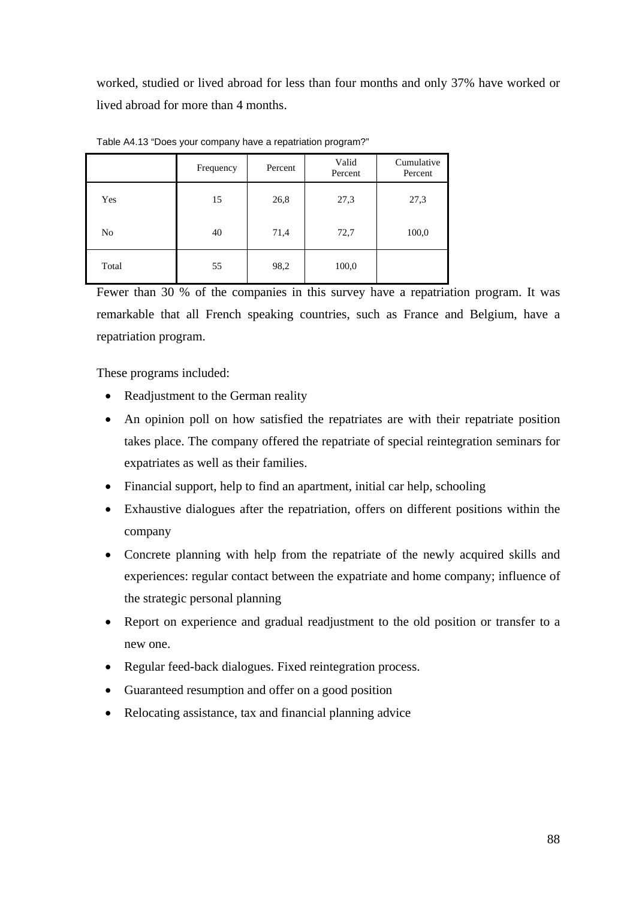worked, studied or lived abroad for less than four months and only 37% have worked or lived abroad for more than 4 months.

|       | Frequency | Percent | Valid<br>Percent | Cumulative<br>Percent |
|-------|-----------|---------|------------------|-----------------------|
| Yes   | 15        | 26,8    | 27,3             | 27,3                  |
| No    | 40        | 71,4    | 72,7             | 100,0                 |
| Total | 55        | 98,2    | 100,0            |                       |

Table A4.13 "Does your company have a repatriation program?"

Fewer than 30 % of the companies in this survey have a repatriation program. It was remarkable that all French speaking countries, such as France and Belgium, have a repatriation program.

These programs included:

- Readjustment to the German reality
- An opinion poll on how satisfied the repatriates are with their repatriate position takes place. The company offered the repatriate of special reintegration seminars for expatriates as well as their families.
- Financial support, help to find an apartment, initial car help, schooling
- Exhaustive dialogues after the repatriation, offers on different positions within the company
- Concrete planning with help from the repatriate of the newly acquired skills and experiences: regular contact between the expatriate and home company; influence of the strategic personal planning
- Report on experience and gradual readjustment to the old position or transfer to a new one.
- Regular feed-back dialogues. Fixed reintegration process.
- Guaranteed resumption and offer on a good position
- Relocating assistance, tax and financial planning advice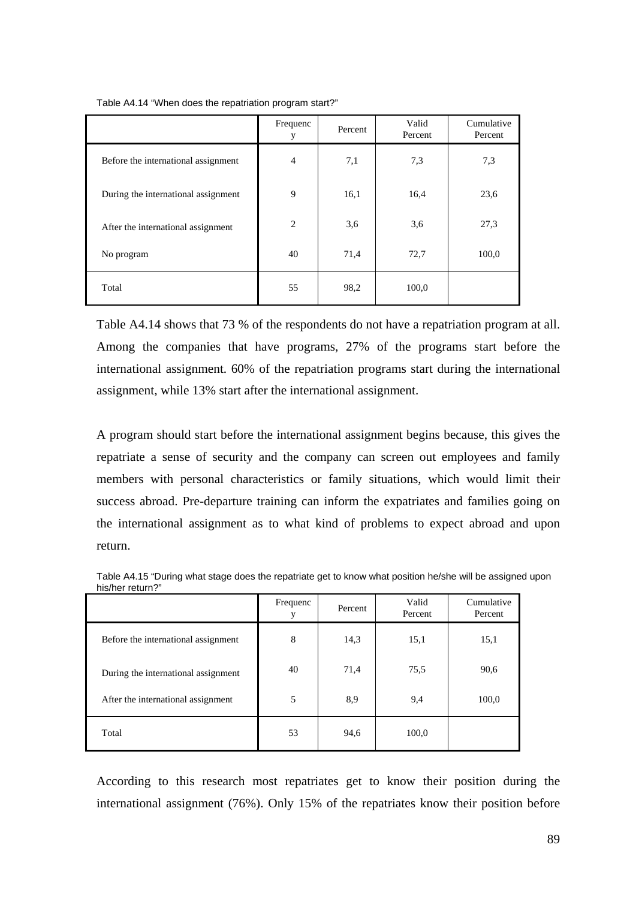|                                     | Frequenc<br>у | Percent | Valid<br>Percent | Cumulative<br>Percent |
|-------------------------------------|---------------|---------|------------------|-----------------------|
| Before the international assignment | 4             | 7,1     | 7,3              | 7,3                   |
| During the international assignment | 9             | 16,1    | 16,4             | 23,6                  |
| After the international assignment  | 2             | 3,6     | 3,6              | 27,3                  |
| No program                          | 40            | 71,4    | 72,7             | 100,0                 |
| Total                               | 55            | 98,2    | 100,0            |                       |

Table A4.14 "When does the repatriation program start?"

Table A4.14 shows that 73 % of the respondents do not have a repatriation program at all. Among the companies that have programs, 27% of the programs start before the international assignment. 60% of the repatriation programs start during the international assignment, while 13% start after the international assignment.

A program should start before the international assignment begins because, this gives the repatriate a sense of security and the company can screen out employees and family members with personal characteristics or family situations, which would limit their success abroad. Pre-departure training can inform the expatriates and families going on the international assignment as to what kind of problems to expect abroad and upon return.

|                                     | Frequenc | Percent | Valid<br>Percent | Cumulative<br>Percent |
|-------------------------------------|----------|---------|------------------|-----------------------|
| Before the international assignment | 8        | 14,3    | 15,1             | 15,1                  |
| During the international assignment | 40       | 71,4    | 75,5             | 90,6                  |
| After the international assignment  | 5        | 8,9     | 9,4              | 100,0                 |
| Total                               | 53       | 94,6    | 100,0            |                       |

Table A4.15 "During what stage does the repatriate get to know what position he/she will be assigned upon his/her return?"

According to this research most repatriates get to know their position during the international assignment (76%). Only 15% of the repatriates know their position before